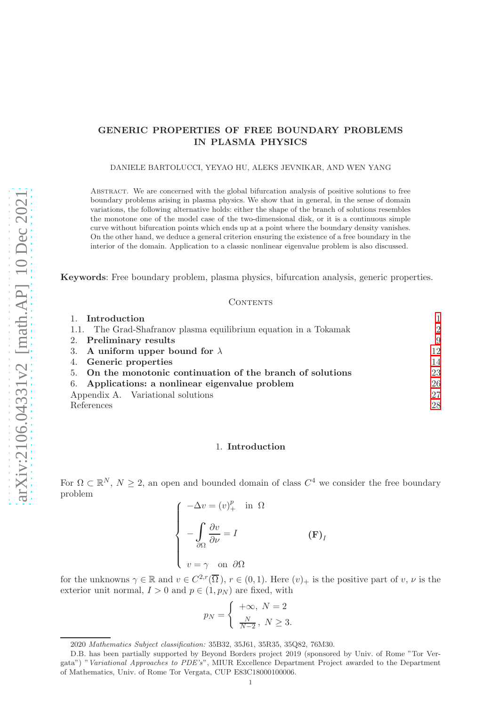# GENERIC PROPERTIES OF FREE BOUNDARY PROBLEMS IN PLASMA PHYSICS

DANIELE BARTOLUCCI, YEYAO HU, ALEKS JEVNIKAR, AND WEN YANG

Abstract. We are concerned with the global bifurcation analysis of positive solutions to free boundary problems arising in plasma physics. We show that in general, in the sense of domain variations, the following alternative holds: either the shape of the branch of solutions resembles the monotone one of the model case of the two-dimensional disk, or it is a continuous simple curve without bifurcation points which ends up at a point where the boundary density vanishes. On the other hand, we deduce a general criterion ensuring the existence of a free boundary in the interior of the domain. Application to a classic nonlinear eigenvalue problem is also discussed.

Keywords: Free boundary problem, plasma physics, bifurcation analysis, generic properties.

#### CONTENTS

| 1. Introduction                                                  |                |
|------------------------------------------------------------------|----------------|
| 1.1. The Grad-Shafranov plasma equilibrium equation in a Tokamak | $\overline{2}$ |
| 2. Preliminary results                                           | 9              |
| 3. A uniform upper bound for $\lambda$                           | 12             |
| 4. Generic properties                                            | 14             |
| 5. On the monotonic continuation of the branch of solutions      | 23             |
| 6. Applications: a nonlinear eigenvalue problem                  | 26             |
| Appendix A. Variational solutions                                | 27             |
| References                                                       | 28             |

### 1. Introduction

<span id="page-0-0"></span>For  $\Omega \subset \mathbb{R}^N$ ,  $N \geq 2$ , an open and bounded domain of class  $C^4$  we consider the free boundary problem

$$
\begin{cases}\n-\Delta v = (v)_+^p & \text{in } \Omega \\
-\int_{\partial\Omega} \frac{\partial v}{\partial \nu} = I & \text{(F)}_I \\
v = \gamma & \text{on } \partial\Omega\n\end{cases}
$$

for the unknowns  $\gamma \in \mathbb{R}$  and  $v \in C^{2,r}(\overline{\Omega})$ ,  $r \in (0,1)$ . Here  $(v)_{+}$  is the positive part of  $v, \nu$  is the exterior unit normal,  $I > 0$  and  $p \in (1, p_N)$  are fixed, with

$$
p_N = \begin{cases} +\infty, N = 2\\ \frac{N}{N-2}, N \ge 3. \end{cases}
$$

<sup>2020</sup> Mathematics Subject classification: 35B32, 35J61, 35R35, 35Q82, 76M30.

D.B. has been partially supported by Beyond Borders project 2019 (sponsored by Univ. of Rome "Tor Vergata") "Variational Approaches to PDE's", MIUR Excellence Department Project awarded to the Department of Mathematics, Univ. of Rome Tor Vergata, CUP E83C18000100006.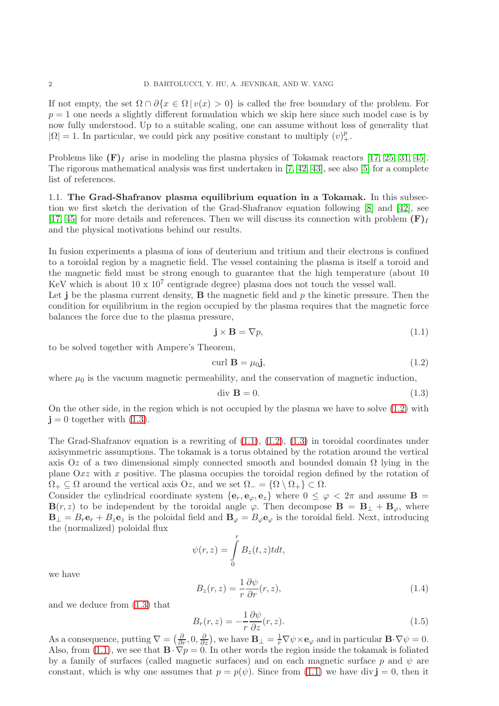If not empty, the set  $\Omega \cap \partial \{x \in \Omega \mid v(x) > 0\}$  is called the free boundary of the problem. For  $p = 1$  one needs a slightly different formulation which we skip here since such model case is by now fully understood. Up to a suitable scaling, one can assume without loss of generality that  $|\Omega| = 1$ . In particular, we could pick any positive constant to multiply  $(v)_+^p$ .

Problems like  $(F)<sub>I</sub>$  arise in modeling the plasma physics of Tokamak reactors [\[17,](#page-28-0) [25,](#page-28-1) [31,](#page-28-2) [45\]](#page-28-3). The rigorous mathematical analysis was first undertaken in [\[7,](#page-27-1) [42,](#page-28-4) [43\]](#page-28-5), see also [\[5\]](#page-27-2) for a complete list of references.

<span id="page-1-0"></span>1.1. The Grad-Shafranov plasma equilibrium equation in a Tokamak. In this subsection we first sketch the derivation of the Grad-Shafranov equation following [\[8\]](#page-27-3) and [\[42\]](#page-28-4), see [\[17,](#page-28-0) [45\]](#page-28-3) for more details and references. Then we will discuss its connection with problem  $(F)<sub>I</sub>$ and the physical motivations behind our results.

In fusion experiments a plasma of ions of deuterium and tritium and their electrons is confined to a toroidal region by a magnetic field. The vessel containing the plasma is itself a toroid and the magnetic field must be strong enough to guarantee that the high temperature (about 10 KeV which is about  $10 \times 10^7$  centigrade degree) plasma does not touch the vessel wall.

Let  $j$  be the plasma current density,  $B$  the magnetic field and  $p$  the kinetic pressure. Then the condition for equilibrium in the region occupied by the plasma requires that the magnetic force balances the force due to the plasma pressure,

<span id="page-1-3"></span>
$$
\mathbf{j} \times \mathbf{B} = \nabla p,\tag{1.1}
$$

to be solved together with Ampere's Theorem,

<span id="page-1-1"></span>
$$
\operatorname{curl} \mathbf{B} = \mu_0 \mathbf{j},\tag{1.2}
$$

where  $\mu_0$  is the vacuum magnetic permeability, and the conservation of magnetic induction,

<span id="page-1-2"></span>
$$
\text{div } \mathbf{B} = 0. \tag{1.3}
$$

On the other side, in the region which is not occupied by the plasma we have to solve [\(1.2\)](#page-1-1) with  $j = 0$  together with  $(1.3)$ .

The Grad-Shafranov equation is a rewriting of  $(1.1)$ ,  $(1.2)$ ,  $(1.3)$  in toroidal coordinates under axisymmetric assumptions. The tokamak is a torus obtained by the rotation around the vertical axis Oz of a two dimensional simply connected smooth and bounded domain  $\Omega$  lying in the plane  $Qxz$  with x positive. The plasma occupies the toroidal region defined by the rotation of  $\Omega_+ \subseteq \Omega$  around the vertical axis Oz, and we set  $\Omega_- = {\Omega \setminus \Omega_+} \subset \Omega$ .

Consider the cylindrical coordinate system  $\{e_r, e_\varphi, e_z\}$  where  $0 \leq \varphi < 2\pi$  and assume **B** =  $\mathbf{B}(r, z)$  to be independent by the toroidal angle  $\varphi$ . Then decompose  $\mathbf{B} = \mathbf{B}_{\perp} + \mathbf{B}_{\varphi}$ , where  **is the poloidal field and**  $**B**<sub>\varphi</sub> = B<sub>\varphi</sub>**e**<sub>\varphi</sub>$  **is the toroidal field. Next, introducing** the (normalized) poloidal flux

$$
\psi(r,z) = \int\limits_0^r B_z(t,z) t dt,
$$

we have

<span id="page-1-4"></span>
$$
B_z(r,z) = \frac{1}{r} \frac{\partial \psi}{\partial r}(r,z),\tag{1.4}
$$

and we deduce from [\(1.3\)](#page-1-2) that

<span id="page-1-5"></span>
$$
B_r(r,z) = -\frac{1}{r}\frac{\partial \psi}{\partial z}(r,z). \tag{1.5}
$$

As a consequence, putting  $\nabla = \left(\frac{\partial}{\partial r}, 0, \frac{\partial}{\partial z}\right)$ , we have  $\mathbf{B}_{\perp} = \frac{1}{r} \nabla \psi \times \mathbf{e}_{\varphi}$  and in particular  $\mathbf{B} \cdot \nabla \psi = 0$ . Also, from [\(1.1\)](#page-1-3), we see that  $\mathbf{B} \cdot \nabla p = 0$ . In other words the region inside the tokamak is foliated by a family of surfaces (called magnetic surfaces) and on each magnetic surface p and  $\psi$  are constant, which is why one assumes that  $p = p(\psi)$ . Since from [\(1.1\)](#page-1-3) we have div  $\mathbf{j} = 0$ , then it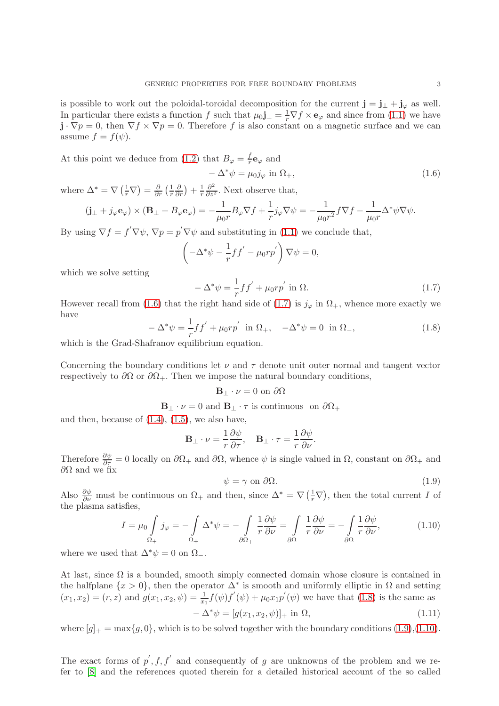is possible to work out the poloidal-toroidal decomposition for the current  $\mathbf{j} = \mathbf{j}_{\perp} + \mathbf{j}_{\varphi}$  as well. In particular there exists a function f such that  $\mu_0 \mathbf{j}_{\perp} = \frac{1}{r} \nabla f \times \mathbf{e}_{\varphi}$  and since from [\(1.1\)](#page-1-3) we have  $\mathbf{j} \cdot \nabla p = 0$ , then  $\nabla f \times \nabla p = 0$ . Therefore f is also constant on a magnetic surface and we can assume  $f = f(\psi)$ .

At this point we deduce from [\(1.2\)](#page-1-1) that  $B_{\varphi} = \frac{f}{r}$  $\frac{J}{r}{\bf e}_{\varphi}$  and

<span id="page-2-0"></span>
$$
-\Delta^*\psi = \mu_0 j_\varphi \text{ in } \Omega_+, \tag{1.6}
$$

where  $\Delta^* = \nabla \left(\frac{1}{r} \nabla\right) = \frac{\partial}{\partial r} \left(\frac{1}{r}\right)$ r  $\frac{\partial}{\partial r}\big)+\frac{1}{r}$ r  $\frac{\partial^2}{\partial z^2}$ . Next observe that,

$$
(\mathbf{j}_{\perp} + j_{\varphi} \mathbf{e}_{\varphi}) \times (\mathbf{B}_{\perp} + B_{\varphi} \mathbf{e}_{\varphi}) = -\frac{1}{\mu_0 r} B_{\varphi} \nabla f + \frac{1}{r} j_{\varphi} \nabla \psi = -\frac{1}{\mu_0 r^2} f \nabla f - \frac{1}{\mu_0 r} \Delta^* \psi \nabla \psi.
$$

By using  $\nabla f = f' \nabla \psi$ ,  $\nabla p = p' \nabla \psi$  and substituting in [\(1.1\)](#page-1-3) we conclude that,

$$
\left(-\Delta^* \psi - \frac{1}{r} f f' - \mu_0 r p'\right) \nabla \psi = 0,
$$

which we solve setting

<span id="page-2-1"></span>
$$
-\Delta^*\psi = \frac{1}{r}ff' + \mu_0 r p' \text{ in } \Omega.
$$
 (1.7)

However recall from [\(1.6\)](#page-2-0) that the right hand side of [\(1.7\)](#page-2-1) is  $j_{\varphi}$  in  $\Omega_{+}$ , whence more exactly we have

<span id="page-2-2"></span>
$$
-\Delta^* \psi = -\frac{1}{r} f f' + \mu_0 r p' \text{ in } \Omega_+, \quad -\Delta^* \psi = 0 \text{ in } \Omega_-, \tag{1.8}
$$

which is the Grad-Shafranov equilibrium equation.

Concerning the boundary conditions let  $\nu$  and  $\tau$  denote unit outer normal and tangent vector respectively to  $\partial\Omega$  or  $\partial\Omega_+$ . Then we impose the natural boundary conditions,

## $\mathbf{B}_{\perp} \cdot \nu = 0$  on  $\partial \Omega$

 $\mathbf{B}_{\perp} \cdot \nu = 0$  and  $\mathbf{B}_{\perp} \cdot \tau$  is continuous on  $\partial \Omega_+$ 

and then, because of  $(1.4)$ ,  $(1.5)$ , we also have,

$$
\mathbf{B}_{\perp} \cdot \nu = \frac{1}{r} \frac{\partial \psi}{\partial \tau}, \quad \mathbf{B}_{\perp} \cdot \tau = \frac{1}{r} \frac{\partial \psi}{\partial \nu}.
$$

Therefore  $\frac{\partial \psi}{\partial \tau} = 0$  locally on  $\partial \Omega_+$  and  $\partial \Omega$ , whence  $\psi$  is single valued in  $\Omega$ , constant on  $\partial \Omega_+$  and  $\partial\Omega$  and we fix

<span id="page-2-3"></span>
$$
\psi = \gamma \text{ on } \partial \Omega. \tag{1.9}
$$

Also  $\frac{\partial \psi}{\partial \nu}$  must be continuous on  $\Omega_+$  and then, since  $\Delta^* = \nabla \left( \frac{1}{r} \nabla \right)$ , then the total current I of the plasma satisfies,

<span id="page-2-4"></span>
$$
I = \mu_0 \int_{\Omega_+} j_{\varphi} = -\int_{\Omega_+} \Delta^* \psi = -\int_{\partial \Omega_+} \frac{1}{r} \frac{\partial \psi}{\partial \nu} = \int_{\partial \Omega_-} \frac{1}{r} \frac{\partial \psi}{\partial \nu} = -\int_{\partial \Omega} \frac{1}{r} \frac{\partial \psi}{\partial \nu},
$$
(1.10)

where we used that  $\Delta^*\psi = 0$  on  $\Omega$ <sub>-</sub>.

At last, since  $\Omega$  is a bounded, smooth simply connected domain whose closure is contained in the halfplane  $\{x > 0\}$ , then the operator  $\Delta^*$  is smooth and uniformly elliptic in  $\Omega$  and setting  $(x_1, x_2) = (r, z)$  and  $g(x_1, x_2, \psi) = \frac{1}{x_1} f(\psi) f'(\psi) + \mu_0 x_1 p'(\psi)$  we have that [\(1.8\)](#page-2-2) is the same as

<span id="page-2-5"></span>
$$
-\Delta^*\psi = [g(x_1, x_2, \psi)]_+ \text{ in } \Omega,
$$
\n(1.11)

where  $[g]_+ = \max\{g, 0\}$ , which is to be solved together with the boundary conditions [\(1.9\)](#page-2-3),[\(1.10\)](#page-2-4).

The exact forms of  $p', f, f'$  and consequently of g are unknowns of the problem and we refer to [\[8\]](#page-27-3) and the references quoted therein for a detailed historical account of the so called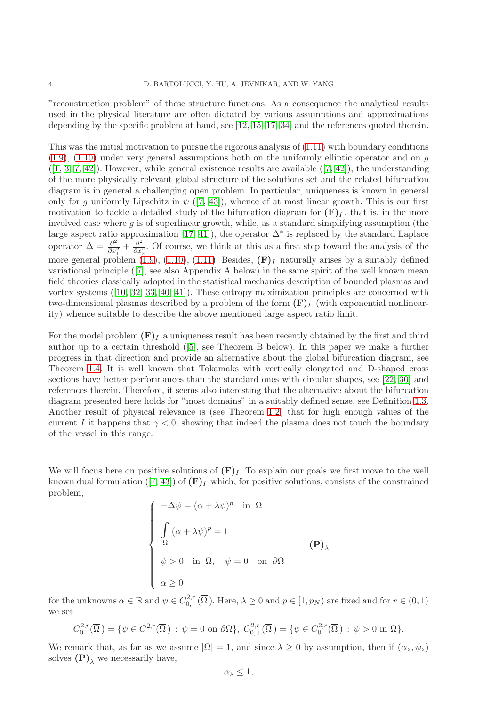"reconstruction problem" of these structure functions. As a consequence the analytical results used in the physical literature are often dictated by various assumptions and approximations depending by the specific problem at hand, see [\[12,](#page-27-4) [15,](#page-28-6) [17,](#page-28-0) [34\]](#page-28-7) and the references quoted therein.

This was the initial motivation to pursue the rigorous analysis of [\(1.11\)](#page-2-5) with boundary conditions  $(1.9)$ ,  $(1.10)$  under very general assumptions both on the uniformly elliptic operator and on g  $([1, 3, 7, 42])$  $([1, 3, 7, 42])$  $([1, 3, 7, 42])$  $([1, 3, 7, 42])$  $([1, 3, 7, 42])$  $([1, 3, 7, 42])$ .However, while general existence results are available  $([7, 42])$  $([7, 42])$  $([7, 42])$ , the understanding of the more physically relevant global structure of the solutions set and the related bifurcation diagram is in general a challenging open problem. In particular, uniqueness is known in general only for g uniformly Lipschitz in  $\psi$  ([\[7,](#page-27-1) [43\]](#page-28-5)), whence of at most linear growth. This is our first motivation to tackle a detailed study of the bifurcation diagram for  $(F)_I$ , that is, in the more involved case where  $g$  is of superlinear growth, while, as a standard simplifying assumption (the large aspect ratio approximation [\[17,](#page-28-0) [41\]](#page-28-8)), the operator  $\Delta^*$  is replaced by the standard Laplace operator  $\Delta = \frac{\partial^2}{\partial x^2}$  $\frac{\partial^2}{\partial x_1^2} + \frac{\partial^2}{\partial x_2^2}$  $\frac{\partial^2}{\partial x_2^2}$ . Of course, we think at this as a first step toward the analysis of the more general problem [\(1.9\)](#page-2-3), [\(1.10\)](#page-2-4), [\(1.11\)](#page-2-5). Besides,  $(F)_I$  naturally arises by a suitably defined variational principle([\[7\]](#page-27-1), see also Appendix A below) in the same spirit of the well known mean field theories classically adopted in the statistical mechanics description of bounded plasmas and vortex systems([\[10,](#page-27-7) [32,](#page-28-9) [33,](#page-28-10) [40,](#page-28-11) [41\]](#page-28-8)). These entropy maximization principles are concerned with two-dimensional plasmas described by a problem of the form  $(F)$ <sub>I</sub> (with exponential nonlinearity) whence suitable to describe the above mentioned large aspect ratio limit.

For the model problem  $(F)<sub>I</sub>$  a uniqueness result has been recently obtained by the first and third author up to a certain threshold([\[5\]](#page-27-2), see Theorem B below). In this paper we make a further progress in that direction and provide an alternative about the global bifurcation diagram, see Theorem [1.4.](#page-6-0) It is well known that Tokamaks with vertically elongated and D-shaped cross sections have better performances than the standard ones with circular shapes, see [\[22,](#page-28-12) [30\]](#page-28-13) and references therein. Therefore, it seems also interesting that the alternative about the bifurcation diagram presented here holds for "most domains" in a suitably defined sense, see Definition [1.3.](#page-6-1) Another result of physical relevance is (see Theorem [1.2\)](#page-5-0) that for high enough values of the current I it happens that  $\gamma < 0$ , showing that indeed the plasma does not touch the boundary of the vessel in this range.

We will focus here on positive solutions of  $(F)<sub>I</sub>$ . To explain our goals we first move to the well knowndual formulation ([\[7,](#page-27-1) [43\]](#page-28-5)) of  $(F)<sub>I</sub>$  which, for positive solutions, consists of the constrained problem,

$$
\begin{cases}\n-\Delta \psi = (\alpha + \lambda \psi)^p & \text{in } \Omega \\
\int_{\Omega} (\alpha + \lambda \psi)^p = 1 \\
\psi > 0 & \text{in } \Omega, \quad \psi = 0 \quad \text{on } \partial \Omega \\
\alpha \ge 0\n\end{cases}
$$
\n(P)<sub>λ</sub>

for the unknowns  $\alpha \in \mathbb{R}$  and  $\psi \in C^{2,r}_{0,+}(\overline{\Omega})$ . Here,  $\lambda \geq 0$  and  $p \in [1, p_N)$  are fixed and for  $r \in (0,1)$ we set

$$
C_0^{2,r}(\overline{\Omega}) = \{ \psi \in C^{2,r}(\overline{\Omega}) : \psi = 0 \text{ on } \partial\Omega \}, C_{0,+}^{2,r}(\overline{\Omega}) = \{ \psi \in C_0^{2,r}(\overline{\Omega}) : \psi > 0 \text{ in } \Omega \}.
$$

We remark that, as far as we assume  $|\Omega| = 1$ , and since  $\lambda \geq 0$  by assumption, then if  $(\alpha_{\lambda}, \psi_{\lambda})$ solves  $(P)$ <sub>λ</sub> we necessarily have,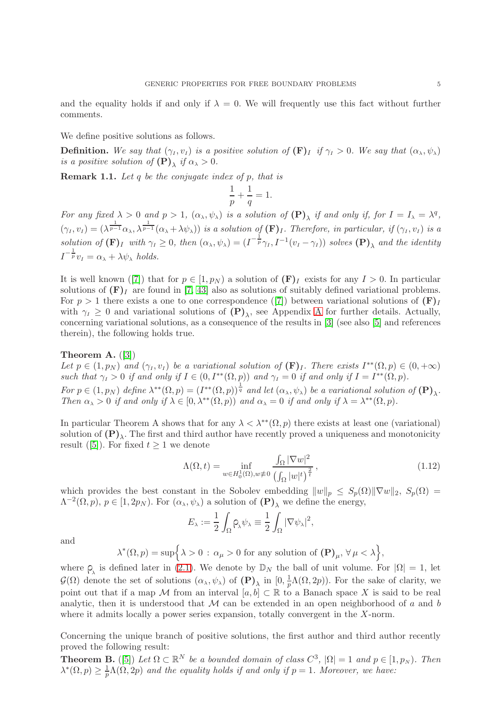and the equality holds if and only if  $\lambda = 0$ . We will frequently use this fact without further comments.

We define positive solutions as follows.

**Definition.** We say that  $(\gamma_I, v_I)$  is a positive solution of  $(\mathbf{F})_I$  if  $\gamma_I > 0$ . We say that  $(\alpha_\lambda, \psi_\lambda)$ is a positive solution of  $(\mathbf{P})_{\lambda}$  if  $\alpha_{\lambda} > 0$ .

<span id="page-4-0"></span>Remark 1.1. Let q be the conjugate index of p, that is

$$
\frac{1}{p} + \frac{1}{q} = 1.
$$

For any fixed  $\lambda > 0$  and  $p > 1$ ,  $(\alpha_{\lambda}, \psi_{\lambda})$  is a solution of  $(\mathbf{P})_{\lambda}$  if and only if, for  $I = I_{\lambda} = \lambda^{q}$ ,  $(\gamma_I, v_I) = (\lambda^{\frac{1}{p-1}} \alpha_{\lambda}, \lambda^{\frac{1}{p-1}} (\alpha_{\lambda} + \lambda \psi_{\lambda}))$  is a solution of  $(F)_I$ . Therefore, in particular, if  $(\gamma_I, v_I)$  is a solution of  $(\mathbf{F})_I$  with  $\gamma_I \geq 0$ , then  $(\alpha_\lambda, \psi_\lambda) = (I^{-\frac{1}{p}} \gamma_I, I^{-1}(v_I - \gamma_I))$  solves  $(\mathbf{P})_\lambda$  and the identity  $I^{-\frac{1}{p}}v_I = \alpha_\lambda + \lambda \psi_\lambda$  holds.

Itis well known ([\[7\]](#page-27-1)) that for  $p \in [1, p<sub>N</sub>]$  a solution of  $(F)<sub>I</sub>$  exists for any  $I > 0$ . In particular solutions of  $(F)_I$  are found in [\[7,](#page-27-1) [43\]](#page-28-5) also as solutions of suitably defined variational problems. For $p > 1$  there exists a one to one correspondence ([\[7\]](#page-27-1)) between variational solutions of  $(F)<sub>I</sub>$ with  $\gamma_I \geq 0$  and variational solutions of  $(P)_{\lambda}$ , see [A](#page-26-0)ppendix A for further details. Actually, concerning variational solutions, as a consequence of the results in [\[3\]](#page-27-6) (see also [\[5\]](#page-27-2) and references therein), the following holds true.

### Theorem A. ([\[3\]](#page-27-6))

Let  $p \in (1, p_N)$  and  $(\gamma_I, v_I)$  be a variational solution of  $(\mathbf{F})_I$ . There exists  $I^{**}(\Omega, p) \in (0, +\infty)$ such that  $\gamma_I > 0$  if and only if  $I \in (0, I^{**}(\Omega, p))$  and  $\gamma_I = 0$  if and only if  $I = I^{**}(\Omega, p)$ .

For  $p \in (1, p_N)$  define  $\lambda^{**}(\Omega, p) = (I^{**}(\Omega, p))^{\frac{1}{q}}$  and let  $(\alpha_\lambda, \psi_\lambda)$  be a variational solution of  $(\mathbf{P})_\lambda$ . Then  $\alpha_{\lambda} > 0$  if and only if  $\lambda \in [0, \lambda^{**}(\Omega, p))$  and  $\alpha_{\lambda} = 0$  if and only if  $\lambda = \lambda^{**}(\Omega, p)$ .

In particular Theorem A shows that for any  $\lambda < \lambda^{**}(\Omega, p)$  there exists at least one (variational) solution of  $(P)_{\lambda}$ . The first and third author have recently proved a uniqueness and monotonicity result([\[5\]](#page-27-2)). For fixed  $t \geq 1$  we denote

<span id="page-4-1"></span>
$$
\Lambda(\Omega, t) = \inf_{w \in H_0^1(\Omega), w \neq 0} \frac{\int_{\Omega} |\nabla w|^2}{\left(\int_{\Omega} |w|^t\right)^{\frac{2}{t}}},\tag{1.12}
$$

which provides the best constant in the Sobolev embedding  $||w||_p \leq S_p(\Omega) ||\nabla w||_2$ ,  $S_p(\Omega) =$  $\Lambda^{-2}(\Omega, p), p \in [1, 2p_N)$ . For  $(\alpha_\lambda, \psi_\lambda)$  a solution of  $(\mathbf{P})_\lambda$  we define the energy,

$$
E_{\lambda} := \frac{1}{2} \int_{\Omega} \rho_{\lambda} \psi_{\lambda} \equiv \frac{1}{2} \int_{\Omega} |\nabla \psi_{\lambda}|^2,
$$

and

$$
\lambda^*(\Omega,p)=\sup\Bigl\{\lambda>0\,:\,\alpha_\mu>0\,\,{\rm for\,\,any\,\, solution\,\,of}\,\,(\mathbf{P})_\mu,\,\forall\,\mu<\lambda\Bigr\},
$$

where  $\rho_{\lambda}$  is defined later in [\(2.1\)](#page-8-1). We denote by  $\mathbb{D}_N$  the ball of unit volume. For  $|\Omega|=1$ , let  $\mathcal{G}(\Omega)$  denote the set of solutions  $(\alpha_{\lambda}, \psi_{\lambda})$  of  $(\mathbf{P})_{\lambda}$  in  $[0, \frac{1}{p}]$  $\frac{1}{p}\Lambda(\Omega, 2p)$ . For the sake of clarity, we point out that if a map M from an interval  $[a, b] \subset \mathbb{R}$  to a Banach space X is said to be real analytic, then it is understood that  $\mathcal M$  can be extended in an open neighborhood of a and b where it admits locally a power series expansion, totally convergent in the X-norm.

Concerning the unique branch of positive solutions, the first author and third author recently proved the following result:

**Theorem B.** ([\[5\]](#page-27-2)) Let  $\Omega \subset \mathbb{R}^N$  be a bounded domain of class  $C^3$ ,  $|\Omega| = 1$  and  $p \in [1, p_N)$ . Then  $\lambda^*(\Omega, p) \geq \frac{1}{n}$  $\frac{1}{p}\Lambda(\Omega,2p)$  and the equality holds if and only if  $p=1$ . Moreover, we have: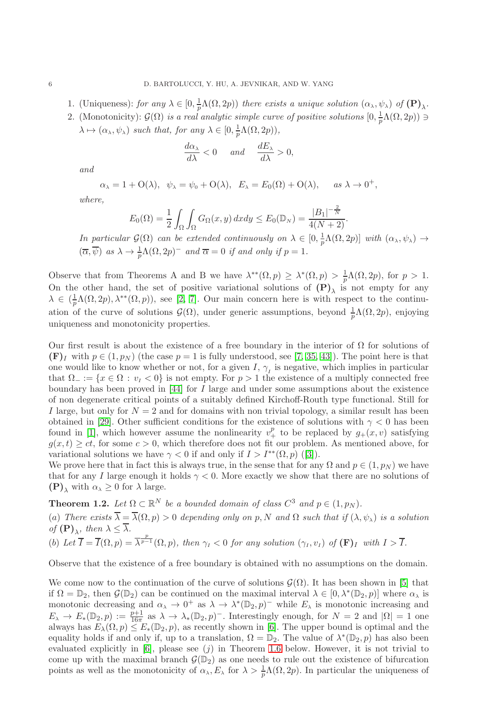- 1. (Uniqueness): for any  $\lambda \in [0, \frac{1}{p}\Lambda(\Omega, 2p))$  there exists a unique solution  $(\alpha_{\lambda}, \psi_{\lambda})$  of  $(\mathbf{P})_{\lambda}$ .
- 2. (Monotonicity):  $\mathcal{G}(\Omega)$  is a real analytic simple curve of positive solutions  $[0, \frac{1}{p}\Lambda(\Omega, 2p)) \ni$  $\lambda \mapsto (\alpha_{\lambda}, \psi_{\lambda})$  such that, for any  $\lambda \in [0, \frac{1}{p}\Lambda(\Omega, 2p)),$

$$
\frac{d\alpha_{\lambda}}{d\lambda} < 0 \quad \text{and} \quad \frac{dE_{\lambda}}{d\lambda} > 0,
$$

and

$$
\alpha_{\lambda} = 1 + O(\lambda), \quad \psi_{\lambda} = \psi_0 + O(\lambda), \quad E_{\lambda} = E_0(\Omega) + O(\lambda), \quad \text{as } \lambda \to 0^+,
$$

where,

$$
E_0(\Omega) = \frac{1}{2} \int_{\Omega} \int_{\Omega} G_{\Omega}(x, y) dx dy \le E_0(\mathbb{D}_N) = \frac{|B_1|^{-\frac{2}{N}}}{4(N+2)}.
$$

In particular  $\mathcal{G}(\Omega)$  can be extended continuously on  $\lambda \in [0, \frac{1}{p}\Lambda(\Omega, 2p)]$  with  $(\alpha_{\lambda}, \psi_{\lambda}) \to$  $(\overline{\alpha}, \overline{\psi})$  as  $\lambda \to \frac{1}{p}\Lambda(\Omega, 2p)^{-}$  and  $\overline{\alpha} = 0$  if and only if  $p = 1$ .

Observe that from Theorems A and B we have  $\lambda^{**}(\Omega, p) \geq \lambda^{*}(\Omega, p) > \frac{1}{p}\Lambda(\Omega, 2p)$ , for  $p > 1$ . On the other hand, the set of positive variational solutions of  $(P)_{\lambda}$  is not empty for any  $\lambda \in (\frac{1}{p}\Lambda(\Omega, 2p), \lambda^{**}(\Omega, p))$ , see [\[2,](#page-27-8) [7\]](#page-27-1). Our main concern here is with respect to the continuation of the curve of solutions  $\mathcal{G}(\Omega)$ , under generic assumptions, beyond  $\frac{1}{p}\Lambda(\Omega, 2p)$ , enjoying uniqueness and monotonicity properties.

Our first result is about the existence of a free boundary in the interior of  $\Omega$  for solutions of  $(F)<sub>I</sub>$  with  $p \in (1, p<sub>N</sub>)$  (the case  $p = 1$  is fully understood, see [\[7,](#page-27-1) [35,](#page-28-14) [43\]](#page-28-5)). The point here is that one would like to know whether or not, for a given  $I, \gamma_I$  is negative, which implies in particular that  $\Omega_{-} := \{x \in \Omega : v_1 < 0\}$  is not empty. For  $p > 1$  the existence of a multiply connected free boundary has been proved in [\[44\]](#page-28-15) for I large and under some assumptions about the existence of non degenerate critical points of a suitably defined Kirchoff-Routh type functional. Still for I large, but only for  $N = 2$  and for domains with non trivial topology, a similar result has been obtained in [\[29\]](#page-28-16). Other sufficient conditions for the existence of solutions with  $\gamma < 0$  has been found in [\[1\]](#page-27-5), which however assume the nonlinearity  $v^p_+$  to be replaced by  $g_+(x,v)$  satisfying  $g(x, t) \geq ct$ , for some  $c > 0$ , which therefore does not fit our problem. As mentioned above, for variationalsolutions we have  $\gamma < 0$  if and only if  $I > I^{**}(\Omega, p)$  ([\[3\]](#page-27-6)).

We prove here that in fact this is always true, in the sense that for any  $\Omega$  and  $p \in (1, p_N)$  we have that for any I large enough it holds  $\gamma < 0$ . More exactly we show that there are no solutions of  $(\mathbf{P})_{\lambda}$  with  $\alpha_{\lambda} \geq 0$  for  $\lambda$  large.

<span id="page-5-0"></span>**Theorem 1.2.** Let  $\Omega \subset \mathbb{R}^N$  be a bounded domain of class  $C^3$  and  $p \in (1, p_N)$ .

(a) There exists  $\overline{\lambda} = \overline{\lambda}(\Omega, p) > 0$  depending only on p, N and  $\Omega$  such that if  $(\lambda, \psi_{\lambda})$  is a solution of  $(\mathbf{P})_{\lambda}$ , then  $\lambda \leq \lambda$ . p

(b) Let 
$$
\overline{I} = \overline{I}(\Omega, p) = \overline{\lambda}^{\overline{p-1}}(\Omega, p)
$$
, then  $\gamma_I < 0$  for any solution  $(\gamma_I, v_I)$  of  $(\mathbf{F})_I$  with  $I > \overline{I}$ .

Observe that the existence of a free boundary is obtained with no assumptions on the domain.

We come now to the continuation of the curve of solutions  $\mathcal{G}(\Omega)$ . It has been shown in [\[5\]](#page-27-2) that if  $\Omega = \mathbb{D}_2$ , then  $\mathcal{G}(\mathbb{D}_2)$  can be continued on the maximal interval  $\lambda \in [0, \lambda^*(\mathbb{D}_2, p)]$  where  $\alpha_{\lambda}$  is monotonic decreasing and  $\alpha_{\lambda} \to 0^+$  as  $\lambda \to \lambda^*(D_2, p)^-$  while  $E_{\lambda}$  is monotonic increasing and  $E_{\lambda} \to E_*(\mathbb{D}_2, p) := \frac{p+1}{16\pi}$  as  $\lambda \to \lambda_*(\mathbb{D}_2, p)$ . Interestingly enough, for  $N = 2$  and  $|\Omega| = 1$  one always has  $E_{\lambda}(\Omega, p) \leq E_*(\mathbb{D}_2, p)$ , as recently shown in [\[6\]](#page-27-9). The upper bound is optimal and the equality holds if and only if, up to a translation,  $\Omega = \mathbb{D}_2$ . The value of  $\lambda^*(\mathbb{D}_2, p)$  has also been evaluated explicitly in  $[6]$ , please see  $(j)$  in Theorem [1.6](#page-7-0) below. However, it is not trivial to come up with the maximal branch  $\mathcal{G}(\mathbb{D}_2)$  as one needs to rule out the existence of bifurcation points as well as the monotonicity of  $\alpha_{\lambda}, E_{\lambda}$  for  $\lambda > \frac{1}{p}\Lambda(\Omega, 2p)$ . In particular the uniqueness of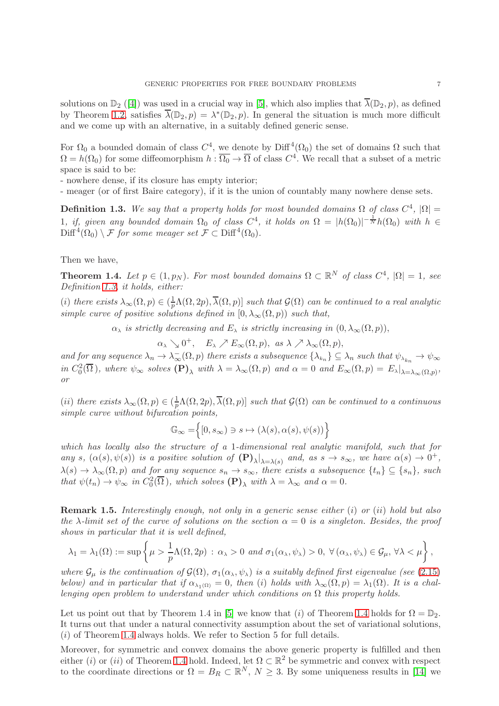solutions on  $\mathbb{D}_2$  ([\[4\]](#page-27-10)) was used in a crucial way in [\[5\]](#page-27-2), which also implies that  $\overline{\lambda}(\mathbb{D}_2, p)$ , as defined by Theorem [1.2,](#page-5-0) satisfies  $\overline{\lambda}(\mathbb{D}_2, p) = \lambda^*(\mathbb{D}_2, p)$ . In general the situation is much more difficult and we come up with an alternative, in a suitably defined generic sense.

For  $\Omega_0$  a bounded domain of class  $C^4$ , we denote by  $\text{Diff}^4(\Omega_0)$  the set of domains  $\Omega$  such that  $\Omega = h(\Omega_0)$  for some diffeomorphism  $h: \overline{\Omega_0} \to \overline{\Omega}$  of class  $C^4$ . We recall that a subset of a metric space is said to be:

- nowhere dense, if its closure has empty interior;

- meager (or of first Baire category), if it is the union of countably many nowhere dense sets.

<span id="page-6-1"></span>**Definition 1.3.** We say that a property holds for most bounded domains  $\Omega$  of class  $C^4$ ,  $|\Omega|$  = 1, if, given any bounded domain  $\Omega_0$  of class  $C^4$ , it holds on  $\Omega = |h(\Omega_0)|^{-\frac{1}{N}}h(\Omega_0)$  with  $h \in$  $\text{Diff}^4(\Omega_0) \setminus \mathcal{F}$  for some meager set  $\mathcal{F} \subset \text{Diff}^4(\Omega_0)$ .

Then we have,

<span id="page-6-0"></span>**Theorem 1.4.** Let  $p \in (1, p_N)$ . For most bounded domains  $\Omega \subset \mathbb{R}^N$  of class  $C^4$ ,  $|\Omega| = 1$ , see Definition [1.3,](#page-6-1) it holds, either:

(i) there exists  $\lambda_{\infty}(\Omega, p) \in (\frac{1}{p}\Lambda(\Omega, 2p), \overline{\lambda}(\Omega, p)]$  such that  $\mathcal{G}(\Omega)$  can be continued to a real analytic simple curve of positive solutions defined in  $[0, \lambda_{\infty}(\Omega, p))$  such that,

 $\alpha_{\lambda}$  is strictly decreasing and  $E_{\lambda}$  is strictly increasing in  $(0, \lambda_{\infty}(\Omega, p)),$ 

 $\alpha_{\lambda} \searrow 0^+, E_{\lambda} \nearrow E_{\infty}(\Omega, p), \text{ as } \lambda \nearrow \lambda_{\infty}(\Omega, p),$ 

and for any sequence  $\lambda_n \to \lambda_\infty^-(\Omega, p)$  there exists a subsequence  $\{\lambda_{k_n}\}\subseteq \lambda_n$  such that  $\psi_{\lambda_{k_n}} \to \psi_\infty$ in  $C_0^2(\overline{\Omega})$ , where  $\psi_{\infty}$  solves  $(\mathbf{P})_{\lambda}$  with  $\lambda = \lambda_{\infty}(\Omega, p)$  and  $\alpha = 0$  and  $E_{\infty}(\Omega, p) = E_{\lambda}|_{\lambda = \lambda_{\infty}(\Omega, p)}$ , or

(ii) there exists  $\lambda_{\infty}(\Omega, p) \in (\frac{1}{p}\Lambda(\Omega, 2p), \overline{\lambda}(\Omega, p)]$  such that  $\mathcal{G}(\Omega)$  can be continued to a continuous simple curve without bifurcation points,

$$
\mathbb{G}_\infty=\Big\{[0,s_\infty)\ni s\mapsto (\lambda(s),\alpha(s),\psi(s))\Big\}
$$

which has locally also the structure of a 1-dimensional real analytic manifold, such that for any s,  $(\alpha(s), \psi(s))$  is a positive solution of  $(P)_{\lambda}|_{\lambda=\lambda(s)}$  and, as  $s \to s_{\infty}$ , we have  $\alpha(s) \to 0^+$ ,  $\lambda(s) \to \lambda_{\infty}(\Omega, p)$  and for any sequence  $s_n \to s_{\infty}$ , there exists a subsequence  $\{t_n\} \subseteq \{s_n\}$ , such that  $\psi(t_n) \to \psi_{\infty}$  in  $C_0^2(\overline{\Omega})$ , which solves  $(\mathbf{P})_{\lambda}$  with  $\lambda = \lambda_{\infty}$  and  $\alpha = 0$ .

**Remark 1.5.** Interestingly enough, not only in a generic sense either  $(i)$  or  $(ii)$  hold but also the  $\lambda$ -limit set of the curve of solutions on the section  $\alpha = 0$  is a singleton. Besides, the proof shows in particular that it is well defined,

$$
\lambda_1 = \lambda_1(\Omega) := \sup \left\{ \mu > \frac{1}{p} \Lambda(\Omega, 2p) \, : \, \alpha_{\lambda} > 0 \, \text{ and } \sigma_1(\alpha_{\lambda}, \psi_{\lambda}) > 0, \, \forall (\alpha_{\lambda}, \psi_{\lambda}) \in \mathcal{G}_{\mu}, \, \forall \lambda < \mu \right\},
$$

where  $\mathcal{G}_{\mu}$  is the continuation of  $\mathcal{G}(\Omega)$ ,  $\sigma_1(\alpha_{\lambda}, \psi_{\lambda})$  is a suitably defined first eigenvalue (see [\(2.15\)](#page-10-0) below) and in particular that if  $\alpha_{\lambda_1(\Omega)} = 0$ , then (i) holds with  $\lambda_\infty(\Omega, p) = \lambda_1(\Omega)$ . It is a challenging open problem to understand under which conditions on  $\Omega$  this property holds.

Let us point out that by Theorem 1.4 in [\[5\]](#page-27-2) we know that (i) of Theorem [1.4](#page-6-0) holds for  $\Omega = \mathbb{D}_2$ . It turns out that under a natural connectivity assumption about the set of variational solutions,  $(i)$  of Theorem [1.4](#page-6-0) always holds. We refer to Section 5 for full details.

Moreover, for symmetric and convex domains the above generic property is fulfilled and then either (i) or (ii) of Theorem [1.4](#page-6-0) hold. Indeed, let  $\Omega \subset \mathbb{R}^2$  be symmetric and convex with respect to the coordinate directions or  $\Omega = B_R \subset \mathbb{R}^N$ ,  $N \geq 3$ . By some uniqueness results in [\[14\]](#page-27-11) we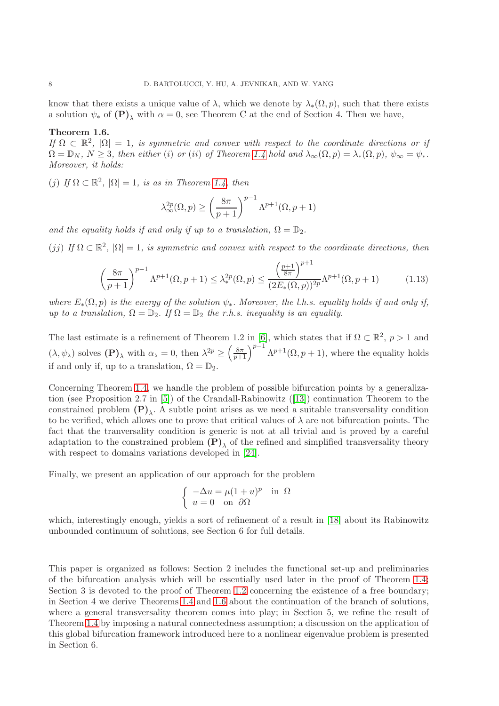know that there exists a unique value of  $\lambda$ , which we denote by  $\lambda_*(\Omega, p)$ , such that there exists a solution  $\psi_*$  of  $(P)_{\lambda}$  with  $\alpha = 0$ , see Theorem C at the end of Section 4. Then we have,

## <span id="page-7-0"></span>Theorem 1.6.

If  $\Omega \subset \mathbb{R}^2$ ,  $|\Omega| = 1$ , is symmetric and convex with respect to the coordinate directions or if  $\Omega = \mathbb{D}_N$ ,  $N \geq 3$ , then either (i) or (ii) of Theorem [1.4](#page-6-0) hold and  $\lambda_{\infty}(\Omega, p) = \lambda_{*}(\Omega, p)$ ,  $\psi_{\infty} = \psi_{*}$ . Moreover, it holds:

(j) If  $\Omega \subset \mathbb{R}^2$ ,  $|\Omega| = 1$ , is as in Theorem [1.4,](#page-6-0) then

$$
\lambda_{\infty}^{2p}(\Omega, p) \ge \left(\frac{8\pi}{p+1}\right)^{p-1} \Lambda^{p+1}(\Omega, p+1)
$$

and the equality holds if and only if up to a translation,  $\Omega = \mathbb{D}_2$ .

(jj) If  $\Omega \subset \mathbb{R}^2$ ,  $|\Omega|=1$ , is symmetric and convex with respect to the coordinate directions, then

<span id="page-7-1"></span>
$$
\left(\frac{8\pi}{p+1}\right)^{p-1}\Lambda^{p+1}(\Omega,p+1) \le \lambda_*^{2p}(\Omega,p) \le \frac{\left(\frac{p+1}{8\pi}\right)^{p+1}}{(2E_*(\Omega,p))^{2p}}\Lambda^{p+1}(\Omega,p+1) \tag{1.13}
$$

where  $E_*(\Omega, p)$  is the energy of the solution  $\psi_*$ . Moreover, the l.h.s. equality holds if and only if, up to a translation,  $\Omega = \mathbb{D}_2$ . If  $\Omega = \mathbb{D}_2$  the r.h.s. inequality is an equality.

The last estimate is a refinement of Theorem 1.2 in [\[6\]](#page-27-9), which states that if  $\Omega \subset \mathbb{R}^2$ ,  $p > 1$  and  $(\lambda, \psi_{\lambda})$  solves  $(\mathbf{P})_{\lambda}$  with  $\alpha_{\lambda} = 0$ , then  $\lambda^{2p} \geq \left(\frac{8\pi}{p+1}\right)^{p-1} \Lambda^{p+1}(\Omega, p+1)$ , where the equality holds if and only if, up to a translation,  $\Omega = \mathbb{D}_2$ .

Concerning Theorem [1.4,](#page-6-0) we handle the problem of possible bifurcation points by a generalization (see Proposition 2.7 in [\[5\]](#page-27-2)) of the Crandall-Rabinowitz([\[13\]](#page-27-12)) continuation Theorem to the constrained problem  $(P)_{\lambda}$ . A subtle point arises as we need a suitable transversality condition to be verified, which allows one to prove that critical values of  $\lambda$  are not bifurcation points. The fact that the tranversality condition is generic is not at all trivial and is proved by a careful adaptation to the constrained problem  $(P)_{\lambda}$  of the refined and simplified transversality theory with respect to domains variations developed in [\[24\]](#page-28-17).

Finally, we present an application of our approach for the problem

$$
\begin{cases}\n-\Delta u = \mu (1+u)^p & \text{in } \Omega \\
u = 0 & \text{on } \partial \Omega\n\end{cases}
$$

which, interestingly enough, yields a sort of refinement of a result in [\[18\]](#page-28-18) about its Rabinowitz unbounded continuum of solutions, see Section 6 for full details.

This paper is organized as follows: Section 2 includes the functional set-up and preliminaries of the bifurcation analysis which will be essentially used later in the proof of Theorem [1.4;](#page-6-0) Section 3 is devoted to the proof of Theorem [1.2](#page-5-0) concerning the existence of a free boundary; in Section 4 we derive Theorems [1.4](#page-6-0) and [1.6](#page-7-0) about the continuation of the branch of solutions, where a general transversality theorem comes into play; in Section 5, we refine the result of Theorem [1.4](#page-6-0) by imposing a natural connectedness assumption; a discussion on the application of this global bifurcation framework introduced here to a nonlinear eigenvalue problem is presented in Section 6.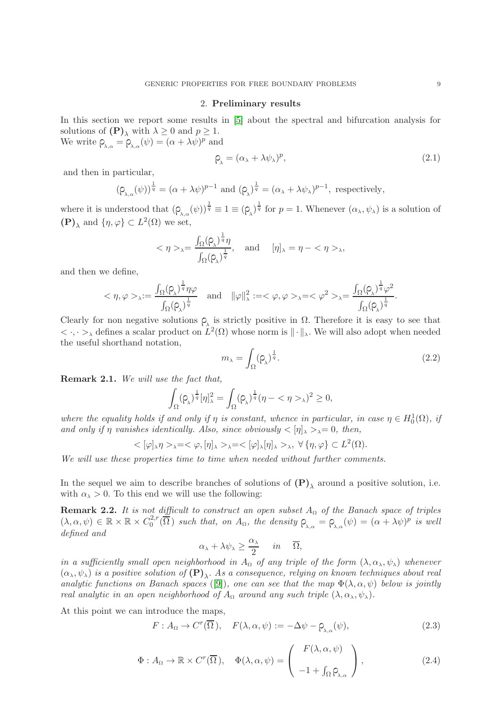#### 2. Preliminary results

<span id="page-8-0"></span>In this section we report some results in [\[5\]](#page-27-2) about the spectral and bifurcation analysis for solutions of  $(P)_{\lambda}$  with  $\lambda \geq 0$  and  $p \geq 1$ . We write  $\rho_{\lambda,\alpha} = \rho_{\lambda,\alpha}(\psi) = (\alpha + \lambda \psi)^p$  and

<span id="page-8-1"></span>
$$
\rho_{\lambda} = (\alpha_{\lambda} + \lambda \psi_{\lambda})^p, \tag{2.1}
$$

and then in particular,

$$
(\rho_{\lambda,\alpha}(\psi))^{\frac{1}{q}} = (\alpha + \lambda \psi)^{p-1}
$$
 and  $(\rho_{\lambda})^{\frac{1}{q}} = (\alpha_{\lambda} + \lambda \psi_{\lambda})^{p-1}$ , respectively,

where it is understood that  $(\rho_{\lambda,\alpha}(\psi))^{\frac{1}{q}} \equiv 1 \equiv (\rho_{\lambda})^{\frac{1}{q}}$  for  $p = 1$ . Whenever  $(\alpha_{\lambda}, \psi_{\lambda})$  is a solution of  $(\mathbf{P})_{\lambda}$  and  $\{\eta, \varphi\} \subset L^2(\Omega)$  we set,

$$
<\eta>_{\lambda}=\frac{\int_{\Omega}(\rho_{\lambda})^{\frac{1}{q}}\eta}{\int_{\Omega}(\rho_{\lambda})^{\frac{1}{q}}},\quad\text{and}\quad [\eta]_{\lambda}=\eta-<\eta>_{\lambda},
$$

and then we define,

$$
<\eta,\varphi>_{\lambda}:=\frac{\int_{\Omega}(\rho_{\lambda})^{\frac{1}{q}}\eta\varphi}{\int_{\Omega}(\rho_{\lambda})^{\frac{1}{q}}}\quad\text{and}\quad\|\varphi\|_{\lambda}^{2}:=<\varphi,\varphi>_{\lambda}=<\varphi^{2}>_{\lambda}=\frac{\int_{\Omega}(\rho_{\lambda})^{\frac{1}{q}}\varphi^{2}}{\int_{\Omega}(\rho_{\lambda})^{\frac{1}{q}}}.
$$

Clearly for non negative solutions  $\rho_{\lambda}$  is strictly positive in  $\Omega$ . Therefore it is easy to see that  $\langle \cdot, \cdot \rangle_{\lambda}$  defines a scalar product on  $L^2(\Omega)$  whose norm is  $\|\cdot\|_{\lambda}$ . We will also adopt when needed the useful shorthand notation,

$$
m_{\lambda} = \int_{\Omega} (\rho_{\lambda})^{\frac{1}{q}}.
$$
\n(2.2)

<span id="page-8-2"></span>Remark 2.1. We will use the fact that,

$$
\int_{\Omega} (\rho_{\lambda})^{\frac{1}{q}} [\eta]_{\lambda}^2 = \int_{\Omega} (\rho_{\lambda})^{\frac{1}{q}} (\eta - \langle \eta \rangle_{\lambda})^2 \ge 0,
$$

where the equality holds if and only if  $\eta$  is constant, whence in particular, in case  $\eta \in H_0^1(\Omega)$ , if and only if  $\eta$  vanishes identically. Also, since obviously  $\langle \eta | \chi \rangle_{\lambda} = 0$ , then,

 $<[\varphi]_{\lambda}\eta>_{\lambda}=<\varphi,[\eta]_{\lambda}>_{\lambda}=<[\varphi]_{\lambda}[\eta]_{\lambda}>,\forall{\{\eta,\varphi\}}\subset L^2(\Omega).$ 

We will use these properties time to time when needed without further comments.

In the sequel we aim to describe branches of solutions of  $(P)_{\lambda}$  around a positive solution, i.e. with  $\alpha_{\lambda} > 0$ . To this end we will use the following:

<span id="page-8-3"></span>**Remark 2.2.** It is not difficult to construct an open subset  $A_{\Omega}$  of the Banach space of triples  $(\lambda, \alpha, \psi) \in \mathbb{R} \times \mathbb{R} \times C_0^{2,r}$  $\mathcal{C}_0^{2,r}(\overline{\Omega})$  such that, on  $A_{\Omega}$ , the density  $\varphi_{\lambda,\alpha} = \varphi_{\lambda,\alpha}(\psi) = (\alpha + \lambda \psi)^p$  is well defined and

$$
\alpha_{\lambda} + \lambda \psi_{\lambda} \ge \frac{\alpha_{\lambda}}{2} \quad in \quad \overline{\Omega},
$$

in a sufficiently small open neighborhood in  $A_{\Omega}$  of any triple of the form  $(\lambda, \alpha_{\lambda}, \psi_{\lambda})$  whenever  $(\alpha_\lambda,\psi_\lambda)$  is a positive solution of  $({\bf P})_\lambda$ . As a consequence, relying on known techniques about real analytic functions on Banach spaces ([\[9\]](#page-27-13)), one can see that the map  $\Phi(\lambda, \alpha, \psi)$  below is jointly real analytic in an open neighborhood of  $A_{\Omega}$  around any such triple  $(\lambda, \alpha_{\lambda}, \psi_{\lambda})$ .

At this point we can introduce the maps,

$$
F: A_{\Omega} \to C^{r}(\overline{\Omega}), \quad F(\lambda, \alpha, \psi) := -\Delta \psi - \rho_{\lambda, \alpha}(\psi), \tag{2.3}
$$

$$
\Phi: A_{\Omega} \to \mathbb{R} \times C^{r}(\overline{\Omega}), \quad \Phi(\lambda, \alpha, \psi) = \begin{pmatrix} F(\lambda, \alpha, \psi) \\ -1 + \int_{\Omega} \rho_{\lambda, \alpha} \end{pmatrix},
$$
\n(2.4)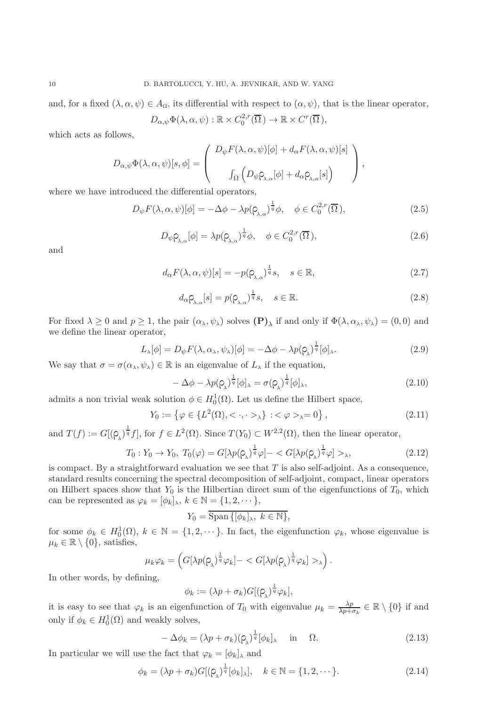and, for a fixed  $(\lambda, \alpha, \psi) \in A_{\Omega}$ , its differential with respect to  $(\alpha, \psi)$ , that is the linear operator,

$$
D_{\alpha,\psi}\Phi(\lambda,\alpha,\psi): \mathbb{R} \times C_0^{2,r}(\overline{\Omega}) \to \mathbb{R} \times C^r(\overline{\Omega}),
$$

which acts as follows,

$$
D_{\alpha,\psi}\Phi(\lambda,\alpha,\psi)[s,\phi] = \begin{pmatrix} D_{\psi}F(\lambda,\alpha,\psi)[\phi] + d_{\alpha}F(\lambda,\alpha,\psi)[s] \\ \int_{\Omega} \left( D_{\psi}\rho_{\lambda,\alpha}[\phi] + d_{\alpha}\rho_{\lambda,\alpha}[s] \right) \end{pmatrix},
$$

where we have introduced the differential operators,

$$
D_{\psi}F(\lambda,\alpha,\psi)[\phi] = -\Delta\phi - \lambda p(\rho_{\lambda,\alpha})^{\frac{1}{q}}\phi, \quad \phi \in C_0^{2,r}(\overline{\Omega}),
$$
\n(2.5)

$$
D_{\psi} \rho_{\lambda,\alpha}[\phi] = \lambda p(\rho_{\lambda,\alpha})^{\frac{1}{q}} \phi, \quad \phi \in C_0^{2,r}(\overline{\Omega}), \tag{2.6}
$$

and

$$
d_{\alpha}F(\lambda,\alpha,\psi)[s] = -p(\rho_{\lambda,\alpha})^{\frac{1}{q}}s, \quad s \in \mathbb{R},
$$
\n(2.7)

$$
d_{\alpha} \mathsf{Q}_{\lambda,\alpha}[s] = p(\mathsf{Q}_{\lambda,\alpha})^{\frac{1}{q}} s, \quad s \in \mathbb{R}.
$$
\n(2.8)

For fixed  $\lambda \geq 0$  and  $p \geq 1$ , the pair  $(\alpha_{\lambda}, \psi_{\lambda})$  solves  $(\mathbf{P})_{\lambda}$  if and only if  $\Phi(\lambda, \alpha_{\lambda}, \psi_{\lambda}) = (0, 0)$  and we define the linear operator,

<span id="page-9-0"></span>
$$
L_{\lambda}[\phi] = D_{\psi} F(\lambda, \alpha_{\lambda}, \psi_{\lambda})[\phi] = -\Delta \phi - \lambda p(\rho_{\lambda})^{\frac{1}{q}}[\phi]_{\lambda}.
$$
 (2.9)

We say that  $\sigma = \sigma(\alpha_{\lambda}, \psi_{\lambda}) \in \mathbb{R}$  is an eigenvalue of  $L_{\lambda}$  if the equation,

$$
-\Delta\phi - \lambda p(\rho_\lambda)^{\frac{1}{q}}[\phi]_\lambda = \sigma(\rho_\lambda)^{\frac{1}{q}}[\phi]_\lambda,
$$
\n(2.10)

admits a non trivial weak solution  $\phi \in H_0^1(\Omega)$ . Let us define the Hilbert space,

$$
Y_0 := \{ \varphi \in \{ L^2(\Omega), < \cdot, \cdot >_{\lambda} \} : <\varphi >_{\lambda} = 0 \},
$$
\n(2.11)

and  $T(f) := G[(\rho_{\lambda})^{\frac{1}{q}}f],$  for  $f \in L^2(\Omega)$ . Since  $T(Y_0) \subset W^{2,2}(\Omega)$ , then the linear operator,

$$
T_0: Y_0 \to Y_0, T_0(\varphi) = G[\lambda p(\varphi_\lambda)^{\frac{1}{q}} \varphi] - \langle G[\lambda p(\varphi_\lambda)^{\frac{1}{q}} \varphi] \rangle_{\lambda}, \tag{2.12}
$$

is compact. By a straightforward evaluation we see that  $T$  is also self-adjoint. As a consequence, standard results concerning the spectral decomposition of self-adjoint, compact, linear operators on Hilbert spaces show that  $Y_0$  is the Hilbertian direct sum of the eigenfunctions of  $T_0$ , which can be represented as  $\varphi_k = [\phi_k]_{\lambda}, k \in \mathbb{N} = \{1, 2, \dots\},\$ 

$$
Y_0 = \overline{\text{Span}\left\{ [\phi_k]_\lambda, k \in \mathbb{N} \right\}},
$$

for some  $\phi_k \in H_0^1(\Omega)$ ,  $k \in \mathbb{N} = \{1, 2, \dots\}$ . In fact, the eigenfunction  $\varphi_k$ , whose eigenvalue is  $\mu_k \in \mathbb{R} \setminus \{0\}$ , satisfies,

$$
\mu_k \varphi_k = \left( G[\lambda p(\rho_\lambda)^{\frac{1}{q}} \varphi_k] - \langle G[\lambda p(\rho_\lambda)^{\frac{1}{q}} \varphi_k] \rangle_k \right).
$$

In other words, by defining,

$$
\phi_k := (\lambda p + \sigma_k) G[(\varphi_{\lambda})^{\frac{1}{q}} \varphi_k],
$$

it is easy to see that  $\varphi_k$  is an eigenfunction of  $T_0$  with eigenvalue  $\mu_k = \frac{\lambda p}{\lambda p + k}$  $\frac{\lambda p}{\lambda p + \sigma_k} \in \mathbb{R} \setminus \{0\}$  if and only if  $\phi_k \in H_0^1(\Omega)$  and weakly solves,

$$
-\Delta\phi_k = (\lambda p + \sigma_k)(\rho_\lambda)^{\frac{1}{q}}[\phi_k]_\lambda \quad \text{in} \quad \Omega.
$$
 (2.13)

In particular we will use the fact that  $\varphi_k=[\phi_k]_\lambda$  and

$$
\phi_k = (\lambda p + \sigma_k) G[(\rho_\lambda)^{\frac{1}{q}} [\phi_k]_\lambda], \quad k \in \mathbb{N} = \{1, 2, \cdots\}.
$$
 (2.14)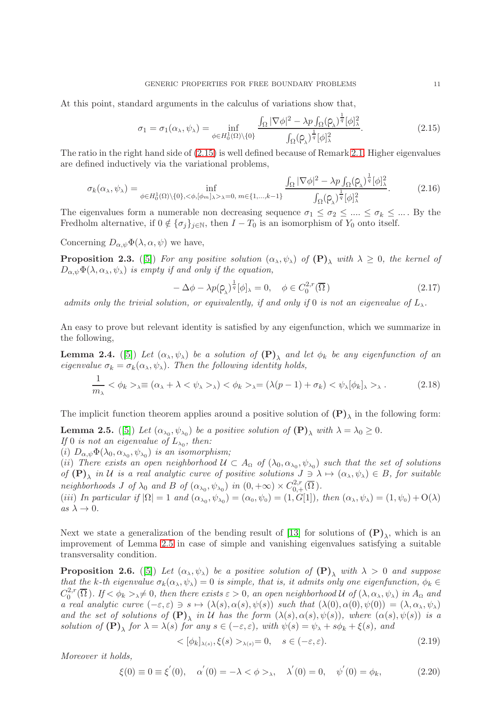At this point, standard arguments in the calculus of variations show that,

<span id="page-10-0"></span>
$$
\sigma_1 = \sigma_1(\alpha_\lambda, \psi_\lambda) = \inf_{\phi \in H_0^1(\Omega) \setminus \{0\}} \frac{\int_{\Omega} |\nabla \phi|^2 - \lambda p \int_{\Omega} (\rho_\lambda)^{\frac{1}{q}} [\phi]_\lambda^2}{\int_{\Omega} (\rho_\lambda)^{\frac{1}{q}} [\phi]_\lambda^2}.
$$
\n(2.15)

The ratio in the right hand side of [\(2.15\)](#page-10-0) is well defined because of Remark [2.1.](#page-8-2) Higher eigenvalues are defined inductively via the variational problems,

$$
\sigma_k(\alpha_\lambda, \psi_\lambda) = \inf_{\phi \in H_0^1(\Omega) \setminus \{0\}, \langle \phi, [\phi_m]_\lambda \rangle_\lambda = 0, \, m \in \{1, \dots, k-1\}} \frac{\int_{\Omega} |\nabla \phi|^2 - \lambda p \int_{\Omega} (\rho_\lambda)^{\frac{1}{q}} [\phi]_\lambda^2}{\int_{\Omega} (\rho_\lambda)^{\frac{1}{q}} [\phi]_\lambda^2}.
$$
 (2.16)

The eigenvalues form a numerable non decreasing sequence  $\sigma_1 \leq \sigma_2 \leq ... \leq \sigma_k \leq ...$  By the Fredholm alternative, if  $0 \notin {\{\sigma_j\}}_{j \in \mathbb{N}}$ , then  $I - T_0$  is an isomorphism of  $Y_0$  onto itself.

Concerning  $D_{\alpha,\psi}\Phi(\lambda,\alpha,\psi)$  we have,

**Proposition 2.3.** ([\[5\]](#page-27-2)) For any positive solution  $(\alpha_{\lambda}, \psi_{\lambda})$  of  $(P)_{\lambda}$  with  $\lambda \geq 0$ , the kernel of  $D_{\alpha,\psi}\Phi(\lambda,\alpha_\lambda,\psi_\lambda)$  is empty if and only if the equation,

$$
-\Delta \phi - \lambda p(\rho_\lambda)^{\frac{1}{q}} [\phi]_\lambda = 0, \quad \phi \in C_0^{2,r}(\overline{\Omega})
$$
\n(2.17)

admits only the trivial solution, or equivalently, if and only if 0 is not an eigenvalue of  $L_{\lambda}$ .

An easy to prove but relevant identity is satisfied by any eigenfunction, which we summarize in the following,

**Lemma 2.4.** ([\[5\]](#page-27-2)) Let  $(\alpha_{\lambda},\psi_{\lambda})$  be a solution of  $(P)_{\lambda}$  and let  $\phi_k$  be any eigenfunction of an eigenvalue  $\sigma_k = \sigma_k(\alpha_\lambda, \psi_\lambda)$ . Then the following identity holds,

<span id="page-10-2"></span>
$$
\frac{1}{m_{\lambda}} < \phi_k >_{\lambda} \equiv (\alpha_{\lambda} + \lambda < \psi_{\lambda} >_{\lambda}) < \phi_k >_{\lambda} = (\lambda(p-1) + \sigma_k) < \psi_{\lambda}[\phi_k]_{\lambda} >_{\lambda} \,. \tag{2.18}
$$

The implicit function theorem applies around a positive solution of  $(P)_{\lambda}$  in the following form: **Lemma 2.5.** ([\[5\]](#page-27-2)) Let  $(\alpha_{\lambda_0}, \psi_{\lambda_0})$  be a positive solution of  $(P)_{\lambda}$  with  $\lambda = \lambda_0 \ge 0$ .

<span id="page-10-1"></span>If 0 is not an eigenvalue of  $L_{\lambda_0}$ , then:

(i)  $D_{\alpha,\psi}\Phi(\lambda_0,\alpha_{\lambda_0},\psi_{\lambda_0})$  is an isomorphism;

(ii) There exists an open neighborhood  $\mathcal{U} \subset A_{\Omega}$  of  $(\lambda_0, \alpha_{\lambda_0}, \psi_{\lambda_0})$  such that the set of solutions of  $(P)_{\lambda}$  in U is a real analytic curve of positive solutions  $J \ni \lambda \mapsto (\alpha_{\lambda}, \psi_{\lambda}) \in B$ , for suitable neighborhoods J of  $\lambda_0$  and B of  $(\alpha_{\lambda_0}, \psi_{\lambda_0})$  in  $(0, +\infty) \times C^{2,r}_{0,+}(\overline{\Omega})$ .

(iii) In particular if  $|\Omega| = 1$  and  $(\alpha_{\lambda_0}, \psi_{\lambda_0}) = (\alpha_0, \psi_0) = (1, G[1])$ , then  $(\alpha_{\lambda}, \psi_{\lambda}) = (1, \psi_0) + O(\lambda)$ as  $\lambda \to 0$ .

Next we state a generalization of the bending result of [\[13\]](#page-27-12) for solutions of  $(P)_{\lambda}$ , which is an improvement of Lemma [2.5](#page-10-1) in case of simple and vanishing eigenvalues satisfying a suitable transversality condition.

<span id="page-10-3"></span>**Proposition 2.6.** ([\[5\]](#page-27-2)) Let  $(\alpha_{\lambda}, \psi_{\lambda})$  be a positive solution of  $(P)_{\lambda}$  with  $\lambda > 0$  and suppose that the k-th eigenvalue  $\sigma_k(\alpha_\lambda, \psi_\lambda) = 0$  is simple, that is, it admits only one eigenfunction,  $\phi_k \in$  $C_0^{2,r}$  $\int_0^{2,r}(\Omega)$ . If  $\lt \phi_k > \to \neq 0$ , then there exists  $\varepsilon > 0$ , an open neighborhood U of  $(\lambda, \alpha_\lambda, \psi_\lambda)$  in  $A_\Omega$  and a real analytic curve  $(-\varepsilon, \varepsilon) \ni s \mapsto (\lambda(s), \alpha(s), \psi(s))$  such that  $(\lambda(0), \alpha(0), \psi(0)) = (\lambda, \alpha_\lambda, \psi_\lambda)$ and the set of solutions of  $(P)_{\lambda}$  in U has the form  $(\lambda(s), \alpha(s), \psi(s))$ , where  $(\alpha(s), \psi(s))$  is a solution of  $(\mathbf{P})_\lambda$  for  $\lambda = \lambda(s)$  for any  $s \in (-\varepsilon, \varepsilon)$ , with  $\psi(s) = \psi_\lambda + s\phi_k + \xi(s)$ , and

$$
\langle [\phi_k]_{\lambda(s)}, \xi(s) \rangle_{\lambda(s)} = 0, \quad s \in (-\varepsilon, \varepsilon). \tag{2.19}
$$

Moreover it holds,

<span id="page-10-4"></span>
$$
\xi(0) \equiv 0 \equiv \xi'(0), \quad \alpha'(0) = -\lambda < \phi >_{\lambda}, \quad \lambda'(0) = 0, \quad \psi'(0) = \phi_k,\tag{2.20}
$$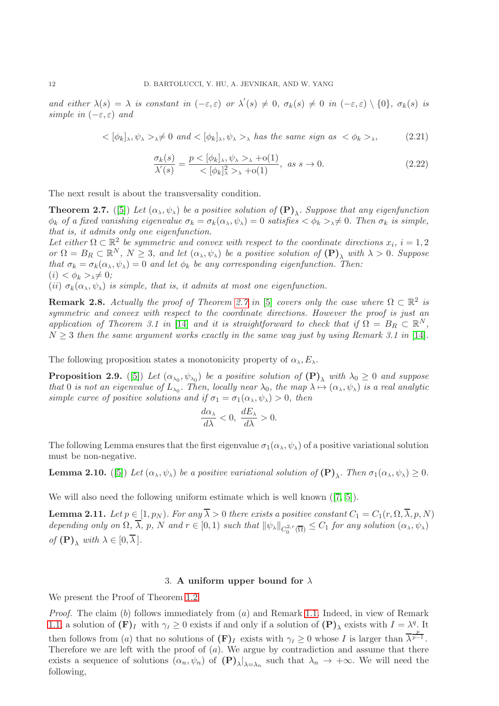and either  $\lambda(s) = \lambda$  is constant in  $(-\varepsilon, \varepsilon)$  or  $\lambda'(s) \neq 0$ ,  $\sigma_k(s) \neq 0$  in  $(-\varepsilon, \varepsilon) \setminus \{0\}$ ,  $\sigma_k(s)$  is simple in  $(-\varepsilon, \varepsilon)$  and

<span id="page-11-6"></span>
$$
\langle \phi_k |_{\lambda}, \psi_{\lambda} \rangle_{\lambda} \neq 0 \text{ and } \langle \phi_k |_{\lambda}, \psi_{\lambda} \rangle_{\lambda} \text{ has the same sign as } \langle \phi_k \rangle_{\lambda}, \tag{2.21}
$$

<span id="page-11-5"></span>
$$
\frac{\sigma_k(s)}{\lambda'(s)} = \frac{p < [\phi_k]_\lambda, \psi_\lambda >_\lambda + o(1)}{\langle [\phi_k]_\lambda^2 >_\lambda + o(1)}, \text{ as } s \to 0. \tag{2.22}
$$

The next result is about the transversality condition.

<span id="page-11-1"></span>**Theorem 2.7.** ([\[5\]](#page-27-2)) Let  $(\alpha_{\lambda}, \psi_{\lambda})$  be a positive solution of  $(P)_{\lambda}$ . Suppose that any eigenfunction  $\phi_k$  of a fixed vanishing eigenvalue  $\sigma_k = \sigma_k(\alpha_\lambda, \psi_\lambda) = 0$  satisfies  $\langle \phi_k \rangle_{\lambda} \neq 0$ . Then  $\sigma_k$  is simple, that is, it admits only one eigenfunction.

Let either  $\Omega \subset \mathbb{R}^2$  be symmetric and convex with respect to the coordinate directions  $x_i$ ,  $i = 1, 2$ or  $\Omega = B_R \subset \mathbb{R}^N$ ,  $N \geq 3$ , and let  $(\alpha_\lambda, \psi_\lambda)$  be a positive solution of  $(\mathbf{P})_\lambda$  with  $\lambda > 0$ . Suppose that  $\sigma_k = \sigma_k(\alpha_\lambda, \psi_\lambda) = 0$  and let  $\phi_k$  be any corresponding eigenfunction. Then:  $(i) < \phi_k >_{\lambda} \neq 0;$ 

(ii)  $\sigma_k(\alpha_\lambda, \psi_\lambda)$  is simple, that is, it admits at most one eigenfunction.

**Remark 2.8.** Actually the proof of Theorem [2.7](#page-11-1) in [\[5\]](#page-27-2) covers only the case where  $\Omega \subset \mathbb{R}^2$  is symmetric and convex with respect to the coordinate directions. However the proof is just an application of Theorem 3.1 in [\[14\]](#page-27-11) and it is straightforward to check that if  $\Omega = B_R \subset \mathbb{R}^N$ ,  $N \geq 3$  then the same argument works exactly in the same way just by using Remark 3.1 in [\[14\]](#page-27-11).

The following proposition states a monotonicity property of  $\alpha_{\lambda}, E_{\lambda}$ .

<span id="page-11-3"></span>**Proposition 2.9.** ([\[5\]](#page-27-2)) Let  $(\alpha_{\lambda_0}, \psi_{\lambda_0})$  be a positive solution of  $(P)_{\lambda}$  with  $\lambda_0 \geq 0$  and suppose that 0 is not an eigenvalue of  $L_{\lambda_0}$ . Then, locally near  $\lambda_0$ , the map  $\lambda \mapsto (\alpha_\lambda, \psi_\lambda)$  is a real analytic simple curve of positive solutions and if  $\sigma_1 = \sigma_1(\alpha_\lambda, \psi_\lambda) > 0$ , then

$$
\frac{d\alpha_{\lambda}}{d\lambda} < 0, \ \frac{dE_{\lambda}}{d\lambda} > 0.
$$

The following Lemma ensures that the first eigenvalue  $\sigma_1(\alpha_\lambda, \psi_\lambda)$  of a positive variational solution must be non-negative.

<span id="page-11-4"></span>**Lemma 2.10.** ([\[5\]](#page-27-2)) Let  $(\alpha_{\lambda}, \psi_{\lambda})$  be a positive variational solution of  $(P)_{\lambda}$ . Then  $\sigma_1(\alpha_{\lambda}, \psi_{\lambda}) \geq 0$ .

Wewill also need the following uniform estimate which is well known  $(7, 5]$  $(7, 5]$ ).

<span id="page-11-2"></span>**Lemma 2.11.** Let  $p \in [1, p_N)$ . For any  $\overline{\lambda} > 0$  there exists a positive constant  $C_1 = C_1(r, \Omega, \overline{\lambda}, p, N)$ depending only on  $\Omega$ ,  $\lambda$ ,  $p$ ,  $N$  and  $r \in [0,1)$  such that  $\|\psi_{\lambda}\|_{C^{2,r}_{0}(\overline{\Omega})} \leq C_1$  for any solution  $(\alpha_{\lambda}, \psi_{\lambda})$ of  $(\mathbf{P})$ <sub>λ</sub> with  $\lambda \in [0, \overline{\lambda}]$ .

### 3. A uniform upper bound for  $\lambda$

<span id="page-11-0"></span>We present the Proof of Theorem [1.2.](#page-5-0)

*Proof.* The claim  $(b)$  follows immediately from  $(a)$  and Remark [1.1.](#page-4-0) Indeed, in view of Remark [1.1,](#page-4-0) a solution of  $(\mathbf{F})_I$  with  $\gamma_I \geq 0$  exists if and only if a solution of  $(\mathbf{P})_\lambda$  exists with  $I = \lambda^q$ . It then follows from (a) that no solutions of  $(F)_I$  exists with  $\gamma_I \geq 0$  whose I is larger than  $\overline{\lambda}^{\frac{p}{p-1}}$ . Therefore we are left with the proof of  $(a)$ . We argue by contradiction and assume that there exists a sequence of solutions  $(\alpha_n, \psi_n)$  of  $(\mathbf{P})_\lambda|_{\lambda = \lambda_n}$  such that  $\lambda_n \to +\infty$ . We will need the following,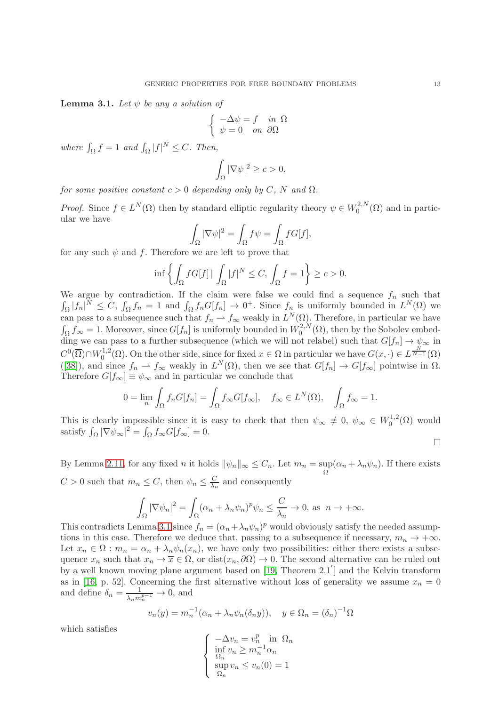<span id="page-12-0"></span>**Lemma 3.1.** Let  $\psi$  be any a solution of

$$
\begin{cases}\n-\Delta \psi = f & \text{in } \Omega \\
\psi = 0 & \text{on } \partial \Omega\n\end{cases}
$$

where  $\int_{\Omega} f = 1$  and  $\int_{\Omega} |f|^{N} \leq C$ . Then,

$$
\int_{\Omega} |\nabla \psi|^2 \ge c > 0,
$$

for some positive constant  $c > 0$  depending only by C, N and  $\Omega$ .

*Proof.* Since  $f \in L^N(\Omega)$  then by standard elliptic regularity theory  $\psi \in W_0^{2,N}$  $\mathcal{O}^{(2,N)}(\Omega)$  and in particular we have

$$
\int_{\Omega} |\nabla \psi|^2 = \int_{\Omega} f \psi = \int_{\Omega} f G[f],
$$

for any such  $\psi$  and  $f$ . Therefore we are left to prove that

$$
\inf \left\{ \int_{\Omega} f G[f] \, | \, \int_{\Omega} |f|^N \le C, \, \int_{\Omega} f = 1 \right\} \ge c > 0.
$$

We argue by contradiction. If the claim were false we could find a sequence  $f_n$  such that  $\int_{\Omega} |f_n|^N \leq C, \int_{\Omega} f_n = 1$  and  $\int_{\Omega} f_n G[f_n] \to 0^+$ . Since  $f_n$  is uniformly bounded in  $L^N(\Omega)$  we can pass to a subsequence such that  $f_n \to f_\infty$  weakly in  $L^N(\Omega)$ . Therefore, in particular we have  $\int_{\Omega} f_{\infty} = 1$ . Moreover, since  $G[f_n]$  is uniformly bounded in  $W_0^{2,N}$  $_{0}^{\mathcal{L},N}(\Omega)$ , then by the Sobolev embedding we can pass to a further subsequence (which we will not relabel) such that  $G[f_n] \to \psi_{\infty}$  in  $C^0(\overline{\Omega}) \cap W_0^{1,2}$ <sup>1,2</sup>( $\Omega$ ). On the other side, since for fixed  $x \in \Omega$  in particular we have  $G(x, \cdot) \in L^{\frac{N}{N-1}}(\Omega)$ ([\[38\]](#page-28-19)), and since  $f_n \rightharpoonup f_\infty$  weakly in  $L^N(\Omega)$ , then we see that  $G[f_n] \to G[f_\infty]$  pointwise in  $\Omega$ . Therefore  $G[f_{\infty}] \equiv \psi_{\infty}$  and in particular we conclude that

$$
0 = \lim_{n} \int_{\Omega} f_n G[f_n] = \int_{\Omega} f_{\infty} G[f_{\infty}], \quad f_{\infty} \in L^{N}(\Omega), \quad \int_{\Omega} f_{\infty} = 1.
$$

This is clearly impossible since it is easy to check that then  $\psi_{\infty} \neq 0, \psi_{\infty} \in W_0^{1,2}$  $_{0}^{\text{1,2}}(\Omega)$  would satisfy  $\int_{\Omega} |\nabla \psi_{\infty}|^2 = \int_{\Omega} f_{\infty} G[f_{\infty}] = 0.$  $\Box$ 

By Lemma [2.11,](#page-11-2) for any fixed *n* it holds  $\|\psi_n\|_{\infty} \leq C_n$ . Let  $m_n = \sup_{\Omega} (\alpha_n + \lambda_n \psi_n)$ . If there exists  $C > 0$  such that  $m_n \leq C$ , then  $\psi_n \leq \frac{C}{\lambda_n}$  $\frac{C}{\lambda_n}$  and consequently

$$
\int_{\Omega} |\nabla \psi_n|^2 = \int_{\Omega} (\alpha_n + \lambda_n \psi_n)^p \psi_n \leq \frac{C}{\lambda_n} \to 0, \text{ as } n \to +\infty.
$$

This contradicts Lemma [3.1](#page-12-0) since  $f_n = (\alpha_n + \lambda_n \psi_n)^p$  would obviously satisfy the needed assumptions in this case. Therefore we deduce that, passing to a subsequence if necessary,  $m_n \to +\infty$ . Let  $x_n \in \Omega : m_n = \alpha_n + \lambda_n \psi_n(x_n)$ , we have only two possibilities: either there exists a subsequence  $x_n$  such that  $x_n \to \overline{x} \in \Omega$ , or  $dist(x_n, \partial \Omega) \to 0$ . The second alternative can be ruled out by a well known moving plane argument based on [\[19,](#page-28-20) Theorem 2.1 ] and the Kelvin transform as in [\[16,](#page-28-21) p. 52]. Concerning the first alternative without loss of generality we assume  $x_n = 0$ and define  $\delta_n = \frac{1}{\sqrt{m}}$  $\frac{1}{\lambda_n m_n^{p-1}} \to 0$ , and

$$
v_n(y) = m_n^{-1}(\alpha_n + \lambda_n \psi_n(\delta_n y)), \quad y \in \Omega_n = (\delta_n)^{-1} \Omega
$$

which satisfies

$$
\begin{cases}\n-\Delta v_n = v_n^p \text{ in } \Omega_n \\
\inf_{\Omega_n} v_n \ge m_n^{-1} \alpha_n \\
\sup_{\Omega_n} v_n \le v_n(0) = 1\n\end{cases}
$$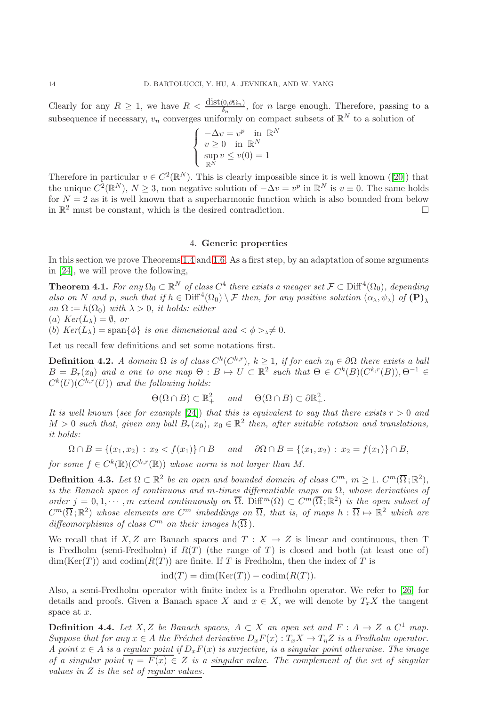Clearly for any  $R \geq 1$ , we have  $R < \frac{\text{dist}(0, \partial \Omega_n)}{\delta_n}$ , for *n* large enough. Therefore, passing to a subsequence if necessary,  $v_n$  converges uniformly on compact subsets of  $\mathbb{R}^N$  to a solution of

$$
\begin{cases}\n-\Delta v = v^p \text{ in } \mathbb{R}^N \\
v \ge 0 \text{ in } \mathbb{R}^N \\
\sup_{\mathbb{R}^N} v \le v(0) = 1\n\end{cases}
$$

Thereforein particular  $v \in C^2(\mathbb{R}^N)$ . This is clearly impossible since it is well known ([\[20\]](#page-28-22)) that the unique  $C^2(\mathbb{R}^N)$ ,  $N \geq 3$ , non negative solution of  $-\Delta v = v^p$  in  $\mathbb{R}^N$  is  $v \equiv 0$ . The same holds for  $N = 2$  as it is well known that a superharmonic function which is also bounded from below in  $\mathbb{R}^2$  must be constant, which is the desired contradiction.

## 4. Generic properties

<span id="page-13-0"></span>In this section we prove Theorems [1.4](#page-6-0) and [1.6.](#page-7-0) As a first step, by an adaptation of some arguments in [\[24\]](#page-28-17), we will prove the following,

<span id="page-13-1"></span>**Theorem 4.1.** For any  $\Omega_0 \subset \mathbb{R}^N$  of class  $C^4$  there exists a meager set  $\mathcal{F} \subset \text{Diff}^4(\Omega_0)$ , depending also on N and p, such that if  $h \in \text{Diff}^4(\Omega_0) \setminus \mathcal{F}$  then, for any positive solution  $(\alpha_\lambda, \psi_\lambda)$  of  $(\mathbf{P})_\lambda$ on  $\Omega := h(\Omega_0)$  with  $\lambda > 0$ , it holds: either (a)  $V_{\text{conf}}(L_n) =$ 

$$
(a) \ \text{Ker}(L_{\lambda}) = \emptyset, \text{ or}
$$

(b)  $Ker(L_{\lambda}) = \text{span}\{\phi\}$  is one dimensional and  $\langle \phi \rangle_{\lambda} \neq 0$ .

Let us recall few definitions and set some notations first.

**Definition 4.2.** A domain  $\Omega$  is of class  $C^k(C^{k,r})$ ,  $k \geq 1$ , if for each  $x_0 \in \partial\Omega$  there exists a ball  $B = B_r(x_0)$  and a one to one map  $\Theta : B \mapsto U \subset \mathbb{R}^2$  such that  $\Theta \in C^k(B)(C^{k,r}(B)), \Theta^{-1} \in$  $C^{k}(U)(C^{k,r}(U))$  and the following holds:

$$
\Theta(\Omega \cap B) \subset \mathbb{R}^2_+ \quad \text{and} \quad \Theta(\Omega \cap B) \subset \partial \mathbb{R}^2_+.
$$

It is well known (see for example [\[24\]](#page-28-17)) that this is equivalent to say that there exists  $r > 0$  and  $M > 0$  such that, given any ball  $B_r(x_0)$ ,  $x_0 \in \mathbb{R}^2$  then, after suitable rotation and translations, it holds:

$$
\Omega \cap B = \{(x_1, x_2) : x_2 < f(x_1)\} \cap B \quad \text{and} \quad \partial \Omega \cap B = \{(x_1, x_2) : x_2 = f(x_1)\} \cap B,
$$

for some  $f \in C^k(\mathbb{R})$  ( $C^{k,r}(\mathbb{R})$ ) whose norm is not larger than M.

**Definition 4.3.** Let  $\Omega \subset \mathbb{R}^2$  be an open and bounded domain of class  $C^m$ ,  $m \geq 1$ .  $C^m(\overline{\Omega}; \mathbb{R}^2)$ , is the Banach space of continuous and m-times differentiable maps on  $\Omega$ , whose derivatives of order  $j = 0, 1, \dots, m$  extend continuously on  $\overline{\Omega}$ . Diff<sup>m</sup>( $\Omega$ )  $\subset C^m(\overline{\Omega}; \mathbb{R}^2)$  is the open subset of  $C^m(\overline{\Omega};\mathbb{R}^2)$  whose elements are  $C^m$  imbeddings on  $\overline{\Omega}$ , that is, of maps  $h:\overline{\Omega}\mapsto\mathbb{R}^2$  which are diffeomorphisms of class  $C^m$  on their images  $h(\overline{\Omega})$ .

We recall that if X, Z are Banach spaces and  $T : X \to Z$  is linear and continuous, then T is Fredholm (semi-Fredholm) if  $R(T)$  (the range of T) is closed and both (at least one of)  $\dim(\text{Ker}(T))$  and  $\text{codim}(R(T))$  are finite. If T is Fredholm, then the index of T is

$$
ind(T) = dim(Ker(T)) - codim(R(T)).
$$

Also, a semi-Fredholm operator with finite index is a Fredholm operator. We refer to [\[26\]](#page-28-23) for details and proofs. Given a Banach space X and  $x \in X$ , we will denote by  $T_xX$  the tangent space at  $x$ .

**Definition 4.4.** Let X, Z be Banach spaces,  $A \subset X$  an open set and  $F : A \to Z$  a  $C^1$  map. Suppose that for any  $x \in A$  the Fréchet derivative  $D_xF(x) : T_xX \to T_nZ$  is a Fredholm operator. A point  $x \in A$  is a regular point if  $D_x F(x)$  is surjective, is a singular point otherwise. The image of a singular point  $\overline{\eta} = \overline{F(x)} \in Z$  is a singular value. The complement of the set of singular values in Z is the set of regular values.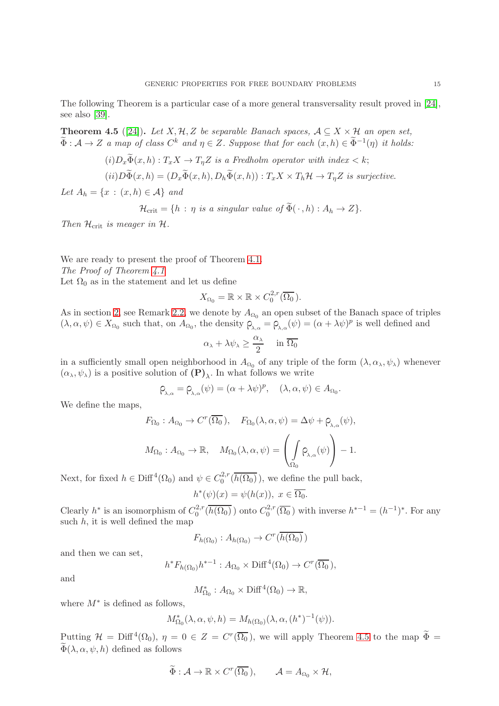The following Theorem is a particular case of a more general transversality result proved in [\[24\]](#page-28-17), see also [\[39\]](#page-28-24).

<span id="page-14-0"></span>**Theorem 4.5** ([\[24\]](#page-28-17)). Let X, H, Z be separable Banach spaces,  $A \subseteq X \times H$  an open set,  $\widetilde{\Phi}: \mathcal{A} \to Z$  a map of class  $C^k$  and  $\eta \in Z$ . Suppose that for each  $(x, h) \in \widetilde{\Phi}^{-1}(\eta)$  it holds:

$$
(i)D_x\Phi(x,h):T_xX\to T_\eta Z \text{ is a Fredholm operator with index } < k;
$$

$$
(ii) D\tilde{\Phi}(x,h) = (D_x \tilde{\Phi}(x,h), D_h \tilde{\Phi}(x,h)) : T_x X \times T_h \mathcal{H} \to T_\eta Z \text{ is surjective.}
$$

Let  $A_h = \{x : (x, h) \in \mathcal{A}\}\$ and

$$
\mathcal{H}_{\text{crit}} = \{ h : \eta \text{ is a singular value of } \Phi(\cdot, h) : A_h \to Z \}.
$$

Then  $\mathcal{H}_{\text{crit}}$  is meager in  $\mathcal{H}.$ 

We are ready to present the proof of Theorem [4.1.](#page-13-1) The Proof of Theorem [4.1](#page-13-1) Let  $\Omega_0$  as in the statement and let us define

$$
X_{\Omega_0} = \mathbb{R} \times \mathbb{R} \times C_0^{2,r}(\overline{\Omega_0}).
$$

As in section [2,](#page-8-0) see Remark [2.2,](#page-8-3) we denote by  $A_{\Omega_0}$  an open subset of the Banach space of triples  $(\lambda, \alpha, \psi) \in X_{\Omega_0}$  such that, on  $A_{\Omega_0}$ , the density  $\rho_{\lambda,\alpha} = \rho_{\lambda,\alpha}(\psi) = (\alpha + \lambda \psi)^p$  is well defined and

$$
\alpha_{\lambda} + \lambda \psi_{\lambda} \ge \frac{\alpha_{\lambda}}{2} \quad \text{ in } \overline{\Omega_0}
$$

in a sufficiently small open neighborhood in  $A_{\Omega_0}$  of any triple of the form  $(\lambda, \alpha_\lambda, \psi_\lambda)$  whenever  $(\alpha_{\lambda}, \psi_{\lambda})$  is a positive solution of  $(P)_{\lambda}$ . In what follows we write

$$
\rho_{\lambda,\alpha} = \rho_{\lambda,\alpha}(\psi) = (\alpha + \lambda \psi)^p, \quad (\lambda, \alpha, \psi) \in A_{\Omega_0}.
$$

We define the maps,

$$
F_{\Omega_0}: A_{\Omega_0} \to C^r(\overline{\Omega_0}), \quad F_{\Omega_0}(\lambda, \alpha, \psi) = \Delta \psi + \rho_{\lambda, \alpha}(\psi),
$$
  

$$
M_{\Omega_0}: A_{\Omega_0} \to \mathbb{R}, \quad M_{\Omega_0}(\lambda, \alpha, \psi) = \left(\int_{\Omega_0} \rho_{\lambda, \alpha}(\psi)\right) - 1.
$$

Next, for fixed  $h \in \text{Diff}^4(\Omega_0)$  and  $\psi \in C_0^{2,r}$  $\int_0^{2,r}(h(\Omega_0)),$  we define the pull back,

$$
h^*(\psi)(x) = \psi(h(x)), \ x \in \overline{\Omega_0}.
$$

Clearly  $h^*$  is an isomorphism of  $C_0^{2,r}$  $C_0^{2,r}(\overline{h(\Omega_0)})$  onto  $C_0^{2,r}$  $h^{2,r}(\overline{\Omega_0})$  with inverse  $h^{*-1} = (h^{-1})^*$ . For any such  $h$ , it is well defined the map

$$
F_{h(\Omega_0)}: A_{h(\Omega_0)} \to C^r(\overline{h(\Omega_0)})
$$

and then we can set,

$$
h^* F_{h(\Omega_0)} h^{*-1} : A_{\Omega_0} \times \text{Diff}^4(\Omega_0) \to C^r(\overline{\Omega_0}),
$$

and

$$
M^*_{\Omega_0}: A_{\Omega_0} \times \text{Diff}^4(\Omega_0) \to \mathbb{R},
$$

where  $M^*$  is defined as follows,

$$
M_{\Omega_0}^*(\lambda, \alpha, \psi, h) = M_{h(\Omega_0)}(\lambda, \alpha, (h^*)^{-1}(\psi)).
$$

Putting  $\mathcal{H} = \text{Diff}^4(\Omega_0)$ ,  $\eta = 0 \in Z = C^r(\overline{\Omega_0})$ , we will apply Theorem [4.5](#page-14-0) to the map  $\widetilde{\Phi} =$  $\widetilde{\Phi}(\lambda, \alpha, \psi, h)$  defined as follows

$$
\widetilde{\Phi}: \mathcal{A} \to \mathbb{R} \times C^r(\overline{\Omega_0}), \qquad \mathcal{A} = A_{\Omega_0} \times \mathcal{H},
$$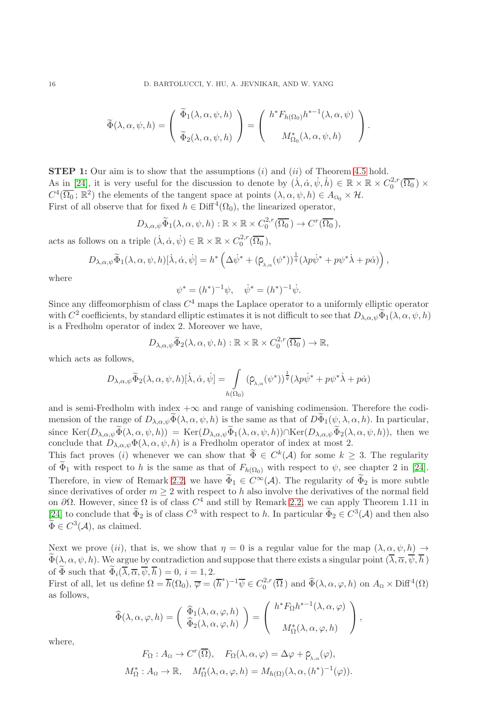$$
\widetilde{\Phi}(\lambda,\alpha,\psi,h) = \begin{pmatrix} \widetilde{\Phi}_1(\lambda,\alpha,\psi,h) \\ \widetilde{\Phi}_2(\lambda,\alpha,\psi,h) \end{pmatrix} = \begin{pmatrix} h^* F_{h(\Omega_0)} h^{*-1}(\lambda,\alpha,\psi) \\ M^*_{\Omega_0}(\lambda,\alpha,\psi,h) \end{pmatrix}.
$$

**STEP 1:** Our aim is to show that the assumptions  $(i)$  and  $(ii)$  of Theorem [4.5](#page-14-0) hold. As in [\[24\]](#page-28-17), it is very useful for the discussion to denote by  $(\dot{\lambda}, \dot{\alpha}, \dot{\psi}, \dot{h}) \in \mathbb{R} \times \mathbb{R} \times C_0^{2,r}$  $\int_0^{2,r}(\Omega_0)\times$  $C^4(\overline{\Omega_0};\mathbb{R}^2)$  the elements of the tangent space at points  $(\lambda,\alpha,\psi,h)\in A_{\Omega_0}\times\mathcal{H}$ . First of all observe that for fixed  $h \in \text{Diff}^4(\Omega_0)$ , the linearized operator,

$$
D_{\lambda,\alpha,\psi}\widetilde{\Phi}_1(\lambda,\alpha,\psi,h): \mathbb{R} \times \mathbb{R} \times C_0^{2,r}(\overline{\Omega_0}) \to C^r(\overline{\Omega_0}),
$$

acts as follows on a triple  $(\dot{\lambda}, \dot{\alpha}, \dot{\psi}) \in \mathbb{R} \times \mathbb{R} \times C_0^{2,r}$  $\int_{0}^{2,r}(\Omega_{0}),$ 

$$
D_{\lambda,\alpha,\psi}\widetilde{\Phi}_1(\lambda,\alpha,\psi,h)[\dot{\lambda},\dot{\alpha},\dot{\psi}]=h^*\left(\Delta\dot{\psi}^*+(\rho_{\lambda,\alpha}(\psi^*))^{\frac{1}{q}}(\lambda p\dot{\psi}^*+p\psi^*\dot{\lambda}+p\dot{\alpha})\right),
$$

where

$$
\psi^* = (h^*)^{-1}\psi, \quad \dot{\psi}^* = (h^*)^{-1}\dot{\psi}.
$$

Since any diffeomorphism of class  $C<sup>4</sup>$  maps the Laplace operator to a uniformly elliptic operator with  $C^2$  coefficients, by standard elliptic estimates it is not difficult to see that  $D_{\lambda,\alpha,\psi} \widetilde{\Phi}_1(\lambda,\alpha,\psi,h)$ is a Fredholm operator of index 2. Moreover we have,

$$
D_{\lambda,\alpha,\psi}\widetilde{\Phi}_2(\lambda,\alpha,\psi,h):\mathbb{R}\times\mathbb{R}\times C_0^{2,r}(\overline{\Omega_0})\to\mathbb{R},
$$

which acts as follows,

$$
D_{\lambda,\alpha,\psi}\widetilde{\Phi}_{2}(\lambda,\alpha,\psi,h)[\dot{\lambda},\dot{\alpha},\dot{\psi}]=\int\limits_{h(\Omega_{0})}(\rho_{\lambda,\alpha}(\psi^{*}))^{\frac{1}{q}}(\lambda p\dot{\psi}^{*}+p\psi^{*}\dot{\lambda}+p\dot{\alpha})
$$

and is semi-Fredholm with index  $+\infty$  and range of vanishing codimension. Therefore the codimension of the range of  $D_{\lambda,\alpha,\psi}(\widetilde{\Phi}(\lambda,\alpha,\psi,h))$  is the same as that of  $D\widetilde{\Phi}_1(\psi,\lambda,\alpha,h)$ . In particular, since  $\text{Ker}(D_{\lambda,\alpha,\psi}\widetilde{\Phi}(\lambda,\alpha,\psi,h)) = \text{Ker}(D_{\lambda,\alpha,\psi}\widetilde{\Phi}_1(\lambda,\alpha,\psi,h)) \cap \text{Ker}(D_{\lambda,\alpha,\psi}\widetilde{\Phi}_2(\lambda,\alpha,\psi,h)),$  then we conclude that  $D_{\lambda,\alpha,\psi}\Phi(\lambda,\alpha,\psi,h)$  is a Fredholm operator of index at most 2.

This fact proves (*i*) whenever we can show that  $\widetilde{\Phi} \in C^k(\mathcal{A})$  for some  $k \geq 3$ . The regularity of  $\widetilde{\Phi}_1$  with respect to h is the same as that of  $F_{h(\Omega_0)}$  with respect to  $\psi$ , see chapter 2 in [\[24\]](#page-28-17). Therefore, in view of Remark [2.2,](#page-8-3) we have  $\widetilde{\Phi}_1 \in C^{\infty}(\mathcal{A})$ . The regularity of  $\widetilde{\Phi}_2$  is more subtle since derivatives of order  $m \geq 2$  with respect to h also involve the derivatives of the normal field on  $\partial\Omega$ . However, since  $\Omega$  is of class  $C^4$  and still by Remark [2.2,](#page-8-3) we can apply Theorem 1.11 in [\[24\]](#page-28-17) to conclude that  $\Phi_2$  is of class  $C^3$  with respect to h. In particular  $\Phi_2 \in C^3(\mathcal{A})$  and then also  $\widetilde{\Phi} \in C^3(\mathcal{A}),$  as claimed.

Next we prove (ii), that is, we show that  $\eta = 0$  is a regular value for the map  $(\lambda, \alpha, \psi, h) \rightarrow$  $\widetilde{\Phi}(\lambda,\alpha,\psi,h)$ . We argue by contradiction and suppose that there exists a singular point  $(\overline{\lambda},\overline{\alpha},\overline{\psi},\overline{h})$ of  $\Phi$  such that  $\overline{\Phi}_i(\overline{\lambda}, \overline{\alpha}, \overline{\psi}, \overline{h}) = 0, i = 1, 2$ .

First of all, let us define  $\Omega = \overline{h}(\Omega_0), \overline{\varphi} = (\overline{h}^*)^{-1} \overline{\psi} \in C_0^{2,r}$  $a_0^{2,r}(\overline{\Omega})$  and  $\widehat{\Phi}(\lambda,\alpha,\varphi,h)$  on  $A_{\Omega} \times \text{Diff}^4(\Omega)$ as follows,

$$
\widehat{\Phi}(\lambda,\alpha,\varphi,h) = \begin{pmatrix} \widehat{\Phi}_1(\lambda,\alpha,\varphi,h) \\ \widehat{\Phi}_2(\lambda,\alpha,\varphi,h) \end{pmatrix} = \begin{pmatrix} h^* F_{\Omega} h^{*-1}(\lambda,\alpha,\varphi) \\ M_{\Omega}^*(\lambda,\alpha,\varphi,h) \end{pmatrix},
$$

where,

$$
F_{\Omega}: A_{\Omega} \to C^{r}(\overline{\Omega}), \quad F_{\Omega}(\lambda, \alpha, \varphi) = \Delta \varphi + \rho_{\lambda, \alpha}(\varphi),
$$
  

$$
M_{\Omega}^{*}: A_{\Omega} \to \mathbb{R}, \quad M_{\Omega}^{*}(\lambda, \alpha, \varphi, h) = M_{h(\Omega)}(\lambda, \alpha, (h^{*})^{-1}(\varphi)).
$$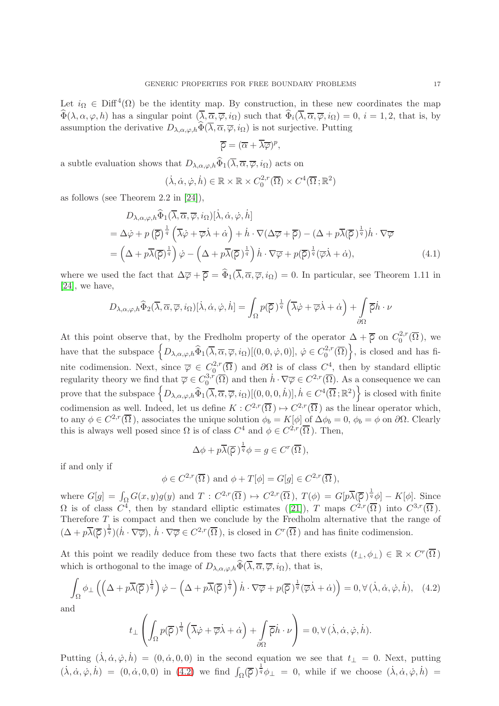Let  $i_{\Omega} \in \text{Diff}^4(\Omega)$  be the identity map. By construction, in these new coordinates the map  $\widehat{\Phi}(\lambda, \alpha, \varphi, h)$  has a singular point  $(\overline{\lambda}, \overline{\alpha}, \overline{\varphi}, i_{\Omega})$  such that  $\widehat{\Phi}_i(\overline{\lambda}, \overline{\alpha}, \overline{\varphi}, i_{\Omega}) = 0$ ,  $i = 1, 2$ , that is, by assumption the derivative  $D_{\lambda,\alpha,\varphi,h}\widehat{\Phi}(\overline{\lambda},\overline{\alpha},\overline{\varphi},i\Omega)$  is not surjective. Putting

$$
\overline{\rho} = (\overline{\alpha} + \overline{\lambda}\overline{\varphi})^p,
$$

a subtle evaluation shows that  $D_{\lambda,\alpha,\varphi,h}\widehat{\Phi}_1(\overline{\lambda}, \overline{\alpha}, \overline{\varphi}, i_\Omega)$  acts on

$$
(\dot{\lambda}, \dot{\alpha}, \dot{\varphi}, \dot{h}) \in \mathbb{R} \times \mathbb{R} \times C_0^{2,r}(\overline{\Omega}) \times C^4(\overline{\Omega}; \mathbb{R}^2)
$$

as follows (see Theorem 2.2 in [\[24\]](#page-28-17)),

$$
D_{\lambda,\alpha,\varphi,h} \widehat{\Phi}_1(\overline{\lambda},\overline{\alpha},\overline{\varphi},i_{\Omega})[\dot{\lambda},\dot{\alpha},\dot{\varphi},\dot{h}]
$$
  
=  $\Delta\dot{\varphi} + p(\overline{\rho})^{\frac{1}{q}} (\overline{\lambda}\dot{\varphi} + \overline{\varphi}\dot{\lambda} + \dot{\alpha}) + \dot{h} \cdot \nabla(\Delta\overline{\varphi} + \overline{\rho}) - (\Delta + p\overline{\lambda}(\overline{\rho})^{\frac{1}{q}})\dot{h} \cdot \nabla\overline{\varphi}$   
=  $(\Delta + p\overline{\lambda}(\overline{\rho})^{\frac{1}{q}})\dot{\varphi} - (\Delta + p\overline{\lambda}(\overline{\rho})^{\frac{1}{q}})\dot{h} \cdot \nabla\overline{\varphi} + p(\overline{\rho})^{\frac{1}{q}}(\overline{\varphi}\dot{\lambda} + \dot{\alpha}),$  (4.1)

where we used the fact that  $\Delta \overline{\varphi} + \overline{\varphi} = \hat{\Phi}_1(\overline{\lambda}, \overline{\alpha}, \overline{\varphi}, i_{\Omega}) = 0$ . In particular, see Theorem 1.11 in [\[24\]](#page-28-17), we have,

$$
D_{\lambda,\alpha,\varphi,h} \widehat{\Phi}_2(\overline{\lambda},\overline{\alpha},\overline{\varphi},i_{\Omega})[\dot{\lambda},\dot{\alpha},\dot{\varphi},\dot{h}] = \int_{\Omega} p(\overline{\rho})^{\frac{1}{q}} \left(\overline{\lambda}\dot{\varphi} + \overline{\varphi}\dot{\lambda} + \dot{\alpha}\right) + \int_{\partial\Omega} \overline{\rho}\dot{h} \cdot \nu
$$

At this point observe that, by the Fredholm property of the operator  $\Delta + \overline{\rho}$  on  $C_0^{2,r}$  $_0^{2,r}(\Omega)$ , we have that the subspace  $\left\{D_{\lambda,\alpha,\varphi,h}\widehat{\Phi}_1(\overline{\lambda},\overline{\alpha},\overline{\varphi},i_{\Omega})[(0,0,\dot{\varphi},0)],\,\dot{\varphi}\in C^{2,r}_0\right\}$  $\left\{ \frac{d^{2,r}}{0}(\overline{\Omega})\right\}$ , is closed and has finite codimension. Next, since  $\overline{\varphi} \in C_0^{2,r}$  $\partial_0^{2,r}(\overline{\Omega})$  and  $\partial\Omega$  is of class  $C^4$ , then by standard elliptic regularity theory we find that  $\overline{\varphi} \in C_0^{3,r}$  $\partial_0^{3,r}(\overline{\Omega})$  and then  $\dot{h} \cdot \nabla \overline{\varphi} \in C^{2,r}(\overline{\Omega})$ . As a consequence we can prove that the subspace  $\left\{D_{\lambda,\alpha,\varphi,h}\widehat{\Phi}_1(\overline{\lambda},\overline{\alpha},\overline{\varphi},i_{\Omega})[(0,0,0,\dot{h})], \dot{h}\in C^4(\overline{\Omega};\mathbb{R}^2)\right\}$  is closed with finite codimension as well. Indeed, let us define  $K: C^{2,r}(\overline{\Omega}) \mapsto C^{2,r}(\overline{\Omega})$  as the linear operator which, to any  $\phi \in C^{2,r}(\overline{\Omega})$ , associates the unique solution  $\phi_b = K[\phi]$  of  $\Delta \phi_b = 0$ ,  $\phi_b = \phi$  on  $\partial \Omega$ . Clearly this is always well posed since  $\Omega$  is of class  $C^4$  and  $\phi \in C^{2,r}(\overline{\Omega})$ . Then,

$$
\Delta \phi + p \overline{\lambda} (\overline{\rho})^{\frac{1}{q}} \phi = g \in C^r(\overline{\Omega}),
$$

if and only if

$$
\phi \in C^{2,r}(\overline{\Omega})
$$
 and  $\phi + T[\phi] = G[g] \in C^{2,r}(\overline{\Omega}),$ 

where  $G[g] = \int_{\Omega} G(x, y)g(y)$  and  $T: C^{2,r}(\overline{\Omega}) \mapsto C^{2,r}(\overline{\Omega}), T(\phi) = G[p\overline{\lambda}(\overline{\rho})^{\frac{1}{q}}\phi] - K[\phi].$  Since  $\Omega$ is of class  $C^4$ , then by standard elliptic estimates ([\[21\]](#page-28-25)), T maps  $C^{2,r}(\overline{\Omega})$  into  $C^{3,r}(\overline{\Omega})$ . Therefore T is compact and then we conclude by the Fredholm alternative that the range of  $(\Delta + p\overline{\lambda}(\overline{\rho})^{\frac{1}{q}})(\dot{h} \cdot \nabla \overline{\varphi}), \dot{h} \cdot \nabla \overline{\varphi} \in C^{2,r}(\overline{\Omega}),$  is closed in  $C^r(\overline{\Omega})$  and has finite codimension.

At this point we readily deduce from these two facts that there exists  $(t_{\perp}, \phi_{\perp}) \in \mathbb{R} \times C^r(\overline{\Omega})$ which is orthogonal to the image of  $D_{\lambda,\alpha,\varphi,h}\widehat{\Phi}(\overline{\lambda},\overline{\alpha},\overline{\varphi},i_{\Omega})$ , that is,

<span id="page-16-0"></span>
$$
\int_{\Omega} \phi_{\perp} \left( \left( \Delta + p \overline{\lambda} (\overline{\rho})^{\frac{1}{q}} \right) \dot{\varphi} - \left( \Delta + p \overline{\lambda} (\overline{\rho})^{\frac{1}{q}} \right) \dot{h} \cdot \nabla \overline{\varphi} + p(\overline{\rho})^{\frac{1}{q}} (\overline{\varphi} \dot{\lambda} + \dot{\alpha}) \right) = 0, \forall (\dot{\lambda}, \dot{\alpha}, \dot{\varphi}, \dot{h}), \quad (4.2)
$$

and

$$
t_{\perp} \left( \int_{\Omega} p(\overline{\rho})^{\frac{1}{q}} \left( \overline{\lambda} \dot{\varphi} + \overline{\varphi} \dot{\lambda} + \dot{\alpha} \right) + \int_{\partial \Omega} \overline{\rho} \dot{h} \cdot \nu \right) = 0, \forall (\dot{\lambda}, \dot{\alpha}, \dot{\varphi}, \dot{h}).
$$

Putting  $(\dot{\lambda}, \dot{\alpha}, \dot{\varphi}, \dot{h}) = (0, \dot{\alpha}, 0, 0)$  in the second equation we see that  $t_{\perp} = 0$ . Next, putting  $(\dot{\lambda}, \dot{\alpha}, \dot{\varphi}, \dot{h}) = (0, \dot{\alpha}, 0, 0)$  in [\(4.2\)](#page-16-0) we find  $\int_{\Omega} (\overline{\rho})^{\frac{1}{q}} \phi_{\perp} = 0$ , while if we choose  $(\dot{\lambda}, \dot{\alpha}, \dot{\varphi}, \dot{h}) =$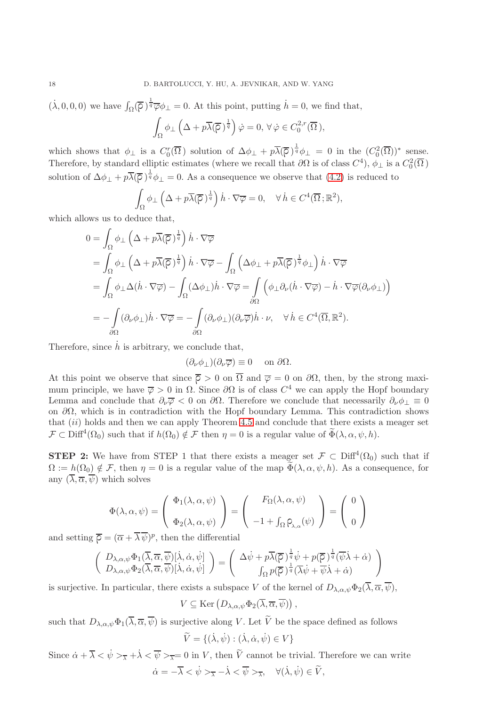$(\dot{\lambda}, 0, 0, 0)$  we have  $\int_{\Omega} (\overline{\rho})^{\frac{1}{q}} \overline{\varphi} \phi_{\perp} = 0$ . At this point, putting  $\dot{h} = 0$ , we find that,

$$
\int_{\Omega} \phi_{\perp} \left( \Delta + p \overline{\lambda} (\overline{\rho})^{\frac{1}{q}} \right) \dot{\varphi} = 0, \,\forall \,\dot{\varphi} \in C_0^{2,r} (\overline{\Omega}),
$$

which shows that  $\phi_{\perp}$  is a  $C_0^r(\overline{\Omega})$  solution of  $\Delta \phi_{\perp} + p\overline{\lambda}(\overline{\rho})^{\frac{1}{q}}\phi_{\perp} = 0$  in the  $(C_0^2(\overline{\Omega}))^*$  sense. Therefore, by standard elliptic estimates (where we recall that  $\partial\Omega$  is of class  $C^4$ ),  $\phi_{\perp}$  is a  $C_0^2(\overline{\Omega})$ solution of  $\Delta\phi_{\perp} + p\overline{\lambda}(\overline{\rho})^{\frac{1}{q}}\phi_{\perp} = 0$ . As a consequence we observe that [\(4.2\)](#page-16-0) is reduced to

$$
\int_{\Omega} \phi_{\perp} \left( \Delta + p \overline{\lambda} (\overline{\rho})^{\frac{1}{q}} \right) \dot{h} \cdot \nabla \overline{\varphi} = 0, \quad \forall \, \dot{h} \in C^{4}(\overline{\Omega}; \mathbb{R}^{2}),
$$

which allows us to deduce that,

$$
0 = \int_{\Omega} \phi_{\perp} \left( \Delta + p \overline{\lambda} (\overline{\rho})^{\frac{1}{q}} \right) \dot{h} \cdot \nabla \overline{\varphi}
$$
  
\n
$$
= \int_{\Omega} \phi_{\perp} \left( \Delta + p \overline{\lambda} (\overline{\rho})^{\frac{1}{q}} \right) \dot{h} \cdot \nabla \overline{\varphi} - \int_{\Omega} \left( \Delta \phi_{\perp} + p \overline{\lambda} (\overline{\rho})^{\frac{1}{q}} \phi_{\perp} \right) \dot{h} \cdot \nabla \overline{\varphi}
$$
  
\n
$$
= \int_{\Omega} \phi_{\perp} \Delta (\dot{h} \cdot \nabla \overline{\varphi}) - \int_{\Omega} (\Delta \phi_{\perp}) \dot{h} \cdot \nabla \overline{\varphi} = \int_{\partial \Omega} \left( \phi_{\perp} \partial_{\nu} (\dot{h} \cdot \nabla \overline{\varphi}) - \dot{h} \cdot \nabla \overline{\varphi} (\partial_{\nu} \phi_{\perp}) \right)
$$
  
\n
$$
= - \int_{\partial \Omega} (\partial_{\nu} \phi_{\perp}) \dot{h} \cdot \nabla \overline{\varphi} = - \int_{\partial \Omega} (\partial_{\nu} \phi_{\perp}) (\partial_{\nu} \overline{\varphi}) \dot{h} \cdot \nu, \quad \forall \dot{h} \in C^{4}(\overline{\Omega}, \mathbb{R}^{2}).
$$

Therefore, since  $\dot{h}$  is arbitrary, we conclude that,

$$
(\partial_{\nu}\phi_{\perp})(\partial_{\nu}\overline{\varphi})\equiv 0 \quad \text{ on } \partial\Omega.
$$

At this point we observe that since  $\overline{\rho} > 0$  on  $\overline{\Omega}$  and  $\overline{\varphi} = 0$  on  $\partial\Omega$ , then, by the strong maximum principle, we have  $\overline{\varphi} > 0$  in  $\Omega$ . Since  $\partial\Omega$  is of class  $C^4$  we can apply the Hopf boundary Lemma and conclude that  $\partial_{\nu}\overline{\varphi}$  < 0 on  $\partial\Omega$ . Therefore we conclude that necessarily  $\partial_{\nu}\phi_{\perp}\equiv 0$ on  $\partial\Omega$ , which is in contradiction with the Hopf boundary Lemma. This contradiction shows that  $(ii)$  holds and then we can apply Theorem [4.5](#page-14-0) and conclude that there exists a meager set  $\mathcal{F} \subset \text{Diff}^4(\Omega_0)$  such that if  $h(\Omega_0) \notin \mathcal{F}$  then  $\eta = 0$  is a regular value of  $\widetilde{\Phi}(\lambda, \alpha, \psi, h)$ .

**STEP 2:** We have from STEP 1 that there exists a meager set  $\mathcal{F} \subset \text{Diff}^4(\Omega_0)$  such that if  $\Omega := h(\Omega_0) \notin \mathcal{F}$ , then  $\eta = 0$  is a regular value of the map  $\widetilde{\Phi}(\lambda, \alpha, \psi, h)$ . As a consequence, for any  $(\overline{\lambda}, \overline{\alpha}, \overline{\psi})$  which solves

$$
\Phi(\lambda, \alpha, \psi) = \begin{pmatrix} \Phi_1(\lambda, \alpha, \psi) \\ \Phi_2(\lambda, \alpha, \psi) \end{pmatrix} = \begin{pmatrix} F_{\Omega}(\lambda, \alpha, \psi) \\ -1 + \int_{\Omega} \rho_{\lambda, \alpha}(\psi) \end{pmatrix} = \begin{pmatrix} 0 \\ 0 \end{pmatrix}
$$

and setting  $\overline{\rho} = (\overline{\alpha} + \overline{\lambda} \overline{\psi})^p$ , then the differential

$$
\begin{pmatrix}\nD_{\lambda,\alpha,\psi}\Phi_1(\overline{\lambda},\overline{\alpha},\overline{\psi})[\dot{\lambda},\dot{\alpha},\dot{\psi}] \\
D_{\lambda,\alpha,\psi}\Phi_2(\overline{\lambda},\overline{\alpha},\overline{\psi})[\dot{\lambda},\dot{\alpha},\dot{\psi}] \n\end{pmatrix} = \begin{pmatrix}\n\Delta\dot{\psi} + p\overline{\lambda}(\overline{\rho})^{\frac{1}{q}}\dot{\psi} + p(\overline{\rho})^{\frac{1}{q}}(\overline{\psi}\dot{\lambda} + \dot{\alpha}) \\
\int_{\Omega} p(\overline{\rho})^{\frac{1}{q}}(\overline{\lambda}\dot{\psi} + \overline{\psi}\dot{\lambda} + \dot{\alpha})\n\end{pmatrix}
$$

is surjective. In particular, there exists a subspace V of the kernel of  $D_{\lambda,\alpha,\psi}\Phi_2(\overline{\lambda},\overline{\alpha},\overline{\psi})$ ,

$$
V\subseteq \text{Ker}\left(D_{\lambda,\alpha,\psi}\Phi_2(\overline{\lambda},\overline{\alpha},\overline{\psi})\right),\,
$$

such that  $D_{\lambda,\alpha,\psi}\Phi_1(\overline{\lambda},\overline{\alpha},\overline{\psi})$  is surjective along V. Let  $\widetilde{V}$  be the space defined as follows

$$
\widetilde{V} = \{ (\dot{\lambda}, \dot{\psi}) : (\dot{\lambda}, \dot{\alpha}, \dot{\psi}) \in V \}
$$

Since  $\dot{\alpha} + \overline{\lambda} < \dot{\psi} >_{\overline{\lambda}} + \dot{\lambda} < \overline{\psi} >_{\overline{\lambda}} = 0$  in V, then  $\tilde{V}$  cannot be trivial. Therefore we can write  $\dot{\alpha} = -\overline{\lambda} < \dot{\psi} >_{\overline{\lambda}} - \dot{\lambda} < \overline{\psi} >_{\overline{\lambda}}, \quad \forall (\dot{\lambda}, \dot{\psi}) \in \widetilde{V},$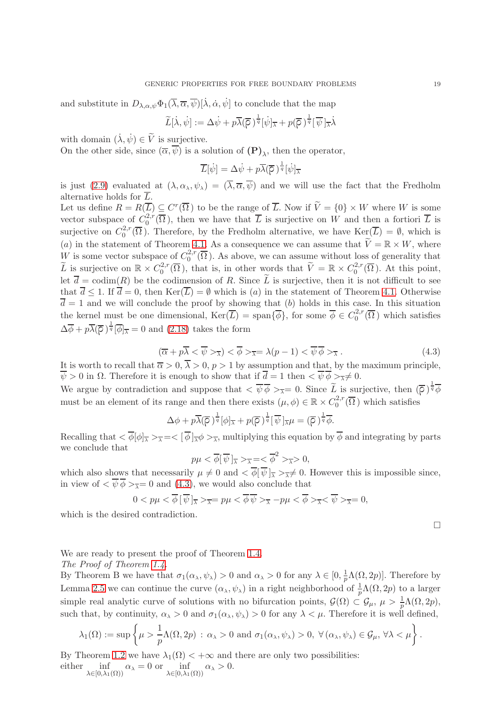and substitute in  $D_{\lambda,\alpha,\psi}\Phi_1(\overline{\lambda},\overline{\alpha},\overline{\psi})[\dot{\lambda},\dot{\alpha},\dot{\psi}]$  to conclude that the map

$$
\widetilde{L}[\dot{\lambda}, \dot{\psi}] := \Delta \dot{\psi} + p \overline{\lambda} (\overline{\rho})^{\frac{1}{q}} [\dot{\psi}]_{\overline{\lambda}} + p (\overline{\rho})^{\frac{1}{q}} [\overline{\psi}]_{\overline{\lambda}} \dot{\lambda}
$$

with domain  $(\dot{\lambda}, \dot{\psi}) \in \widetilde{V}$  is surjective.

On the other side, since  $(\overline{\alpha}, \psi)$  is a solution of  $(P)_{\lambda}$ , then the operator,

$$
\overline{L}[\dot{\psi}] = \Delta \dot{\psi} + p \overline{\lambda}(\overline{\rho})^{\frac{1}{q}}[\dot{\psi}]_{\overline{\lambda}}
$$

is just [\(2.9\)](#page-9-0) evaluated at  $(\lambda, \alpha_{\lambda}, \psi_{\lambda}) = (\overline{\lambda}, \overline{\alpha}, \overline{\psi})$  and we will use the fact that the Fredholm alternative holds for  $\overline{L}$ .

Let us define  $R = R(\overline{L}) \subseteq C^r(\overline{\Omega})$  to be the range of  $\overline{L}$ . Now if  $\widetilde{V} = \{0\} \times W$  where W is some vector subspace of  $C_0^{2,r}$  $\mathcal{L}^{2,r}(\Omega)$ , then we have that L is surjective on W and then a fortiori L is surjective on  $C_0^{2,r}$  $C_0^{2,r}(\Omega)$ . Therefore, by the Fredholm alternative, we have  $\text{Ker}(L) = \emptyset$ , which is (a) in the statement of Theorem [4.1.](#page-13-1) As a consequence we can assume that  $\widetilde{V} = \mathbb{R} \times W$ , where W is some vector subspace of  $C_0^{2,r}$  $\mathcal{Q}_0^{2,r}(\Omega)$ . As above, we can assume without loss of generality that  $\widetilde{L}$  is surjective on  $\mathbb{R} \times C_0^{2,r}$  $C_0^{2,r}(\overline{\Omega})$ , that is, in other words that  $\widetilde{V} = \mathbb{R} \times C_0^{2,r}$  $_{0}^{\alpha,r}(\Omega)$ . At this point, let  $\overline{d} = \text{codim}(R)$  be the codimension of R. Since  $\widetilde{L}$  is surjective, then it is not difficult to see that  $\overline{d} \leq 1$ . If  $\overline{d} = 0$ , then  $\text{Ker}(\overline{L}) = \emptyset$  which is (a) in the statement of Theorem [4.1.](#page-13-1) Otherwise  $\overline{d} = 1$  and we will conclude the proof by showing that (b) holds in this case. In this situation the kernel must be one dimensional,  $\text{Ker}(\overline{L}) = \text{span}\{\overline{\phi}\}\,$ , for some  $\overline{\phi} \in C_0^{2,r}$  $\int_0^{2,r}$ ( $\Omega$ ) which satisfies  $\Delta \overline{\phi} + p \overline{\lambda} (\overline{\rho})^{\frac{1}{q}} [\overline{\phi}]_{\overline{\lambda}} = 0$  and [\(2.18\)](#page-10-2) takes the form

<span id="page-18-0"></span>
$$
(\overline{\alpha} + p\overline{\lambda} < \overline{\psi} >_{\overline{\lambda}}) < \overline{\phi} >_{\overline{\lambda}} = \lambda(p-1) < \overline{\psi} \overline{\phi} >_{\overline{\lambda}} . \tag{4.3}
$$

It is worth to recall that  $\overline{\alpha} > 0$ ,  $\overline{\lambda} > 0$ ,  $p > 1$  by assumption and that, by the maximum principle,  $\overline{\psi} > 0$  in  $\Omega$ . Therefore it is enough to show that if  $\overline{d} = 1$  then  $\langle \overline{\psi} \phi \rangle_{\overline{\chi}} \neq 0$ .

We argue by contradiction and suppose that  $\langle \overline{\psi} \phi \rangle_{\overline{\chi}} = 0$ . Since  $\tilde{L}$  is surjective, then  $(\overline{\rho})^{\frac{1}{q}} \overline{\phi}$ must be an element of its range and then there exists  $(\mu, \phi) \in \mathbb{R} \times C_0^{2,r}$  $\int_0^{2,r}$ ( $\Omega$ ) which satisfies

$$
\Delta \phi + p \overline{\lambda} (\overline{\rho})^{\frac{1}{q}} [\phi]_{\overline{\lambda}} + p (\overline{\rho})^{\frac{1}{q}} [\overline{\psi}]_{\overline{\lambda}} \mu = (\overline{\rho})^{\frac{1}{q}} \overline{\phi}.
$$

Recalling that  $\langle \overline{\phi}[\phi]_{\overline{\lambda}} \rangle_{\overline{\lambda}} = \langle [\overline{\phi}]_{\overline{\lambda}} \phi \rangle_{\overline{\lambda}}$ , multiplying this equation by  $\overline{\phi}$  and integrating by parts we conclude that

$$
p\mu < \overline{\phi}[\overline{\psi}]_{\overline{\lambda}} >_{\overline{\lambda}} = < \overline{\phi}^2 >_{\overline{\lambda}} > 0,
$$

which also shows that necessarily  $\mu \neq 0$  and  $\langle \overline{\phi} | \overline{\psi} |_{\overline{\lambda}} > \overline{\lambda} \neq 0$ . However this is impossible since, in view of  $\langle \overline{\psi} \overline{\phi} \rangle = 0$  and [\(4.3\)](#page-18-0), we would also conclude that

$$
0 < p\mu < \overline{\phi} \left[ \overline{\psi} \right]_{\overline{\lambda}} >_{\overline{\lambda}} = p\mu < \overline{\phi} \overline{\psi} >_{\overline{\lambda}} - p\mu < \overline{\phi} >_{\overline{\lambda}} < \overline{\psi} >_{\overline{\lambda}} = 0,
$$

which is the desired contradiction.

 $\Box$ 

We are ready to present the proof of Theorem [1.4.](#page-6-0)

## The Proof of Theorem [1.4.](#page-6-0)

By Theorem B we have that  $\sigma_1(\alpha_\lambda, \psi_\lambda) > 0$  and  $\alpha_\lambda > 0$  for any  $\lambda \in [0, \frac{1}{p}\Lambda(\Omega, 2p)]$ . Therefore by Lemma [2.5](#page-10-1) we can continue the curve  $(\alpha_{\lambda}, \psi_{\lambda})$  in a right neighborhood of  $\frac{1}{p}\Lambda(\Omega, 2p)$  to a larger simple real analytic curve of solutions with no bifurcation points,  $\mathcal{G}(\Omega) \subset \mathcal{G}_{\mu}$ ,  $\mu > \frac{1}{p}\Lambda(\Omega, 2p)$ , such that, by continuity,  $\alpha_{\lambda} > 0$  and  $\sigma_1(\alpha_{\lambda}, \psi_{\lambda}) > 0$  for any  $\lambda < \mu$ . Therefore it is well defined,

$$
\lambda_1(\Omega) := \sup \left\{ \mu > \frac{1}{p} \Lambda(\Omega, 2p) \, : \, \alpha_{\lambda} > 0 \text{ and } \sigma_1(\alpha_{\lambda}, \psi_{\lambda}) > 0, \, \forall (\alpha_{\lambda}, \psi_{\lambda}) \in \mathcal{G}_{\mu}, \, \forall \lambda < \mu \right\}.
$$

By Theorem [1.2](#page-5-0) we have  $\lambda_1(\Omega) < +\infty$  and there are only two possibilities: either  $\inf_{\lambda \in [0, \lambda_1(\Omega))} \alpha_{\lambda} = 0$  or  $\inf_{\lambda \in [0, \lambda_1(\Omega))} \alpha_{\lambda} > 0$ .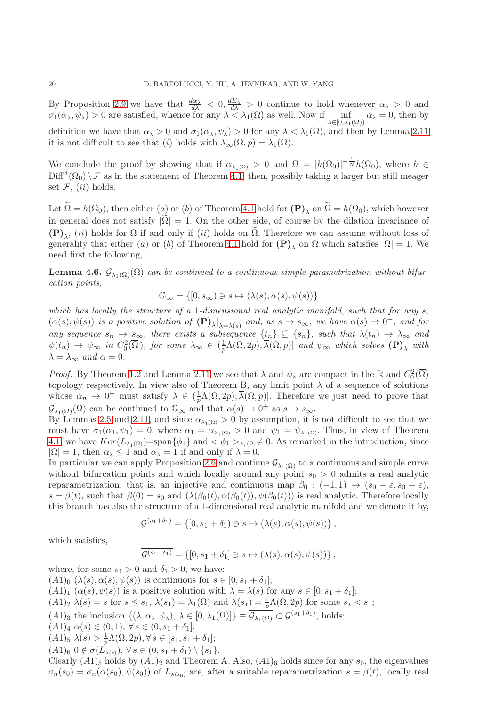By Proposition [2.9](#page-11-3) we have that  $\frac{d\alpha_{\lambda}}{d\lambda} < 0$ ,  $\frac{dE_{\lambda}}{d\lambda} > 0$  continue to hold whenever  $\alpha_{\lambda} > 0$  and  $\sigma_1(\alpha_\lambda, \psi_\lambda) > 0$  are satisfied, whence for any  $\lambda < \lambda_1(\Omega)$  as well. Now if  $\inf_{\lambda \in \Omega_1(\Omega)} \alpha_\lambda = 0$ , then by  $\lambda \in [0, \lambda_1(\Omega))$ definition we have that  $\alpha_{\lambda} > 0$  and  $\sigma_1(\alpha_{\lambda}, \psi_{\lambda}) > 0$  for any  $\lambda < \lambda_1(\Omega)$ , and then by Lemma [2.11](#page-11-2) it is not difficult to see that (i) holds with  $\lambda_{\infty}(\Omega, p) = \lambda_1(\Omega)$ .

We conclude the proof by showing that if  $\alpha_{\lambda_1(\Omega)} > 0$  and  $\Omega = |h(\Omega_0)|^{-\frac{1}{N}} h(\Omega_0)$ , where  $h \in$  $\text{Diff}^4(\Omega_0) \setminus \mathcal{F}$  as in the statement of Theorem [4.1,](#page-13-1) then, possibly taking a larger but still meager set  $\mathcal{F}, (ii)$  holds.

Let  $\Omega = h(\Omega_0)$ , then either  $(a)$  or  $(b)$  of Theorem [4.1](#page-13-1) hold for  $(\mathbf{P})_\lambda$  on  $\Omega = h(\Omega_0)$ , which however in general does not satisfy  $|\tilde{\Omega}| = 1$ . On the other side, of course by the dilation invariance of  $(\mathbf{P})_{\lambda}$ , (ii) holds for  $\Omega$  if and only if (ii) holds on  $\Omega$ . Therefore we can assume without loss of generality that either (a) or (b) of Theorem [4.1](#page-13-1) hold for  $(P)_{\lambda}$  on  $\Omega$  which satisfies  $|\Omega| = 1$ . We need first the following,

<span id="page-19-0"></span>**Lemma 4.6.**  $\mathcal{G}_{\lambda_1(\Omega)}(\Omega)$  can be continued to a continuous simple parametrization without bifurcation points,

$$
\mathbb{G}_{\infty} = \{ [0, s_{\infty}) \ni s \mapsto (\lambda(s), \alpha(s), \psi(s)) \}
$$

which has locally the structure of a 1-dimensional real analytic manifold, such that for any  $s$ ,  $(\alpha(s), \psi(s))$  is a positive solution of  $(\mathbf{P})_{\lambda}|_{\lambda=\lambda(s)}$  and, as  $s \to s_{\infty}$ , we have  $\alpha(s) \to 0^+$ , and for any sequence  $s_n \to s_\infty$ , there exists a subsequence  $\{t_n\} \subseteq \{s_n\}$ , such that  $\lambda(t_n) \to \lambda_\infty$  and  $\psi(t_n) \to \psi_{\infty}$  in  $C_0^2(\overline{\Omega})$ , for some  $\lambda_{\infty} \in (\frac{1}{p})$  $\frac{1}{p}\Lambda(\Omega,2p),\lambda(\Omega,p)]$  and  $\psi_{\infty}$  which solves  $(\mathbf{P})_{\lambda}$  with  $\lambda = \lambda_{\infty}$  and  $\alpha = 0$ .

*Proof.* By Theorem [1.2](#page-5-0) and Lemma [2.11](#page-11-2) we see that  $\lambda$  and  $\psi_{\lambda}$  are compact in the R and  $C_0^2(\overline{\Omega})$ topology respectively. In view also of Theorem B, any limit point  $\lambda$  of a sequence of solutions whose  $\alpha_n \to 0^+$  must satisfy  $\lambda \in (\frac{1}{p}\Lambda(\Omega, 2p), \overline{\lambda}(\Omega, p)]$ . Therefore we just need to prove that  $\mathcal{G}_{\lambda_1(\Omega)}(\Omega)$  can be continued to  $\mathbb{G}_{\infty}$  and that  $\alpha(s) \to 0^+$  as  $s \to s_{\infty}$ .

By Lemmas [2.5](#page-10-1) and [2.11,](#page-11-2) and since  $\alpha_{\lambda_1(\Omega)} > 0$  by assumption, it is not difficult to see that we must have  $\sigma_1(\alpha_1, \psi_1) = 0$ , where  $\alpha_1 = \alpha_{\lambda_1(\Omega)} > 0$  and  $\psi_1 = \psi_{\lambda_1(\Omega)}$ . Thus, in view of Theorem [4.1,](#page-13-1) we have  $Ker(L_{\lambda_1(\Omega)})=span{\phi_1}$  and  $\langle \phi_1 \rangle_{\lambda_1(\Omega)}\neq 0$ . As remarked in the introduction, since  $|\Omega| = 1$ , then  $\alpha_{\lambda} \le 1$  and  $\alpha_{\lambda} = 1$  if and only if  $\lambda = 0$ .

In particular we can apply Proposition [2.6](#page-10-3) and continue  $\mathcal{G}_{\lambda_1(\Omega)}$  to a continuous and simple curve without bifurcation points and which locally around any point  $s_0 > 0$  admits a real analytic reparametrization, that is, an injective and continuous map  $\beta_0$  :  $(-1,1) \rightarrow (s_0 - \varepsilon, s_0 + \varepsilon)$ ,  $s = \beta(t)$ , such that  $\beta(0) = s_0$  and  $(\lambda(\beta_0(t), \alpha(\beta_0(t)), \psi(\beta_0(t)))$  is real analytic. Therefore locally this branch has also the structure of a 1-dimensional real analytic manifold and we denote it by,

$$
\mathcal{G}^{(s_1+\delta_1)} = \{ [0, s_1+\delta_1) \ni s \mapsto (\lambda(s), \alpha(s), \psi(s)) \},
$$

which satisfies,

$$
\mathcal{G}^{(s_1+\delta_1)} = \{ [0, s_1+\delta_1] \ni s \mapsto (\lambda(s), \alpha(s), \psi(s)) \},
$$

where, for some  $s_1 > 0$  and  $\delta_1 > 0$ , we have:  $(A1)_0 \; (\lambda(s), \alpha(s), \psi(s))$  is continuous for  $s \in [0, s_1 + \delta_1];$  $(A1)_1$   $(\alpha(s), \psi(s))$  is a positive solution with  $\lambda = \lambda(s)$  for any  $s \in [0, s_1 + \delta_1]$ ;  $(A1)_2 \lambda(s) = s$  for  $s \leq s_1$ ,  $\lambda(s_1) = \lambda_1(\Omega)$  and  $\lambda(s_*) = \frac{1}{p}\Lambda(\Omega, 2p)$  for some  $s_* < s_1$ ;  $(A1)_3$  the inclusion  $\{(\lambda, \alpha_\lambda, \psi_\lambda), \lambda \in [0, \lambda_1(\Omega)]\} \equiv \overline{\mathcal{G}_{\lambda_1(\Omega)}} \subset \mathcal{G}^{(s_1+\delta_1)}$ , holds;  $(A1)_4 \alpha(s) \in (0,1), \forall s \in (0, s_1 + \delta_1];$  $(A1)_5 \ \lambda(s) > \frac{1}{p} \Lambda(\Omega, 2p), \forall \, s \in [s_1, s_1 + \delta_1];$  $(A1)<sub>6</sub> 0 \notin \sigma(L_{\lambda(s)})$ ,  $\forall s \in (0, s_1 + \delta_1) \setminus \{s_1\}.$ Clearly  $(A1)_5$  holds by  $(A1)_2$  and Theorem A. Also,  $(A1)_6$  holds since for any  $s_0$ , the eigenvalues  $\sigma_n(s_0) = \sigma_n(\alpha(s_0), \psi(s_0))$  of  $L_{\lambda(s_0)}$  are, after a suitable reparametrization  $s = \beta(t)$ , locally real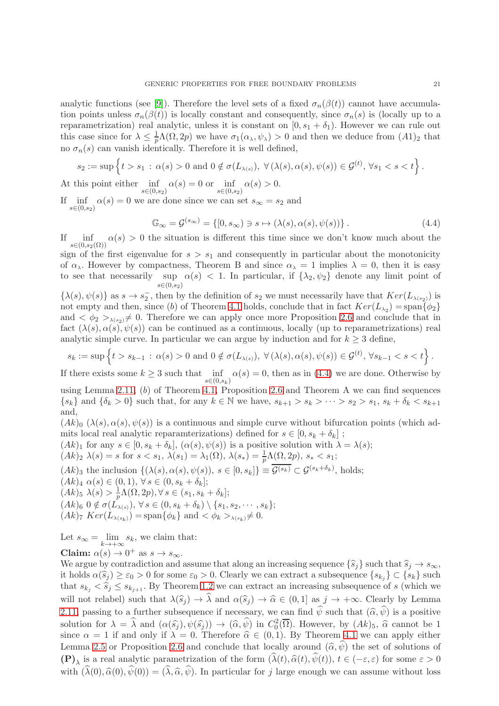analytic functions (see [\[9\]](#page-27-13)). Therefore the level sets of a fixed  $\sigma_n(\beta(t))$  cannot have accumulation points unless  $\sigma_n(\beta(t))$  is locally constant and consequently, since  $\sigma_n(s)$  is (locally up to a reparametrization) real analytic, unless it is constant on  $[0, s_1 + \delta_1)$ . However we can rule out this case since for  $\lambda \leq \frac{1}{n}$  $\frac{1}{p}\Lambda(\Omega, 2p)$  we have  $\sigma_1(\alpha_\lambda, \psi_\lambda) > 0$  and then we deduce from  $(A1)_2$  that no  $\sigma_n(s)$  can vanish identically. Therefore it is well defined,

$$
s_2 := \sup \left\{ t > s_1 \, : \, \alpha(s) > 0 \text{ and } 0 \notin \sigma(L_{\lambda(s)}) \text{, } \forall (\lambda(s), \alpha(s), \psi(s)) \in \mathcal{G}^{(t)}, \forall s_1 < s < t \right\}.
$$

At this point either  $\inf_{s \in (0,s_2)} \alpha(s) = 0$  or  $\inf_{s \in (0,s_2)} \alpha(s) > 0$ .

If inf  $\alpha(s) = 0$  we are done since we can set  $s_{\infty} = s_2$  and  $s \in (0, s_2)$ 

<span id="page-20-0"></span>
$$
\mathbb{G}_{\infty} = \mathcal{G}^{(s_{\infty})} = \{ [0, s_{\infty}) \ni s \mapsto (\lambda(s), \alpha(s), \psi(s)) \}.
$$
 (4.4)

inf  $s\in (0,s_2(\Omega))$  $\alpha(s) > 0$  the situation is different this time since we don't know much about the sign of the first eigenvalue for  $s > s_1$  and consequently in particular about the monotonicity

of  $\alpha_{\lambda}$ . However by compactness, Theorem B and since  $\alpha_{\lambda} = 1$  implies  $\lambda = 0$ , then it is easy to see that necessarily sup  $\alpha(s) < 1$ . In particular, if  $\{\lambda_2, \psi_2\}$  denote any limit point of  $s \in (0, s_2)$ 

 $\{\lambda(s), \psi(s)\}\$ as  $s \to s_2^-$ , then by the definition of  $s_2$  we must necessarily have that  $Ker(L_{\lambda(s_2)})$  is not empty and then, since (b) of Theorem [4.1](#page-13-1) holds, conclude that in fact  $Ker(L_{\lambda_2}) =$ span $\{\phi_2\}$ and  $\langle \phi_2 \rangle_{\lambda(s_2)} \neq 0$ . Therefore we can apply once more Proposition [2.6](#page-10-3) and conclude that in fact  $(\lambda(s), \alpha(s), \psi(s))$  can be continued as a continuous, locally (up to reparametrizations) real analytic simple curve. In particular we can argue by induction and for  $k \geq 3$  define,

$$
s_k := \sup \left\{ t > s_{k-1} \,:\, \alpha(s) > 0 \text{ and } 0 \notin \sigma(L_{\lambda(s)}), \ \forall (\lambda(s), \alpha(s), \psi(s)) \in \mathcal{G}^{(t)}, \ \forall s_{k-1} < s < t \right\}.
$$

If there exists some  $k \geq 3$  such that  $\inf_{s \in (0, s_k)} \alpha(s) = 0$ , then as in [\(4.4\)](#page-20-0) we are done. Otherwise by

using Lemma [2.11,](#page-11-2) (b) of Theorem [4.1,](#page-13-1) Proposition [2.6](#page-10-3) and Theorem A we can find sequences  ${s_k}$  and  ${\delta_k > 0}$  such that, for any  $k \in \mathbb{N}$  we have,  $s_{k+1} > s_k > \cdots > s_2 > s_1$ ,  $s_k + \delta_k < s_{k+1}$ and,

 $(Ak)$ <sub>0</sub>  $(\lambda(s), \alpha(s), \psi(s))$  is a continuous and simple curve without bifurcation points (which admits local real analytic reparamterizations) defined for  $s \in [0, s_k + \delta_k]$ ;

$$
(Ak)_{1}
$$
 for any  $s \in [0, s_{k} + \delta_{k}], (\alpha(s), \psi(s))$  is a positive solution with  $\lambda = \lambda(s)$ ;

$$
(Ak)_2 \lambda(s) = s
$$
 for  $s < s_1$ ,  $\lambda(s_1) = \lambda_1(\Omega)$ ,  $\lambda(s_*) = \frac{1}{p}\Lambda(\Omega, 2p)$ ,  $s_* < s_1$ ;

 $(Ak)_3$  the inclusion  $\{(\lambda(s), \alpha(s), \psi(s)), s \in [0, s_k]\} \equiv \mathcal{G}^{(s_k)} \subset \mathcal{G}^{(s_k + \delta_k)}$ , holds;  $(Ak)_4 \alpha(s) \in (0,1), \forall s \in (0, s_k + \delta_k];$  $(Ak)_5 \lambda(s) > \frac{1}{n}$  $\frac{1}{p}\Lambda(\Omega, 2p), \forall s \in (s_1, s_k + \delta_k];$  $(Ak)_6 \ 0 \notin \sigma(L_{\lambda(s)})$ ,  $\forall s \in (0, s_k + \delta_k) \setminus \{s_1, s_2, \cdots, s_k\};$  $(Ak)_7 \ Ker(L_{\lambda(s_k)}) = \text{span}\{\phi_k\} \text{ and } \langle \phi_k \rangle_{\lambda(s_k)} \neq 0.$ 

Let  $s_{\infty} = \lim_{k \to +\infty} s_k$ , we claim that: Claim:  $\alpha(s) \to 0^+$  as  $s \to s_{\infty}$ .

We argue by contradiction and assume that along an increasing sequence  $\{\hat{s}_j\}$  such that  $\hat{s}_j \to s_{\infty}$ , it holds  $\alpha(\hat{s}_j) \ge \varepsilon_0 > 0$  for some  $\varepsilon_0 > 0$ . Clearly we can extract a subsequence  $\{s_{k_j}\} \subset \{s_k\}$  such that  $s_{k_j} < \hat{s}_j \leq s_{k_{j+1}}$ . By Theorem [1.2](#page-5-0) we can extract an increasing subsequence of s (which we will not relabel) such that  $\lambda(\widehat{s}_i) \to \widehat{\lambda}$  and  $\alpha(\widehat{s}_i) \to \widehat{\alpha} \in (0, 1]$  as  $j \to +\infty$ . Clearly by Lemma [2.11,](#page-11-2) passing to a further subsequence if necessary, we can find  $\hat{\psi}$  such that  $(\hat{\alpha}, \hat{\psi})$  is a positive solution for  $\lambda = \hat{\lambda}$  and  $(\alpha(\hat{s}_j), \psi(\hat{s}_j)) \to (\hat{\alpha}, \hat{\psi})$  in  $C_0^2(\overline{\Omega})$ . However, by  $(Ak)_5$ ,  $\hat{\alpha}$  cannot be 1 since  $\alpha = 1$  if and only if  $\lambda = 0$ . Therefore  $\hat{\alpha} \in (0, 1)$ . By Theorem [4.1](#page-13-1) we can apply either Lemma [2.5](#page-10-1) or Proposition [2.6](#page-10-3) and conclude that locally around  $(\hat{\alpha}, \hat{\psi})$  the set of solutions of  $(\mathbf{P})_{\lambda}$  is a real analytic parametrization of the form  $(\lambda(t), \hat{\alpha}(t), \psi(t)), t \in (-\varepsilon, \varepsilon)$  for some  $\varepsilon > 0$ with  $(\widehat{\lambda}(0), \widehat{\alpha}(0), \widehat{\psi}(0)) = (\widehat{\lambda}, \widehat{\alpha}, \widehat{\psi})$ . In particular for j large enough we can assume without loss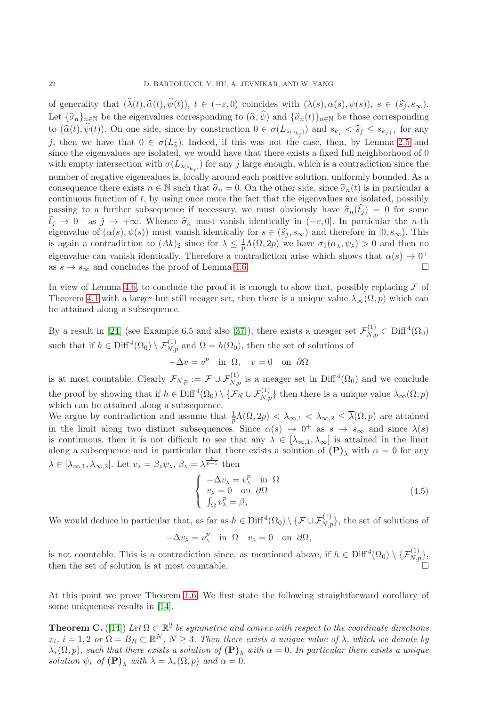of generality that  $(\widehat{\lambda}(t), \widehat{\alpha}(t), \widehat{\psi}(t)), t \in (-\varepsilon, 0)$  coincides with  $(\lambda(s), \alpha(s), \psi(s)), s \in (\widehat{s}_j, s_\infty)$ . Let  $\{\widehat{\sigma}_n\}_{n\in\mathbb{N}}$  be the eigenvalues corresponding to  $(\widehat{\alpha}, \widehat{\psi})$  and  $\{\widehat{\sigma}_n(t)\}_{n\in\mathbb{N}}$  be those corresponding to  $(\widehat{\alpha}(t), \psi(t))$ . On one side, since by construction  $0 \in \sigma(L_{\lambda(s_{k_j})})$  and  $s_{k_j} < \widehat{s}_j \leq s_{k_{j+1}}$  for any j, then we have that  $0 \in \sigma(L_{\hat{\lambda}})$ . Indeed, if this was not the case, then, by Lemma [2.5](#page-10-1) and since the eigenvalues are isolated, we would have that there exists a fixed full neighborhood of 0 with empty intersection with  $\sigma(L_{\lambda(s_{k_j})})$  for any j large enough, which is a contradiction since the number of negative eigenvalues is, locally around each positive solution, uniformly bounded. As a consequence there exists  $n \in \mathbb{N}$  such that  $\hat{\sigma}_n = 0$ . On the other side, since  $\hat{\sigma}_n(t)$  is in particular a continuous function of  $t$ , by using once more the fact that the eigenvalues are isolated, possibly passing to a further subsequence if necessary, we must obviously have  $\hat{\sigma}_n(\hat{t}_j) = 0$  for some  $\hat{t}_j \to 0^-$  as  $j \to +\infty$ . Whence  $\hat{\sigma}_n$  must vanish identically in  $(-\varepsilon, 0]$ . In particular the *n*-th eigenvalue of  $(\varepsilon(\varepsilon), \varepsilon(\varepsilon))$  must vanish identically for  $\varepsilon \in (\hat{\varepsilon}, \varepsilon)$  and therefore in  $[0, \varepsilon)$ . eigenvalue of  $(\alpha(s), \psi(s))$  must vanish identically for  $s \in (\hat{s}_j, s_{\infty})$  and therefore in  $[0, s_{\infty})$ . This is again a contradiction to  $(Ak)_2$  since for  $\lambda \leq \frac{1}{p}\Lambda(\Omega, 2p)$  we have  $\sigma_1(\alpha_\lambda, \psi_\lambda) > 0$  and then no eigenvalue can vanish identically. Therefore a contradiction arise which shows that  $\alpha(s) \to 0^+$ as  $s \to s_{\infty}$  and concludes the proof of Lemma [4.6.](#page-19-0)

In view of Lemma [4.6,](#page-19-0) to conclude the proof it is enough to show that, possibly replacing  $\mathcal F$  of Theorem [4.1](#page-13-1) with a larger but still meager set, then there is a unique value  $\lambda_{\infty}(\Omega, p)$  which can be attained along a subsequence.

By a result in [\[24\]](#page-28-17) (see Example 6.5 and also [\[37\]](#page-28-26)), there exists a meager set  $\mathcal{F}_{N,p}^{(1)} \subset \text{Diff}^4(\Omega_0)$ such that if  $h \in \text{Diff}^4(\Omega_0) \setminus \mathcal{F}_{N,p}^{(1)}$  and  $\Omega = h(\Omega_0)$ , then the set of solutions of

$$
-\Delta v = v^p \text{ in } \Omega, \quad v = 0 \text{ on } \partial \Omega
$$

is at most countable. Clearly  $\mathcal{F}_{N,p} := \mathcal{F} \cup \mathcal{F}_{N,p}^{(1)}$  is a meager set in Diff<sup>4</sup>( $\Omega_0$ ) and we conclude the proof by showing that if  $h \in \text{Diff}^4(\Omega_0) \setminus {\{\mathcal{F}_N \cup \mathcal{F}_{N,p}^{(1)}\}}$  then there is a unique value  $\lambda_\infty(\Omega, p)$ which can be attained along a subsequence.

We argue by contradiction and assume that  $\frac{1}{p}\Lambda(\Omega, 2p) < \lambda_{\infty,1} < \lambda_{\infty,2} \leq \overline{\lambda}(\Omega, p)$  are attained in the limit along two distinct subsequences. Since  $\alpha(s) \to 0^+$  as  $s \to s_{\infty}$  and since  $\lambda(s)$ is continuous, then it is not difficult to see that any  $\lambda \in [\lambda_{\infty,1}, \lambda_{\infty}]$  is attained in the limit along a subsequence and in particular that there exists a solution of  $(P)_{\lambda}$  with  $\alpha = 0$  for any  $\lambda \in [\lambda_{\infty,1}, \lambda_{\infty,2}]$ . Let  $v_{\lambda} = \beta_{\lambda} \psi_{\lambda}, \ \beta_{\lambda} = \lambda^{\frac{p}{p-1}}$  then

$$
\begin{cases}\n-\Delta v_{\lambda} = v_{\lambda}^{p} & \text{in } \Omega \\
v_{\lambda} = 0 & \text{on } \partial\Omega \\
\int_{\Omega} v_{\lambda}^{p} = \beta_{\lambda}\n\end{cases}
$$
\n(4.5)

We would deduce in particular that, as far as  $h \in \text{Diff}^4(\Omega_0) \setminus {\{\mathcal{F} \cup \mathcal{F}_{N,p}^{(1)}\}}$ , the set of solutions of

$$
-\Delta v_{\lambda} = v_{\lambda}^{p} \quad \text{in} \ \ \Omega \quad v_{\lambda} = 0 \quad \text{on} \ \ \partial \Omega,
$$

is not countable. This is a contradiction since, as mentioned above, if  $h \in \text{Diff}^4(\Omega_0) \setminus {\{\mathcal{F}_{N,p}^{(1)}\}}$ , then the set of solution is at most countable.

At this point we prove Theorem [1.6.](#page-7-0) We first state the following straightforward corollary of some uniqueness results in [\[14\]](#page-27-11).

**Theorem C.** ([\[14\]](#page-27-11)) Let  $\Omega \subset \mathbb{R}^2$  be symmetric and convex with respect to the coordinate directions  $x_i, i = 1, 2 \text{ or } \Omega = B_R \subset \mathbb{R}^N, N \geq 3$ . Then there exists a unique value of  $\lambda$ , which we denote by  $\lambda_*(\Omega, p)$ , such that there exists a solution of  $(\mathbf{P})$ , with  $\alpha = 0$ . In particular there exists a unique solution  $\psi_*$  of  $(\mathbf{P})_\lambda$  with  $\lambda = \lambda_*(\Omega, p)$  and  $\alpha = 0$ .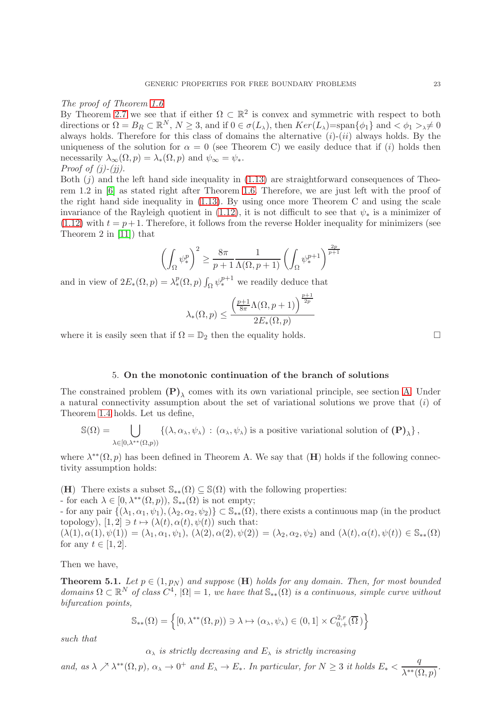The proof of Theorem [1.6](#page-7-0)

By Theorem [2.7](#page-11-1) we see that if either  $\Omega \subset \mathbb{R}^2$  is convex and symmetric with respect to both directions or  $\Omega = B_R \subset \mathbb{R}^N$ ,  $N \geq 3$ , and if  $0 \in \sigma(L_\lambda)$ , then  $Ker(L_\lambda) = \text{span}\{\phi_1\}$  and  $\langle \phi_1 \rangle \neq 0$ always holds. Therefore for this class of domains the alternative  $(i)-(ii)$  always holds. By the uniqueness of the solution for  $\alpha = 0$  (see Theorem C) we easily deduce that if (i) holds then necessarily  $\lambda_{\infty}(\Omega, p) = \lambda_{*}(\Omega, p)$  and  $\psi_{\infty} = \psi_{*}$ . *Proof of*  $(j)-(ji)$ *.* 

Both  $(i)$  and the left hand side inequality in  $(1.13)$  are straightforward consequences of Theorem 1.2 in [\[6\]](#page-27-9) as stated right after Theorem [1.6.](#page-7-0) Therefore, we are just left with the proof of the right hand side inequality in [\(1.13\)](#page-7-1). By using once more Theorem C and using the scale invariance of the Rayleigh quotient in  $(1.12)$ , it is not difficult to see that  $\psi_*$  is a minimizer of  $(1.12)$  with  $t = p + 1$ . Therefore, it follows from the reverse Holder inequality for minimizers (see Theorem 2 in [\[11\]](#page-27-14)) that

$$
\left(\int_{\Omega} \psi_*^p\right)^2 \ge \frac{8\pi}{p+1} \frac{1}{\Lambda(\Omega, p+1)} \left(\int_{\Omega} \psi_*^{p+1}\right)^{\frac{2p}{p+1}}
$$

and in view of  $2E_*(\Omega, p) = \lambda_*^p(\Omega, p) \int_{\Omega} \psi_*^{p+1}$  we readily deduce that

$$
\lambda_*(\Omega, p) \le \frac{\left(\frac{p+1}{8\pi}\Lambda(\Omega, p+1)\right)^{\frac{p+1}{2p}}}{2E_*(\Omega, p)}
$$

where it is easily seen that if  $\Omega = \mathbb{D}_2$  then the equality holds.

5. On the monotonic continuation of the branch of solutions

<span id="page-22-0"></span>The constrained problem  $(P)_{\lambda}$  comes with its own variational principle, see section [A.](#page-26-0) Under a natural connectivity assumption about the set of variational solutions we prove that (i) of Theorem [1.4](#page-6-0) holds. Let us define,

$$
\mathbb{S}(\Omega) = \bigcup_{\lambda \in [0,\lambda^{**}(\Omega,p))} \left\{ (\lambda, \alpha_\lambda, \psi_\lambda) \, : \, (\alpha_\lambda, \psi_\lambda) \text{ is a positive variational solution of } (\mathbf{P})_\lambda \right\},
$$

where  $\lambda^{**}(\Omega, p)$  has been defined in Theorem A. We say that  $(H)$  holds if the following connectivity assumption holds:

(H) There exists a subset  $\mathbb{S}_{**}(\Omega) \subseteq \mathbb{S}(\Omega)$  with the following properties:

- for each  $\lambda \in [0, \lambda^{**}(\Omega, p))$ ,  $\mathbb{S}_{**}(\Omega)$  is not empty;

- for any pair  $\{(\lambda_1, \alpha_1, \psi_1), (\lambda_2, \alpha_2, \psi_2)\}\subset \mathbb{S}_{**}(\Omega)$ , there exists a continuous map (in the product topology),  $[1, 2] \ni t \mapsto (\lambda(t), \alpha(t), \psi(t))$  such that:

 $(\lambda(1), \alpha(1), \psi(1)) = (\lambda_1, \alpha_1, \psi_1), (\lambda(2), \alpha(2), \psi(2)) = (\lambda_2, \alpha_2, \psi_2)$  and  $(\lambda(t), \alpha(t), \psi(t)) \in \mathbb{S}_{**}(\Omega)$ for any  $t \in [1, 2]$ .

Then we have,

**Theorem 5.1.** Let  $p \in (1, p_N)$  and suppose  $(H)$  holds for any domain. Then, for most bounded domains  $\Omega \subset \mathbb{R}^N$  of class  $C^4$ ,  $|\Omega|=1$ , we have that  $\mathbb{S}_{**}(\Omega)$  is a continuous, simple curve without bifurcation points,

$$
\mathbb{S}_{**}(\Omega) = \left\{ [0, \lambda^{**}(\Omega, p)) \ni \lambda \mapsto (\alpha_{\lambda}, \psi_{\lambda}) \in (0, 1] \times C_{0,+}^{2,r}(\overline{\Omega}) \right\}
$$

such that

 $\alpha_{\lambda}$  is strictly decreasing and  $E_{\lambda}$  is strictly increasing

and, as  $\lambda \nearrow \lambda^{**}(\Omega, p), \alpha_{\lambda} \to 0^+$  and  $E_{\lambda} \to E_*$ . In particular, for  $N \geq 3$  it holds  $E_* < \frac{q}{\lambda^{**}(\Omega, p)}$  $\frac{q}{\lambda^{**}(\Omega, p)}$ .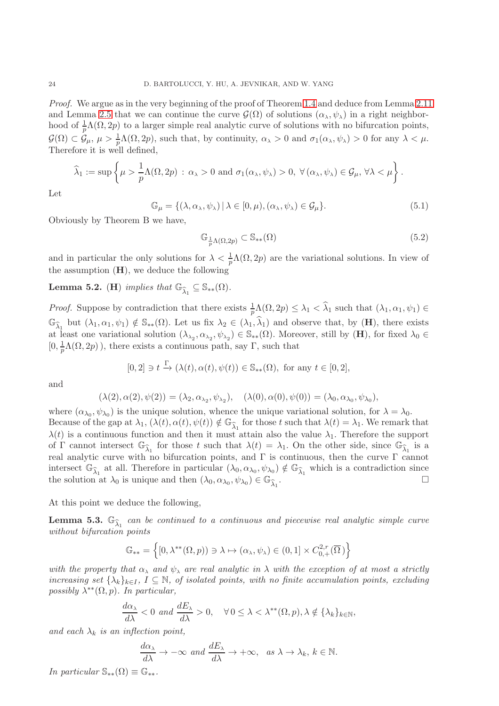Proof. We argue as in the very beginning of the proof of Theorem [1.4](#page-6-0) and deduce from Lemma [2.11](#page-11-2) and Lemma [2.5](#page-10-1) that we can continue the curve  $\mathcal{G}(\Omega)$  of solutions  $(\alpha_{\lambda}, \psi_{\lambda})$  in a right neighborhood of  $\frac{1}{p}\Lambda(\Omega, 2p)$  to a larger simple real analytic curve of solutions with no bifurcation points,  $\mathcal{G}(\Omega) \subset \mathcal{G}_{\mu}, \ \mu > \frac{1}{p}\Lambda(\Omega, 2p)$ , such that, by continuity,  $\alpha_{\lambda} > 0$  and  $\sigma_1(\alpha_{\lambda}, \psi_{\lambda}) > 0$  for any  $\lambda < \mu$ . Therefore it is well defined,

$$
\widehat{\lambda}_1 := \sup \left\{ \mu > \frac{1}{p} \Lambda(\Omega, 2p) \, : \, \alpha_{\lambda} > 0 \text{ and } \sigma_1(\alpha_{\lambda}, \psi_{\lambda}) > 0, \, \forall (\alpha_{\lambda}, \psi_{\lambda}) \in \mathcal{G}_{\mu}, \forall \lambda < \mu \right\}.
$$

Let

<span id="page-23-1"></span>
$$
\mathbb{G}_{\mu} = \{ (\lambda, \alpha_{\lambda}, \psi_{\lambda}) \mid \lambda \in [0, \mu), (\alpha_{\lambda}, \psi_{\lambda}) \in \mathcal{G}_{\mu} \}.
$$
\n(5.1)

Obviously by Theorem B we have,

$$
\mathbb{G}_{\frac{1}{p}\Lambda(\Omega,2p)} \subset \mathbb{S}_{**}(\Omega)
$$
\n(5.2)

and in particular the only solutions for  $\lambda < \frac{1}{p}\Lambda(\Omega, 2p)$  are the variational solutions. In view of the assumption  $(H)$ , we deduce the following

<span id="page-23-0"></span>**Lemma 5.2.** (**H**) implies that  $\mathbb{G}_{\widehat{\lambda}_1} \subseteq \mathbb{S}_{**}(\Omega)$ .

*Proof.* Suppose by contradiction that there exists  $\frac{1}{p}\Lambda(\Omega, 2p) \leq \lambda_1 < \widehat{\lambda}_1$  such that  $(\lambda_1, \alpha_1, \psi_1) \in$  $\mathbb{G}_{\widehat{\lambda}_1}$  but  $(\lambda_1, \alpha_1, \psi_1) \notin \mathbb{S}_{**}(\Omega)$ . Let us fix  $\lambda_2 \in (\lambda_1, \widehat{\lambda}_1)$  and observe that, by  $(\mathbf{H})$ , there exists at least one variational solution  $(\lambda_{\lambda_2}, \alpha_{\lambda_2}, \psi_{\lambda_2}) \in \mathbb{S}_{**}(\Omega)$ . Moreover, still by  $(\mathbf{H})$ , for fixed  $\lambda_0 \in$  $[0, \frac{1}{p}\Lambda(\Omega, 2p))$ , there exists a continuous path, say  $\Gamma$ , such that

$$
[0,2] \ni t \stackrel{\Gamma}{\to} (\lambda(t), \alpha(t), \psi(t)) \in \mathbb{S}_{**}(\Omega), \text{ for any } t \in [0,2],
$$

and

$$
(\lambda(2), \alpha(2), \psi(2)) = (\lambda_2, \alpha_{\lambda_2}, \psi_{\lambda_2}), \quad (\lambda(0), \alpha(0), \psi(0)) = (\lambda_0, \alpha_{\lambda_0}, \psi_{\lambda_0}),
$$

where  $(\alpha_{\lambda_0}, \psi_{\lambda_0})$  is the unique solution, whence the unique variational solution, for  $\lambda = \lambda_0$ . Because of the gap at  $\lambda_1$ ,  $(\lambda(t), \alpha(t), \psi(t)) \notin \mathbb{G}_{\widehat{\lambda}_1}$  for those t such that  $\lambda(t) = \lambda_1$ . We remark that  $\lambda(t)$  is a continuous function and then it must attain also the value  $\lambda_1$ . Therefore the support of  $\Gamma$  cannot intersect  $\mathbb{G}_{\widehat{\lambda}_1}$  for those t such that  $\lambda(t) = \lambda_1$ . On the other side, since  $\mathbb{G}_{\widehat{\lambda}_1}$  is a real analytic curve with no bifurcation points, and  $\Gamma$  is continuous, then the curve  $\Gamma$  cannot intersect  $\mathbb{G}_{\widehat{\lambda}_1}$  at all. Therefore in particular  $(\lambda_0, \alpha_{\lambda_0}, \psi_{\lambda_0}) \notin \mathbb{G}_{\widehat{\lambda}_1}$  which is a contradiction since the solution at  $\lambda_0$  is unique and then  $(\lambda_0, \alpha_{\lambda_0}, \psi_{\lambda_0}) \in \mathbb{G}_{\widehat{\lambda}_1}$ .

At this point we deduce the following,

<span id="page-23-2"></span>**Lemma 5.3.**  $\mathbb{G}_{\widehat{\lambda}_1}$  can be continued to a continuous and piecewise real analytic simple curve without bifurcation points

$$
\mathbb{G}_{**}=\Big\{[0,\lambda^{**}(\Omega,p))\ni \lambda\mapsto (\alpha_\lambda,\psi_\lambda)\in (0,1]\times C^{2,r}_{0,+}(\overline{\Omega}\,)\Big\}
$$

with the property that  $\alpha_{\lambda}$  and  $\psi_{\lambda}$  are real analytic in  $\lambda$  with the exception of at most a strictly increasing set  $\{\lambda_k\}_{k\in I}$ ,  $I \subseteq \mathbb{N}$ , of isolated points, with no finite accumulation points, excluding possibly  $\lambda^{**}(\Omega, p)$ . In particular,

$$
\frac{d\alpha_{\lambda}}{d\lambda} < 0 \text{ and } \frac{dE_{\lambda}}{d\lambda} > 0, \quad \forall \, 0 \leq \lambda < \lambda^{**}(\Omega, p), \lambda \notin \{\lambda_k\}_{k \in \mathbb{N}},
$$

and each  $\lambda_k$  is an inflection point,

$$
\frac{d\alpha_{\lambda}}{d\lambda} \to -\infty \text{ and } \frac{dE_{\lambda}}{d\lambda} \to +\infty, \text{ as } \lambda \to \lambda_k, k \in \mathbb{N}.
$$

In particular  $\mathbb{S}_{**}(\Omega) \equiv \mathbb{G}_{**}.$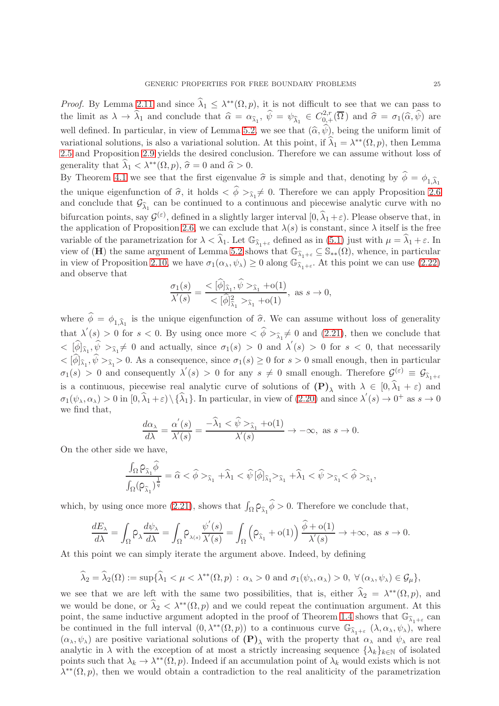*Proof.* By Lemma [2.11](#page-11-2) and since  $\hat{\lambda}_1 \leq \lambda^{**}(\Omega, p)$ , it is not difficult to see that we can pass to the limit as  $\lambda \to \hat{\lambda}_1$  and conclude that  $\hat{\alpha} = \alpha_{\hat{\lambda}_1}, \hat{\psi} = \psi_{\hat{\lambda}_1} \in C^{2,r}_{0,+}(\overline{\Omega})$  and  $\hat{\sigma} = \sigma_1(\hat{\alpha}, \hat{\psi})$  are well defined. In particular, in view of Lemma [5.2,](#page-23-0) we see that  $(\hat{\alpha}, \hat{\psi})$ , being the uniform limit of variational solutions, is also a variational solution. At this point, if  $\hat{\lambda}_1 = \lambda^{**}(\Omega, p)$ , then Lemma [2.5](#page-10-1) and Proposition [2.9](#page-11-3) yields the desired conclusion. Therefore we can assume without loss of generality that  $\widehat{\lambda}_1 < \lambda^{**}(\Omega, p)$ ,  $\widehat{\sigma} = 0$  and  $\widehat{\alpha} > 0$ .

By Theorem [4.1](#page-13-1) we see that the first eigenvalue  $\hat{\sigma}$  is simple and that, denoting by  $\hat{\phi} = \phi_1 \hat{\chi}_1$ the unique eigenfunction of  $\hat{\sigma}$ , it holds  $\langle \phi \rangle_{\hat{\lambda}_1} \neq 0$ . Therefore we can apply Proposition [2.6](#page-10-3) and conclude that  $\mathcal{G}_{\widehat{\lambda}_1}$  can be continued to a continuous and piecewise analytic curve with no bifurcation points, say  $\mathcal{G}^{(\varepsilon)}$ , defined in a slightly larger interval  $[0, \widehat{\lambda}_1 + \varepsilon)$ . Please observe that, in the application of Proposition [2.6,](#page-10-3) we can exclude that  $\lambda(s)$  is constant, since  $\lambda$  itself is the free variable of the parametrization for  $\lambda < \hat{\lambda}_1$ . Let  $\mathbb{G}_{\hat{\lambda}_1+\varepsilon}$  defined as in [\(5.1\)](#page-23-1) just with  $\mu = \hat{\lambda}_1 + \varepsilon$ . In view of (H) the same argument of Lemma [5.2](#page-23-0) shows that  $\mathbb{G}_{\hat{\lambda}_{1+\varepsilon}} \subseteq \mathbb{S}_{**}(\Omega)$ , whence, in particular in view of Proposition [2.10,](#page-11-4) we have  $\sigma_1(\alpha_\lambda, \psi_\lambda) \geq 0$  along  $\mathbb{G}_{\widehat{\lambda}_1 + \varepsilon}$ . At this point we can use [\(2.22\)](#page-11-5) and observe that

$$
\frac{\sigma_1(s)}{\lambda'(s)} = \frac{< [\phi]_{\widehat{\lambda}_1}, \psi >_{\widehat{\lambda}_1} + \text{o}(1)}{< [\widehat{\phi}]_{\widehat{\lambda}_1}^2 >_{\widehat{\lambda}_1} + \text{o}(1)}, \text{ as } s \to 0,
$$

where  $\phi = \phi_{1,\hat{\lambda}_1}$  is the unique eigenfunction of  $\hat{\sigma}$ . We can assume without loss of generality that  $\lambda'(s) > 0$  for  $s < 0$ . By using once more  $\langle \hat{\phi} \rangle_{\hat{\lambda}_1} \neq 0$  and  $(2.21)$ , then we conclude that  $<$   $[\hat{\phi}]_{\hat{\lambda}_1}, \hat{\psi}$   $>_{\hat{\lambda}_1} \neq 0$  and actually, since  $\sigma_1(s) > 0$  and  $\lambda'(s) > 0$  for  $s < 0$ , that necessarily  $<[\phi]_{\hat{\lambda}_1}, \psi>_{\hat{\lambda}_1}>0$ . As a consequence, since  $\sigma_1(s) \geq 0$  for  $s > 0$  small enough, then in particular  $\sigma_1(s) > 0$  and consequently  $\lambda'(s) > 0$  for any  $s \neq 0$  small enough. Therefore  $\mathcal{G}^{(\varepsilon)} \equiv \mathcal{G}_{\lambda_1+\varepsilon}$ is a continuous, piecewise real analytic curve of solutions of  $(\mathbf{P})_\lambda$  with  $\lambda \in [0, \lambda_1 + \varepsilon)$  and  $\sigma_1(\psi_\lambda, \alpha_\lambda) > 0$  in  $[0, \widehat{\lambda}_1 + \varepsilon) \setminus {\widehat{\lambda}_1}$ . In particular, in view of [\(2.20\)](#page-10-4) and since  $\lambda'(s) \to 0^+$  as  $s \to 0$ we find that,

$$
\frac{d\alpha_{\lambda}}{d\lambda} = \frac{\alpha'(s)}{\lambda'(s)} = \frac{-\widehat{\lambda}_1 < \widehat{\psi} >_{\widehat{\lambda}_1} + o(1)}{\lambda'(s)} \to -\infty, \text{ as } s \to 0.
$$

On the other side we have,

$$
\frac{\int_\Omega \mathsf{P}_{\widehat{\lambda}_1} \widehat{\phi} }{\int_\Omega (\mathsf{P}_{\widehat{\lambda}_1})^{\frac{1}{q}}} = \widehat{\alpha} < \widehat{\phi} >_{\widehat{\lambda}_1} + \widehat{\lambda}_1 < \widehat{\psi} \, [\widehat{\phi}]_{\widehat{\lambda}_1} >_{\widehat{\lambda}_1} + \widehat{\lambda}_1 < \widehat{\psi} >_{\widehat{\lambda}_1} < \widehat{\phi} >_{\widehat{\lambda}_1},
$$

which, by using once more [\(2.21\)](#page-11-6), shows that  $\int_{\Omega} \rho_{\hat{\lambda}_1} \hat{\phi} > 0$ . Therefore we conclude that,

$$
\frac{dE_\lambda}{d\lambda} = \int_\Omega \rho_\lambda \frac{d\psi_\lambda}{d\lambda} = \int_\Omega \rho_{\lambda(s)} \frac{\psi'(s)}{\lambda'(s)} = \int_\Omega \left( \rho_{\widehat{\lambda}_1} + o(1) \right) \frac{\widehat{\phi} + o(1)}{\lambda'(s)} \to +\infty, \text{ as } s \to 0.
$$

At this point we can simply iterate the argument above. Indeed, by defining

$$
\widehat{\lambda}_2 = \widehat{\lambda}_2(\Omega) := \sup \{ \widehat{\lambda}_1 < \mu < \lambda^{**}(\Omega, p) \, : \, \alpha_{\lambda} > 0 \text{ and } \sigma_1(\psi_{\lambda}, \alpha_{\lambda}) > 0, \, \forall (\alpha_{\lambda}, \psi_{\lambda}) \in \mathcal{G}_{\mu} \},
$$

we see that we are left with the same two possibilities, that is, either  $\hat{\lambda}_2 = \lambda^{**}(\Omega, p)$ , and we would be done, or  $\hat{\lambda}_2 < \lambda^{**}(\Omega, p)$  and we could repeat the continuation argument. At this point, the same inductive argument adopted in the proof of Theorem [1.4](#page-6-0) shows that  $\mathbb{G}_{\hat{\lambda}_1+\varepsilon}$  can be continued in the full interval  $(0, \lambda^{**}(\Omega, p))$  to a continuous curve  $\mathbb{G}_{\widehat{\lambda}_{1}+\varepsilon}(\lambda, \alpha_{\lambda}, \psi_{\lambda}),$  where  $(\alpha_{\lambda}, \psi_{\lambda})$  are positive variational solutions of  $(P)_{\lambda}$  with the property that  $\alpha_{\lambda}$  and  $\psi_{\lambda}$  are real analytic in  $\lambda$  with the exception of at most a strictly increasing sequence  $\{\lambda_k\}_{k\in\mathbb{N}}$  of isolated points such that  $\lambda_k \to \lambda^{**}(\Omega, p)$ . Indeed if an accumulation point of  $\lambda_k$  would exists which is not  $\lambda^{**}(\Omega, p)$ , then we would obtain a contradiction to the real analiticity of the parametrization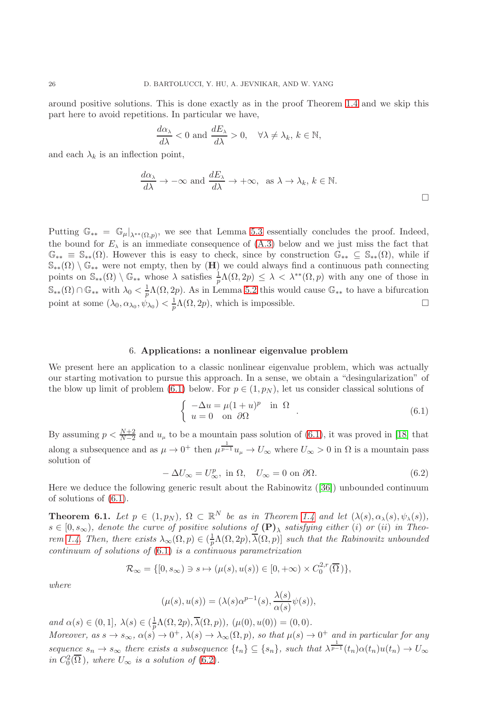around positive solutions. This is done exactly as in the proof Theorem [1.4](#page-6-0) and we skip this part here to avoid repetitions. In particular we have,

$$
\frac{d\alpha_{\lambda}}{d\lambda} < 0 \text{ and } \frac{dE_{\lambda}}{d\lambda} > 0, \quad \forall \lambda \neq \lambda_k, \, k \in \mathbb{N},
$$

and each  $\lambda_k$  is an inflection point,

$$
\frac{d\alpha_{\lambda}}{d\lambda} \to -\infty \text{ and } \frac{dE_{\lambda}}{d\lambda} \to +\infty, \text{ as } \lambda \to \lambda_{k}, k \in \mathbb{N}.
$$

Putting  $\mathbb{G}_{**} = \mathbb{G}_{\mu}|_{\lambda^{**}(\Omega, p)}$ , we see that Lemma [5.3](#page-23-2) essentially concludes the proof. Indeed, the bound for  $E_{\lambda}$  is an immediate consequence of [\(A.3\)](#page-27-15) below and we just miss the fact that  $\mathbb{G}_{**} \equiv \mathbb{S}_{**}(\Omega)$ . However this is easy to check, since by construction  $\mathbb{G}_{**} \subseteq \mathbb{S}_{**}(\Omega)$ , while if  $\mathbb{S}_{**}(\Omega) \setminus \mathbb{G}_{**}$  were not empty, then by  $(H)$  we could always find a continuous path connecting points on  $\mathbb{S}_{**}(\Omega) \setminus \mathbb{G}_{**}$  whose  $\lambda$  satisfies  $\frac{1}{p}\Lambda(\Omega, 2p) \leq \lambda < \lambda^{**}(\Omega, p)$  with any one of those in  $\mathbb{S}_{**}(\Omega) \cap \mathbb{G}_{**}$  with  $\lambda_0 < \frac{1}{p}\Lambda(\Omega, 2p)$ . As in Lemma [5.2](#page-23-0) this would cause  $\mathbb{G}_{**}$  to have a bifurcation point at some  $(\lambda_0, \alpha_{\lambda_0}, \psi_{\lambda_0}) < \frac{1}{p}\Lambda(\Omega, 2p)$ , which is impossible.

#### 6. Applications: a nonlinear eigenvalue problem

<span id="page-25-0"></span>We present here an application to a classic nonlinear eigenvalue problem, which was actually our starting motivation to pursue this approach. In a sense, we obtain a "desingularization" of the blow up limit of problem [\(6.1\)](#page-25-1) below. For  $p \in (1, p_N)$ , let us consider classical solutions of

<span id="page-25-1"></span>
$$
\begin{cases}\n-\Delta u = \mu (1+u)^p & \text{in } \Omega \\
u = 0 & \text{on } \partial \Omega\n\end{cases}.
$$
\n(6.1)

By assuming  $p < \frac{N+2}{N-2}$  and  $u_{\mu}$  to be a mountain pass solution of [\(6.1\)](#page-25-1), it was proved in [\[18\]](#page-28-18) that along a subsequence and as  $\mu \to 0^+$  then  $\mu^{\frac{1}{p-1}}u_{\mu} \to U_{\infty}$  where  $U_{\infty} > 0$  in  $\Omega$  is a mountain pass solution of

<span id="page-25-2"></span>
$$
-\Delta U_{\infty} = U_{\infty}^p, \text{ in } \Omega, \quad U_{\infty} = 0 \text{ on } \partial \Omega.
$$
 (6.2)

Here we deduce the following generic result about the Rabinowitz([\[36\]](#page-28-27)) unbounded continuum of solutions of [\(6.1\)](#page-25-1).

<span id="page-25-3"></span>**Theorem 6.1.** Let  $p \in (1, p_N)$ ,  $\Omega \subset \mathbb{R}^N$  be as in Theorem [1.4](#page-6-0) and let  $(\lambda(s), \alpha_\lambda(s), \psi_\lambda(s)),$  $s\in[0,s_{\infty}),$  denote the curve of positive solutions of  $({\bf P})_{\lambda}$  satisfying either (i) or (ii) in Theo-rem [1.4.](#page-6-0) Then, there exists  $\lambda_{\infty}(\Omega, p) \in (\frac{1}{p}\Lambda(\Omega, 2p), \overline{\lambda}(\Omega, p)]$  such that the Rabinowitz unbounded continuum of solutions of  $(6.1)$  is a continuous parametrization

$$
\mathcal{R}_{\infty} = \{ [0, s_{\infty}) \ni s \mapsto (\mu(s), u(s)) \in [0, +\infty) \times C_0^{2,r}(\overline{\Omega}) \},
$$

where

$$
(\mu(s), u(s)) = (\lambda(s)\alpha^{p-1}(s), \frac{\lambda(s)}{\alpha(s)}\psi(s)),
$$

and  $\alpha(s) \in (0,1], \lambda(s) \in (\frac{1}{p}\Lambda(\Omega, 2p), \overline{\lambda}(\Omega, p)), (\mu(0), u(0)) = (0,0).$ 

Moreover, as  $s \to s_{\infty}$ ,  $\alpha(s) \to 0^+$ ,  $\lambda(s) \to \lambda_{\infty}(\Omega, p)$ , so that  $\mu(s) \to 0^+$  and in particular for any sequence  $s_n \to s_\infty$  there exists a subsequence  $\{t_n\} \subseteq \{s_n\}$ , such that  $\lambda^{\frac{1}{p-1}}(t_n) \alpha(t_n) u(t_n) \to U_\infty$ in  $C_0^2(\overline{\Omega})$ , where  $U_{\infty}$  is a solution of [\(6.2\)](#page-25-2).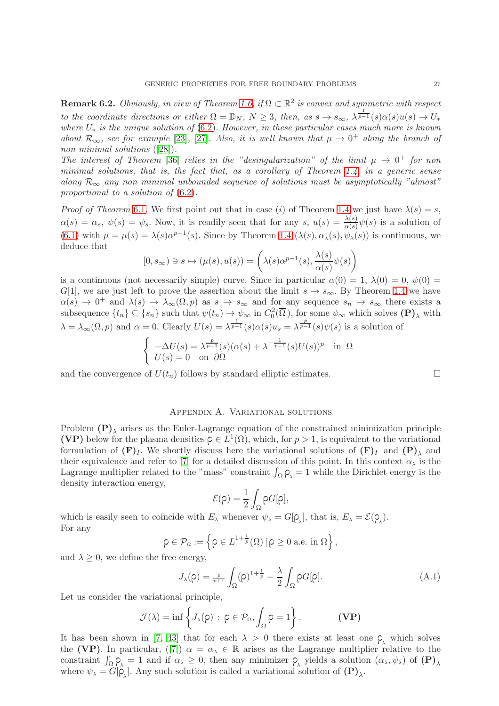**Remark 6.2.** Obviously, in view of Theorem [1.6,](#page-7-0) if  $\Omega \subset \mathbb{R}^2$  is convex and symmetric with respect to the coordinate directions or either  $\Omega = \mathbb{D}_N$ ,  $N \geq 3$ , then, as  $s \to s_{\infty}$ ,  $\lambda^{\frac{1}{p-1}}(s)\alpha(s)u(s) \to U_*$ where  $U_*$  is the unique solution of  $(6.2)$ . However, in these particular cases much more is known about  $\mathcal{R}_{\infty}$ , see for example [\[23\]](#page-28-28), [\[27\]](#page-28-29). Also, it is well known that  $\mu \to 0^+$  along the branch of non minimal solutions ([\[28\]](#page-28-30)).

The interest of Theorem [\[36\]](#page-28-27) relies in the "desingularization" of the limit  $\mu \to 0^+$  for non minimal solutions, that is, the fact that, as a corollary of Theorem [1.4,](#page-6-0) in a generic sense along  $\mathcal{R}_{\infty}$  any non minimal unbounded sequence of solutions must be asymptotically "almost" proportional to a solution of [\(6.2\)](#page-25-2).

*Proof of Theorem* [6.1](#page-25-3). We first point out that in case (i) of Theorem [1.4](#page-6-0) we just have  $\lambda(s) = s$ ,  $\alpha(s) = \alpha_s, \ \psi(s) = \psi_s.$  Now, it is readily seen that for any  $s, u(s) = \frac{\lambda(s)}{\alpha(s)} \psi(s)$  is a solution of [\(6.1\)](#page-25-1) with  $\mu = \mu(s) = \lambda(s)\alpha^{p-1}(s)$ . Since by Theorem [1.4](#page-6-0)  $(\lambda(s), \alpha_{\lambda}(s), \psi_{\lambda}(s))$  is continuous, we deduce that

$$
[0, s_{\infty}) \ni s \mapsto (\mu(s), u(s)) = \left(\lambda(s)\alpha^{p-1}(s), \frac{\lambda(s)}{\alpha(s)}\psi(s)\right)
$$

is a continuous (not necessarily simple) curve. Since in particular  $\alpha(0) = 1$ ,  $\lambda(0) = 0$ ,  $\psi(0) = 0$ G[1], we are just left to prove the assertion about the limit  $s \to s_{\infty}$ . By Theorem [1.4](#page-6-0) we have  $\alpha(s) \to 0^+$  and  $\lambda(s) \to \lambda_\infty(\Omega, p)$  as  $s \to s_\infty$  and for any sequence  $s_n \to s_\infty$  there exists a subsequence  $\{t_n\} \subseteq \{s_n\}$  such that  $\psi(t_n) \to \psi_\infty$  in  $C_0^2(\overline{\Omega})$ , for some  $\psi_\infty$  which solves  $(\mathbf{P})_\lambda$  with  $\lambda = \lambda_{\infty}(\Omega, p)$  and  $\alpha = 0$ . Clearly  $U(s) = \lambda^{\frac{1}{p-1}}(s)\alpha(s)u_s = \lambda^{\frac{p}{p-1}}(s)\psi(s)$  is a solution of

$$
\begin{cases}\n-\Delta U(s) = \lambda^{\frac{p}{p-1}}(s)(\alpha(s) + \lambda^{-\frac{1}{p-1}}(s)U(s))^p & \text{in } \Omega \\
U(s) = 0 & \text{on } \partial\Omega\n\end{cases}
$$

and the convergence of  $U(t_n)$  follows by standard elliptic estimates.

### Appendix A. Variational solutions

<span id="page-26-0"></span>Problem  $(P)_{\lambda}$  arises as the Euler-Lagrange equation of the constrained minimization principle (VP) below for the plasma densities  $\rho \in L^1(\Omega)$ , which, for  $p > 1$ , is equivalent to the variational formulation of  $(F)_I$ . We shortly discuss here the variational solutions of  $(F)_I$  and  $(P)_\lambda$  and their equivalence and refer to [\[7\]](#page-27-1) for a detailed discussion of this point. In this context  $\alpha_{\lambda}$  is the Lagrange multiplier related to the "mass" constraint  $\int_{\Omega} \rho_{\lambda} = 1$  while the Dirichlet energy is the density interaction energy,

$$
\mathcal{E}(\rho)=\frac{1}{2}\int_{\Omega}\rho G[\rho],
$$

which is easily seen to coincide with  $E_\lambda$  whenever  $\psi_\lambda = G[\rho_\lambda]$ , that is,  $E_\lambda = \mathcal{E}(\rho_\lambda)$ . For any

$$
\rho \in \mathcal{P}_{\Omega} := \left\{ \rho \in L^{1+\frac{1}{p}}(\Omega) \, | \, \rho \ge 0 \text{ a.e. in } \Omega \right\},\
$$

and  $\lambda \geq 0$ , we define the free energy,

$$
J_{\lambda}(\rho) = \frac{p}{p+1} \int_{\Omega} (\rho)^{1+\frac{1}{p}} - \frac{\lambda}{2} \int_{\Omega} \rho G[\rho]. \tag{A.1}
$$

Let us consider the variational principle,

$$
\mathcal{J}(\lambda) = \inf \left\{ J_{\lambda}(\rho) \, : \, \rho \in \mathcal{P}_{\Omega}, \int_{\Omega} \rho = 1 \right\}.
$$
 (VP)

It has been shown in [\[7,](#page-27-1) [43\]](#page-28-5) that for each  $\lambda > 0$  there exists at least one  $\rho_{\lambda}$  which solves the(VP). In particular, ([\[7\]](#page-27-1))  $\alpha = \alpha_{\lambda} \in \mathbb{R}$  arises as the Lagrange multiplier relative to the constraint  $\int_{\Omega} \rho_{\lambda} = 1$  and if  $\alpha_{\lambda} \geq 0$ , then any minimizer  $\rho_{\lambda}$  yields a solution  $(\alpha_{\lambda}, \psi_{\lambda})$  of  $(\mathbf{P})_{\lambda}$ where  $\psi_{\lambda} = G[\hat{\varphi}_{\lambda}]$ . Any such solution is called a variational solution of  $(\mathbf{P})_{\lambda}$ .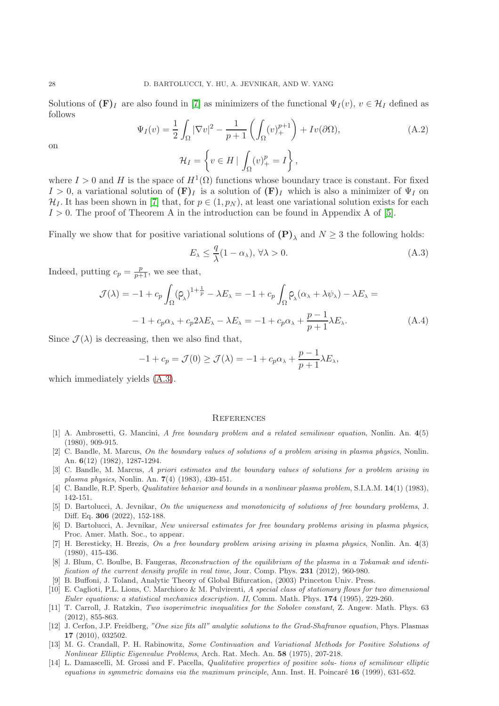Solutions of  $(\mathbf{F})_I$  are also found in [\[7\]](#page-27-1) as minimizers of the functional  $\Psi_I(v)$ ,  $v \in \mathcal{H}_I$  defined as follows

$$
\Psi_I(v) = \frac{1}{2} \int_{\Omega} |\nabla v|^2 - \frac{1}{p+1} \left( \int_{\Omega} (v)_+^{p+1} \right) + I v(\partial \Omega),
$$
\n
$$
\mathcal{H}_I = \left\{ v \in H \mid \int_{\Omega} (v)_+^p = I \right\},
$$
\n(A.2)

on

where 
$$
I > 0
$$
 and H is the space of  $H^1(\Omega)$  functions whose boundary trace is constant. For fixed  $I > 0$ , a variational solution of  $(\mathbf{F})_I$  is a solution of  $(\mathbf{F})_I$  which is also a minimizer of  $\Psi_I$  on  $\mathcal{H}_I$ . It has been shown in [7] that, for  $p \in (1, p_N)$ , at least one variational solution exists for each  $I > 0$ . The proof of Theorem A in the introduction can be found in Appendix A of [5].

Finally we show that for positive variational solutions of  $(P)_{\lambda}$  and  $N \geq 3$  the following holds:

<span id="page-27-15"></span>
$$
E_{\lambda} \le \frac{q}{\lambda} (1 - \alpha_{\lambda}), \,\forall \lambda > 0. \tag{A.3}
$$

Indeed, putting  $c_p = \frac{p}{p+1}$ , we see that,

$$
\mathcal{J}(\lambda) = -1 + c_p \int_{\Omega} (\rho_\lambda)^{1 + \frac{1}{p}} - \lambda E_\lambda = -1 + c_p \int_{\Omega} \rho_\lambda (\alpha_\lambda + \lambda \psi_\lambda) - \lambda E_\lambda =
$$
  

$$
-1 + c_p \alpha_\lambda + c_p 2\lambda E_\lambda - \lambda E_\lambda = -1 + c_p \alpha_\lambda + \frac{p - 1}{p + 1} \lambda E_\lambda.
$$
 (A.4)

Since  $\mathcal{J}(\lambda)$  is decreasing, then we also find that,

$$
-1 + c_p = \mathcal{J}(0) \ge \mathcal{J}(\lambda) = -1 + c_p \alpha_\lambda + \frac{p-1}{p+1} \lambda E_\lambda,
$$

which immediately yields [\(A.3\)](#page-27-15).

#### <span id="page-27-0"></span>**REFERENCES**

- <span id="page-27-5"></span>[1] A. Ambrosetti, G. Mancini, A free boundary problem and a related semilinear equation, Nonlin. An. 4(5) (1980), 909-915.
- <span id="page-27-8"></span>[2] C. Bandle, M. Marcus, On the boundary values of solutions of a problem arising in plasma physics, Nonlin. An. 6(12) (1982), 1287-1294.
- <span id="page-27-6"></span>[3] C. Bandle, M. Marcus, A priori estimates and the boundary values of solutions for a problem arising in plasma physics, Nonlin. An. 7(4) (1983), 439-451.
- <span id="page-27-10"></span><span id="page-27-2"></span>[4] C. Bandle, R.P. Sperb, Qualitative behavior and bounds in a nonlinear plasma problem, S.I.A.M. 14(1) (1983), 142-151.
- [5] D. Bartolucci, A. Jevnikar, On the uniqueness and monotonicity of solutions of free boundary problems, J. Diff. Eq. 306 (2022), 152-188.
- <span id="page-27-9"></span>[6] D. Bartolucci, A. Jevnikar, New universal estimates for free boundary problems arising in plasma physics, Proc. Amer. Math. Soc., to appear.
- <span id="page-27-1"></span>[7] H. Beresticky, H. Brezis, On a free boundary problem arising arising in plasma physics, Nonlin. An. 4(3) (1980), 415-436.
- <span id="page-27-3"></span>[8] J. Blum, C. Boulbe, B. Faugeras, Reconstruction of the equilibrium of the plasma in a Tokamak and identification of the current density profile in real time, Jour. Comp. Phys. 231 (2012), 960-980.
- <span id="page-27-13"></span><span id="page-27-7"></span>[9] B. Buffoni, J. Toland, Analytic Theory of Global Bifurcation, (2003) Princeton Univ. Press.
- [10] E. Caglioti, P.L. Lions, C. Marchioro & M. Pulvirenti, A special class of stationary flows for two dimensional Euler equations: a statistical mechanics description. II, Comm. Math. Phys. 174 (1995), 229-260.
- <span id="page-27-14"></span>[11] T. Carroll, J. Ratzkin, Two isoperimetric inequalities for the Sobolev constant, Z. Angew. Math. Phys. 63 (2012), 855-863.
- <span id="page-27-4"></span>[12] J. Cerfon, J.P. Freidberg, "One size fits all" analytic solutions to the Grad-Shafranov equation, Phys. Plasmas 17 (2010), 032502.
- <span id="page-27-12"></span>[13] M. G. Crandall, P. H. Rabinowitz, Some Continuation and Variational Methods for Positive Solutions of Nonlinear Elliptic Eigenvalue Problems, Arch. Rat. Mech. An. 58 (1975), 207-218.
- <span id="page-27-11"></span>[14] L. Damascelli, M. Grossi and F. Pacella, Qualitative properties of positive solu- tions of semilinear elliptic equations in symmetric domains via the maximum principle, Ann. Inst. H. Poincaré  $16$  (1999), 631-652.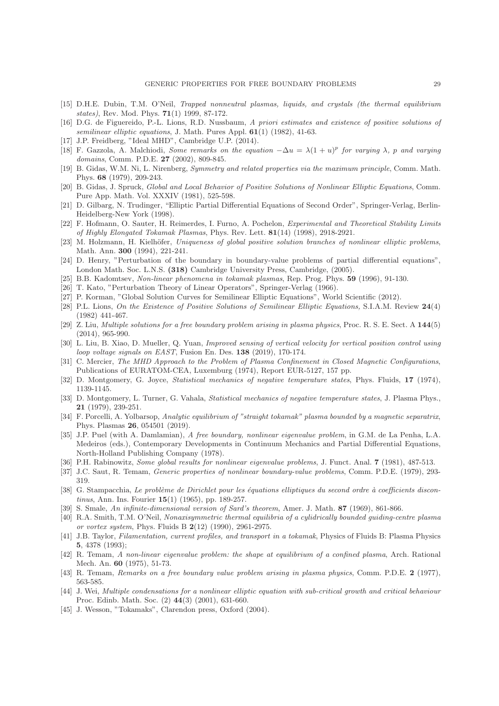- <span id="page-28-6"></span>[15] D.H.E. Dubin, T.M. O'Neil, Trapped nonneutral plasmas, liquids, and crystals (the thermal equilibrium states), Rev. Mod. Phys. 71(1) 1999, 87-172.
- <span id="page-28-21"></span>[16] D.G. de Figuereido, P.-L. Lions, R.D. Nussbaum, A priori estimates and existence of positive solutions of semilinear elliptic equations, J. Math. Pures Appl. 61(1) (1982), 41-63.
- <span id="page-28-18"></span><span id="page-28-0"></span>[17] J.P. Freidberg, "Ideal MHD", Cambridge U.P. (2014).
- [18] F. Gazzola, A. Malchiodi, Some remarks on the equation  $-\Delta u = \lambda(1+u)^p$  for varying  $\lambda$ , p and varying domains, Comm. P.D.E. 27 (2002), 809-845.
- <span id="page-28-20"></span>[19] B. Gidas, W.M. Ni, L. Nirenberg, Symmetry and related properties via the maximum principle, Comm. Math. Phys. 68 (1979), 209-243.
- <span id="page-28-22"></span>[20] B. Gidas, J. Spruck, Global and Local Behavior of Positive Solutions of Nonlinear Elliptic Equations, Comm. Pure App. Math. Vol. XXXIV (1981), 525-598.
- <span id="page-28-25"></span>[21] D. Gilbarg, N. Trudinger, "Elliptic Partial Differential Equations of Second Order", Springer-Verlag, Berlin-Heidelberg-New York (1998).
- <span id="page-28-12"></span>[22] F. Hofmann, O. Sauter, H. Reimerdes, I. Furno, A. Pochelon, Experimental and Theoretical Stability Limits of Highly Elongated Tokamak Plasmas, Phys. Rev. Lett. 81(14) (1998), 2918-2921.
- <span id="page-28-28"></span>[23] M. Holzmann, H. Kielhöfer, Uniqueness of global positive solution branches of nonlinear elliptic problems, Math. Ann. 300 (1994), 221-241.
- <span id="page-28-17"></span>[24] D. Henry, "Perturbation of the boundary in boundary-value problems of partial differential equations", London Math. Soc. L.N.S. (318) Cambridge University Press, Cambridge, (2005).
- <span id="page-28-23"></span><span id="page-28-1"></span>[25] B.B. Kadomtsev, Non-linear phenomena in tokamak plasmas, Rep. Prog. Phys. 59 (1996), 91-130.
- <span id="page-28-29"></span>[26] T. Kato, "Perturbation Theory of Linear Operators", Springer-Verlag (1966).
- <span id="page-28-30"></span>[27] P. Korman, "Global Solution Curves for Semilinear Elliptic Equations", World Scientific (2012).
- [28] P.L. Lions, On the Existence of Positive Solutions of Semilinear Elliptic Equations, S.I.A.M. Review 24(4) (1982) 441-467.
- <span id="page-28-16"></span>[29] Z. Liu, Multiple solutions for a free boundary problem arising in plasma physics, Proc. R. S. E. Sect. A 144(5) (2014), 965-990.
- <span id="page-28-13"></span>[30] L. Liu, B. Xiao, D. Mueller, Q. Yuan, Improved sensing of vertical velocity for vertical position control using loop voltage signals on EAST, Fusion En. Des. 138 (2019), 170-174.
- <span id="page-28-2"></span>[31] C. Mercier, The MHD Approach to the Problem of Plasma Confinement in Closed Magnetic Configurations, Publications of EURATOM-CEA, Luxemburg (1974), Report EUR-5127, 157 pp.
- <span id="page-28-10"></span><span id="page-28-9"></span>[32] D. Montgomery, G. Joyce, Statistical mechanics of negative temperature states, Phys. Fluids, 17 (1974), 1139-1145.
- [33] D. Montgomery, L. Turner, G. Vahala, Statistical mechanics of negative temperature states, J. Plasma Phys., 21 (1979), 239-251.
- <span id="page-28-7"></span>[34] F. Porcelli, A. Yolbarsop, Analytic equilibrium of "straight tokamak" plasma bounded by a magnetic separatrix, Phys. Plasmas 26, 054501 (2019).
- <span id="page-28-14"></span>[35] J.P. Puel (with A. Damlamian), A free boundary, nonlinear eigenvalue problem, in G.M. de La Penha, L.A. Medeiros (eds.), Contemporary Developments in Continuum Mechanics and Partial Differential Equations, North-Holland Publishing Company (1978).
- <span id="page-28-27"></span><span id="page-28-26"></span>[36] P.H. Rabinowitz, Some global results for nonlinear eigenvalue problems, J. Funct. Anal. 7 (1981), 487-513.
- <span id="page-28-19"></span>[37] J.C. Saut, R. Temam, Generic properties of nonlinear boundary-value problems, Comm. P.D.E. (1979), 293- 319.
- [38] G. Stampacchia, Le problème de Dirichlet pour les équations elliptiques du second ordre à coefficients discontinus, Ann. Ins. Fourier 15(1) (1965), pp. 189-257.
- <span id="page-28-24"></span><span id="page-28-11"></span>[39] S. Smale, An infinite-dimensional version of Sard's theorem, Amer. J. Math. 87 (1969), 861-866.
- [40] R.A. Smith, T.M. O'Neil, Nonaxisymmetric thermal equilibria of a cylidrically bounded guiding-centre plasma or vortex system, Phys. Fluids B 2(12) (1990), 2961-2975.
- <span id="page-28-8"></span>[41] J.B. Taylor, Filamentation, current profiles, and transport in a tokamak, Physics of Fluids B: Plasma Physics 5, 4378 (1993);
- <span id="page-28-4"></span>[42] R. Temam, A non-linear eigenvalue problem: the shape at equilibrium of a confined plasma, Arch. Rational Mech. An. 60 (1975), 51-73.
- <span id="page-28-15"></span><span id="page-28-5"></span>[43] R. Temam, Remarks on a free boundary value problem arising in plasma physics, Comm. P.D.E. 2 (1977), 563-585.
- [44] J. Wei, Multiple condensations for a nonlinear elliptic equation with sub-critical growth and critical behaviour Proc. Edinb. Math. Soc. (2) 44(3) (2001), 631-660.
- <span id="page-28-3"></span>[45] J. Wesson, "Tokamaks", Clarendon press, Oxford (2004).